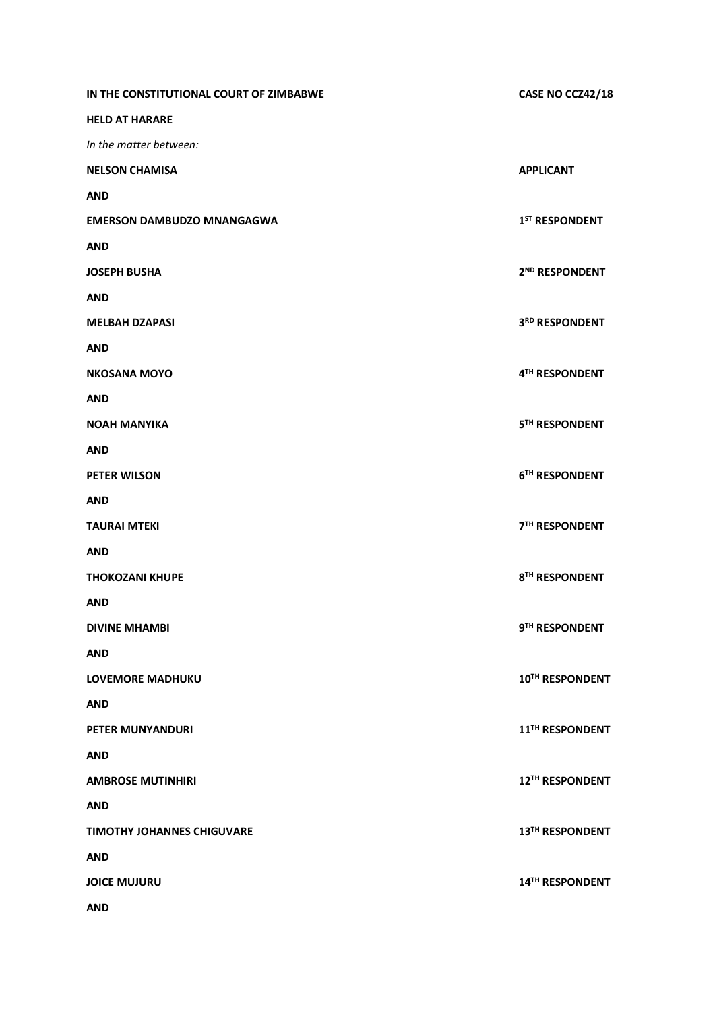| IN THE CONSTITUTIONAL COURT OF ZIMBABWE | CASE NO CCZ42/18           |
|-----------------------------------------|----------------------------|
| <b>HELD AT HARARE</b>                   |                            |
| In the matter between:                  |                            |
| <b>NELSON CHAMISA</b>                   | <b>APPLICANT</b>           |
| <b>AND</b>                              |                            |
| <b>EMERSON DAMBUDZO MNANGAGWA</b>       | 1 <sup>ST</sup> RESPONDENT |
| <b>AND</b>                              |                            |
| <b>JOSEPH BUSHA</b>                     | 2 <sup>ND</sup> RESPONDENT |
| <b>AND</b>                              |                            |
| <b>MELBAH DZAPASI</b>                   | 3RD RESPONDENT             |
| <b>AND</b>                              |                            |
| <b>NKOSANA MOYO</b>                     | 4TH RESPONDENT             |
| <b>AND</b>                              |                            |
| <b>NOAH MANYIKA</b>                     | 5TH RESPONDENT             |
| <b>AND</b>                              |                            |
| <b>PETER WILSON</b>                     | 6TH RESPONDENT             |
| <b>AND</b>                              |                            |
| <b>TAURAI MTEKI</b>                     | <b>7TH RESPONDENT</b>      |
| <b>AND</b>                              |                            |
| <b>THOKOZANI KHUPE</b>                  | 8TH RESPONDENT             |
| <b>AND</b>                              |                            |
| <b>DIVINE MHAMBI</b>                    | 9TH RESPONDENT             |
| <b>AND</b>                              |                            |
| <b>LOVEMORE MADHUKU</b>                 | 10TH RESPONDENT            |
| <b>AND</b>                              |                            |
| <b>PETER MUNYANDURI</b>                 | 11TH RESPONDENT            |
| <b>AND</b>                              |                            |
| <b>AMBROSE MUTINHIRI</b>                | 12TH RESPONDENT            |
| <b>AND</b>                              |                            |
| <b>TIMOTHY JOHANNES CHIGUVARE</b>       | 13TH RESPONDENT            |
| <b>AND</b>                              |                            |
| <b>JOICE MUJURU</b>                     | 14TH RESPONDENT            |
| <b>AND</b>                              |                            |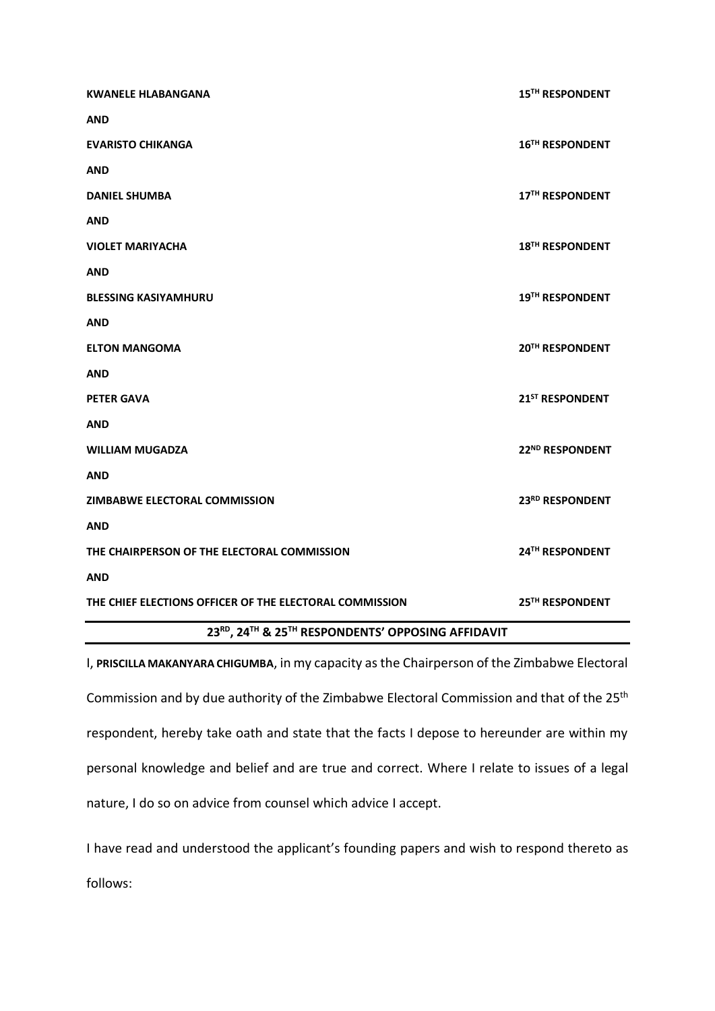| <b>KWANELE HLABANGANA</b>                               | 15TH RESPONDENT             |
|---------------------------------------------------------|-----------------------------|
| <b>AND</b>                                              |                             |
| <b>EVARISTO CHIKANGA</b>                                | 16 <sup>TH</sup> RESPONDENT |
| <b>AND</b>                                              |                             |
| <b>DANIEL SHUMBA</b>                                    | 17TH RESPONDENT             |
| <b>AND</b>                                              |                             |
| <b>VIOLET MARIYACHA</b>                                 | 18 <sup>TH</sup> RESPONDENT |
| <b>AND</b>                                              |                             |
| <b>BLESSING KASIYAMHURU</b>                             | 19TH RESPONDENT             |
| <b>AND</b>                                              |                             |
| <b>ELTON MANGOMA</b>                                    | 20TH RESPONDENT             |
| <b>AND</b>                                              |                             |
| <b>PETER GAVA</b>                                       | 21 <sup>ST</sup> RESPONDENT |
| <b>AND</b>                                              |                             |
| <b>WILLIAM MUGADZA</b>                                  | 22 <sup>ND</sup> RESPONDENT |
| <b>AND</b>                                              |                             |
| ZIMBABWE ELECTORAL COMMISSION                           | 23RD RESPONDENT             |
| <b>AND</b>                                              |                             |
| THE CHAIRPERSON OF THE ELECTORAL COMMISSION             | 24TH RESPONDENT             |
| <b>AND</b>                                              |                             |
| THE CHIEF ELECTIONS OFFICER OF THE ELECTORAL COMMISSION | 25TH RESPONDENT             |
| 23RD, 24TH & 25TH RESPONDENTS' OPPOSING AFFIDAVIT       |                             |

I, **PRISCILLA MAKANYARA CHIGUMBA**, in my capacity as the Chairperson of the Zimbabwe Electoral Commission and by due authority of the Zimbabwe Electoral Commission and that of the 25<sup>th</sup> respondent, hereby take oath and state that the facts I depose to hereunder are within my personal knowledge and belief and are true and correct. Where I relate to issues of a legal nature, I do so on advice from counsel which advice I accept.

I have read and understood the applicant's founding papers and wish to respond thereto as follows: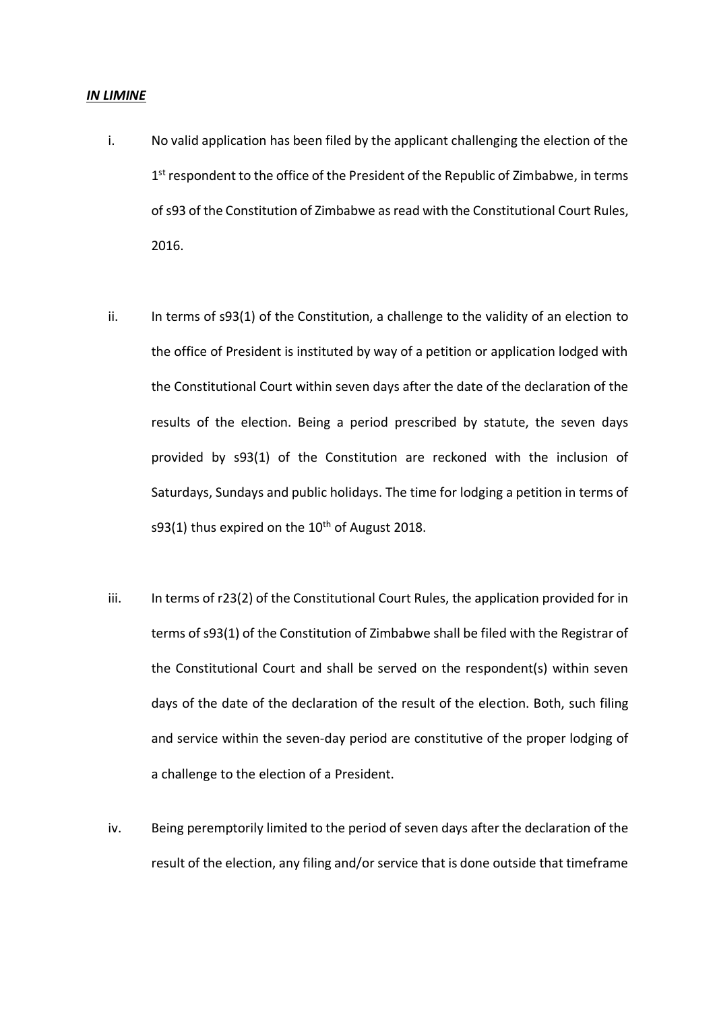#### *IN LIMINE*

- i. No valid application has been filed by the applicant challenging the election of the 1<sup>st</sup> respondent to the office of the President of the Republic of Zimbabwe, in terms of s93 of the Constitution of Zimbabwe as read with the Constitutional Court Rules, 2016.
- ii. In terms of s93(1) of the Constitution, a challenge to the validity of an election to the office of President is instituted by way of a petition or application lodged with the Constitutional Court within seven days after the date of the declaration of the results of the election. Being a period prescribed by statute, the seven days provided by s93(1) of the Constitution are reckoned with the inclusion of Saturdays, Sundays and public holidays. The time for lodging a petition in terms of s93(1) thus expired on the  $10^{th}$  of August 2018.
- iii. In terms of r23(2) of the Constitutional Court Rules, the application provided for in terms of s93(1) of the Constitution of Zimbabwe shall be filed with the Registrar of the Constitutional Court and shall be served on the respondent(s) within seven days of the date of the declaration of the result of the election. Both, such filing and service within the seven-day period are constitutive of the proper lodging of a challenge to the election of a President.
- iv. Being peremptorily limited to the period of seven days after the declaration of the result of the election, any filing and/or service that is done outside that timeframe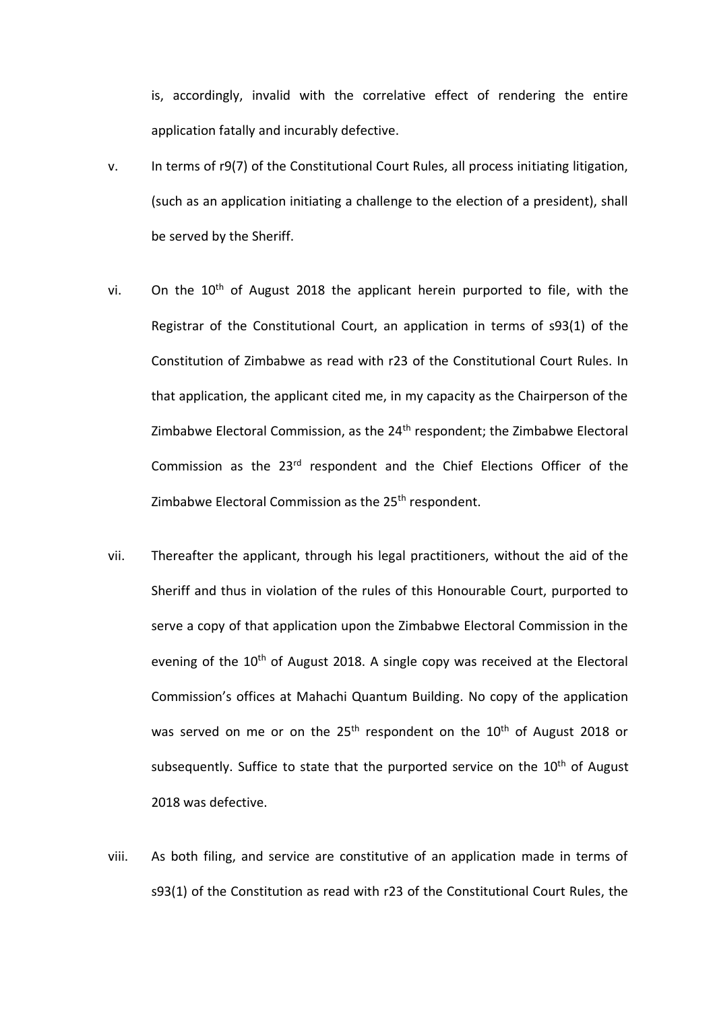is, accordingly, invalid with the correlative effect of rendering the entire application fatally and incurably defective.

- v. In terms of r9(7) of the Constitutional Court Rules, all process initiating litigation, (such as an application initiating a challenge to the election of a president), shall be served by the Sheriff.
- vi. On the  $10<sup>th</sup>$  of August 2018 the applicant herein purported to file, with the Registrar of the Constitutional Court, an application in terms of s93(1) of the Constitution of Zimbabwe as read with r23 of the Constitutional Court Rules. In that application, the applicant cited me, in my capacity as the Chairperson of the Zimbabwe Electoral Commission, as the 24th respondent; the Zimbabwe Electoral Commission as the 23rd respondent and the Chief Elections Officer of the Zimbabwe Electoral Commission as the 25<sup>th</sup> respondent.
- vii. Thereafter the applicant, through his legal practitioners, without the aid of the Sheriff and thus in violation of the rules of this Honourable Court, purported to serve a copy of that application upon the Zimbabwe Electoral Commission in the evening of the 10<sup>th</sup> of August 2018. A single copy was received at the Electoral Commission's offices at Mahachi Quantum Building. No copy of the application was served on me or on the 25<sup>th</sup> respondent on the 10<sup>th</sup> of August 2018 or subsequently. Suffice to state that the purported service on the 10<sup>th</sup> of August 2018 was defective.
- viii. As both filing, and service are constitutive of an application made in terms of s93(1) of the Constitution as read with r23 of the Constitutional Court Rules, the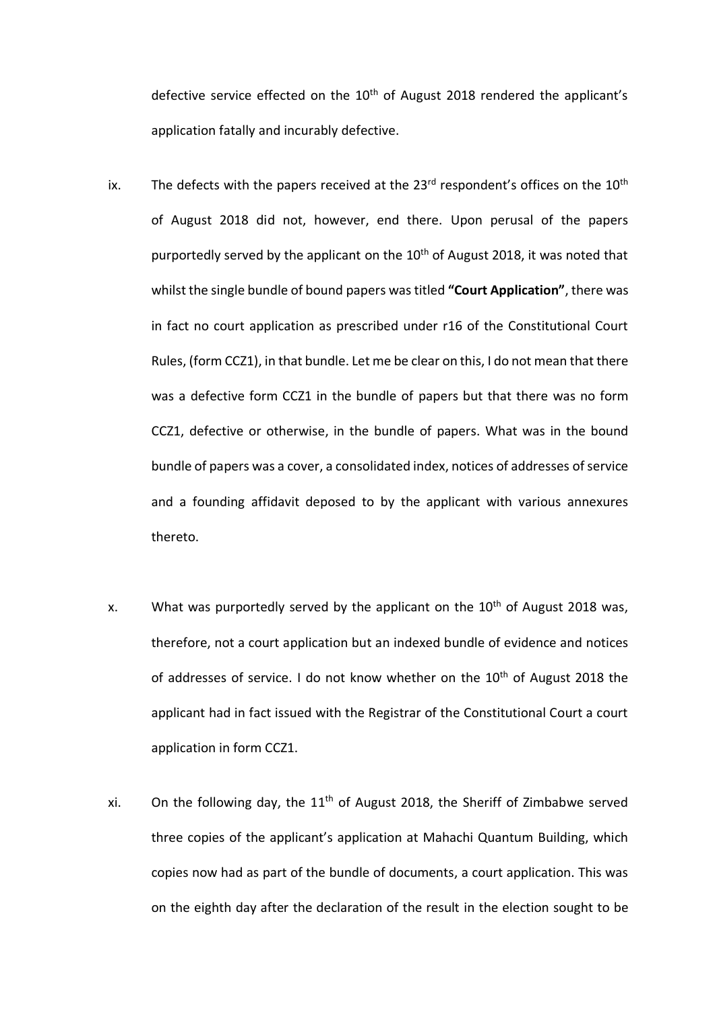defective service effected on the  $10<sup>th</sup>$  of August 2018 rendered the applicant's application fatally and incurably defective.

- ix. The defects with the papers received at the  $23^{rd}$  respondent's offices on the  $10^{th}$ of August 2018 did not, however, end there. Upon perusal of the papers purportedly served by the applicant on the 10<sup>th</sup> of August 2018, it was noted that whilst the single bundle of bound papers was titled **"Court Application"**, there was in fact no court application as prescribed under r16 of the Constitutional Court Rules, (form CCZ1), in that bundle. Let me be clear on this, I do not mean that there was a defective form CCZ1 in the bundle of papers but that there was no form CCZ1, defective or otherwise, in the bundle of papers. What was in the bound bundle of papers was a cover, a consolidated index, notices of addresses of service and a founding affidavit deposed to by the applicant with various annexures thereto.
- x. What was purportedly served by the applicant on the  $10<sup>th</sup>$  of August 2018 was, therefore, not a court application but an indexed bundle of evidence and notices of addresses of service. I do not know whether on the 10<sup>th</sup> of August 2018 the applicant had in fact issued with the Registrar of the Constitutional Court a court application in form CCZ1.
- xi. On the following day, the  $11<sup>th</sup>$  of August 2018, the Sheriff of Zimbabwe served three copies of the applicant's application at Mahachi Quantum Building, which copies now had as part of the bundle of documents, a court application. This was on the eighth day after the declaration of the result in the election sought to be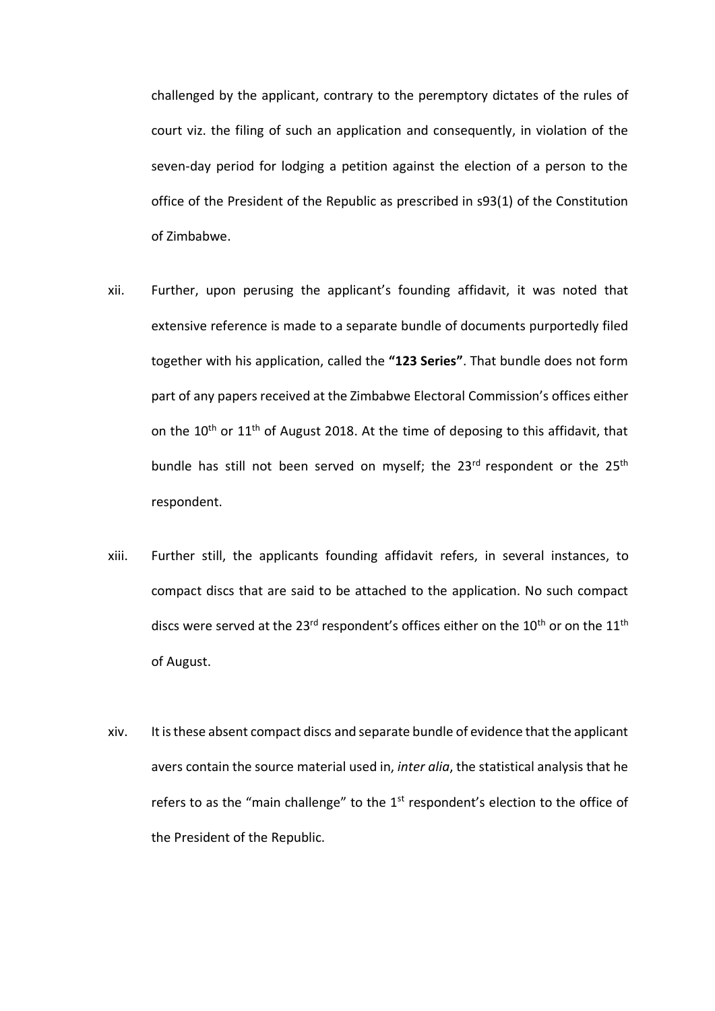challenged by the applicant, contrary to the peremptory dictates of the rules of court viz. the filing of such an application and consequently, in violation of the seven-day period for lodging a petition against the election of a person to the office of the President of the Republic as prescribed in s93(1) of the Constitution of Zimbabwe.

- xii. Further, upon perusing the applicant's founding affidavit, it was noted that extensive reference is made to a separate bundle of documents purportedly filed together with his application, called the **"123 Series"**. That bundle does not form part of any papers received at the Zimbabwe Electoral Commission's offices either on the  $10^{th}$  or  $11^{th}$  of August 2018. At the time of deposing to this affidavit, that bundle has still not been served on myself; the  $23<sup>rd</sup>$  respondent or the  $25<sup>th</sup>$ respondent.
- xiii. Further still, the applicants founding affidavit refers, in several instances, to compact discs that are said to be attached to the application. No such compact discs were served at the 23<sup>rd</sup> respondent's offices either on the 10<sup>th</sup> or on the 11<sup>th</sup> of August.
- xiv. It is these absent compact discs and separate bundle of evidence that the applicant avers contain the source material used in, *inter alia*, the statistical analysis that he refers to as the "main challenge" to the 1<sup>st</sup> respondent's election to the office of the President of the Republic.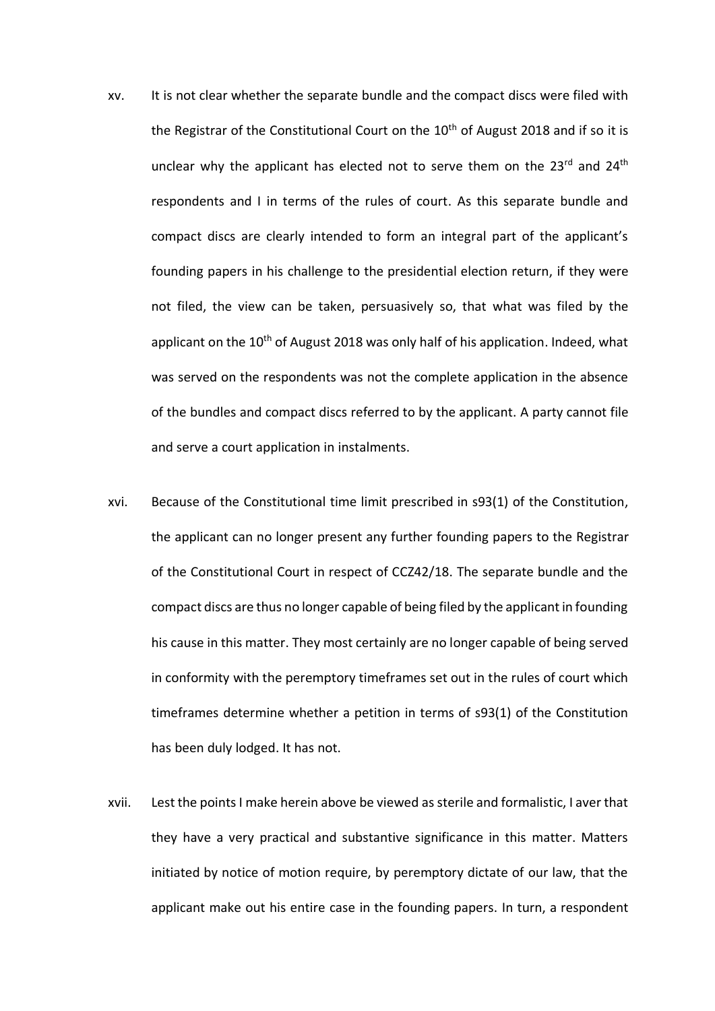- xv. It is not clear whether the separate bundle and the compact discs were filed with the Registrar of the Constitutional Court on the  $10<sup>th</sup>$  of August 2018 and if so it is unclear why the applicant has elected not to serve them on the  $23^{rd}$  and  $24^{th}$ respondents and I in terms of the rules of court. As this separate bundle and compact discs are clearly intended to form an integral part of the applicant's founding papers in his challenge to the presidential election return, if they were not filed, the view can be taken, persuasively so, that what was filed by the applicant on the 10<sup>th</sup> of August 2018 was only half of his application. Indeed, what was served on the respondents was not the complete application in the absence of the bundles and compact discs referred to by the applicant. A party cannot file and serve a court application in instalments.
- xvi. Because of the Constitutional time limit prescribed in s93(1) of the Constitution, the applicant can no longer present any further founding papers to the Registrar of the Constitutional Court in respect of CCZ42/18. The separate bundle and the compact discs are thus no longer capable of being filed by the applicant in founding his cause in this matter. They most certainly are no longer capable of being served in conformity with the peremptory timeframes set out in the rules of court which timeframes determine whether a petition in terms of s93(1) of the Constitution has been duly lodged. It has not.
- xvii. Lest the pointsI make herein above be viewed as sterile and formalistic, I aver that they have a very practical and substantive significance in this matter. Matters initiated by notice of motion require, by peremptory dictate of our law, that the applicant make out his entire case in the founding papers. In turn, a respondent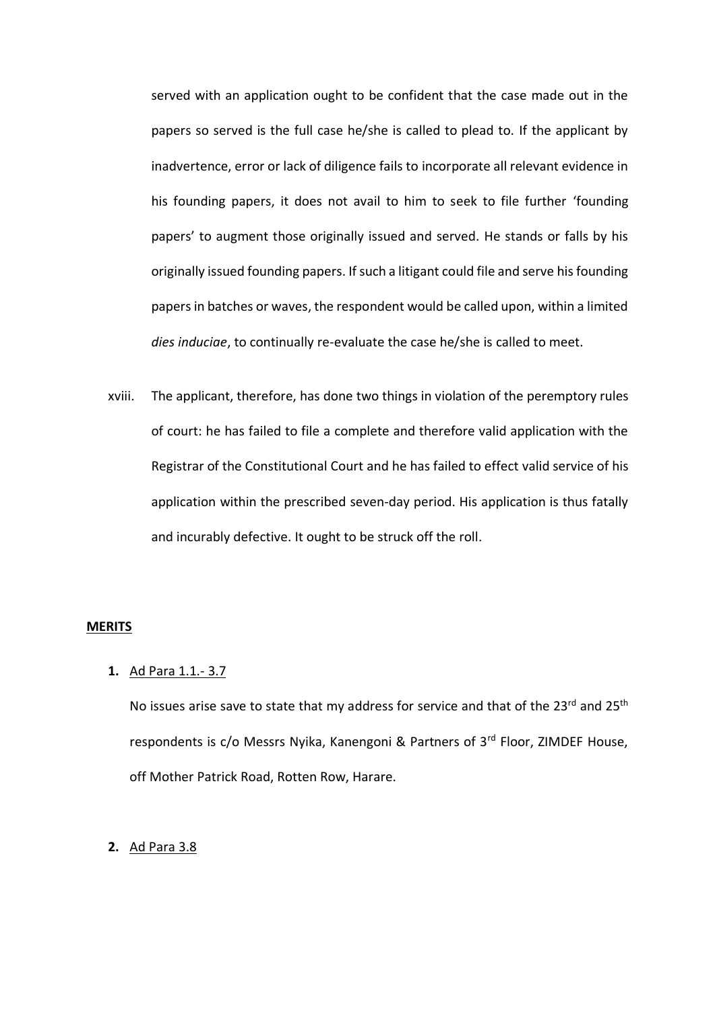served with an application ought to be confident that the case made out in the papers so served is the full case he/she is called to plead to. If the applicant by inadvertence, error or lack of diligence fails to incorporate all relevant evidence in his founding papers, it does not avail to him to seek to file further 'founding papers' to augment those originally issued and served. He stands or falls by his originally issued founding papers. If such a litigant could file and serve his founding papers in batches or waves, the respondent would be called upon, within a limited *dies induciae*, to continually re-evaluate the case he/she is called to meet.

xviii. The applicant, therefore, has done two things in violation of the peremptory rules of court: he has failed to file a complete and therefore valid application with the Registrar of the Constitutional Court and he has failed to effect valid service of his application within the prescribed seven-day period. His application is thus fatally and incurably defective. It ought to be struck off the roll.

### **MERITS**

# **1.** Ad Para 1.1.- 3.7

No issues arise save to state that my address for service and that of the 23rd and 25<sup>th</sup> respondents is c/o Messrs Nyika, Kanengoni & Partners of 3rd Floor, ZIMDEF House, off Mother Patrick Road, Rotten Row, Harare.

# **2.** Ad Para 3.8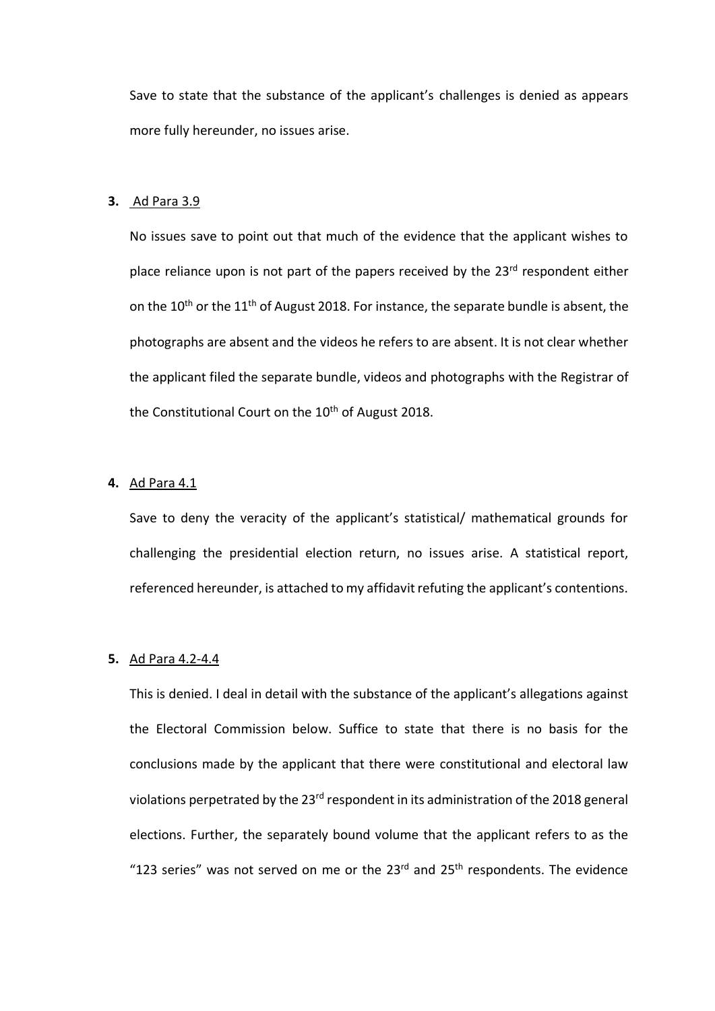Save to state that the substance of the applicant's challenges is denied as appears more fully hereunder, no issues arise.

#### **3.** Ad Para 3.9

No issues save to point out that much of the evidence that the applicant wishes to place reliance upon is not part of the papers received by the 23<sup>rd</sup> respondent either on the  $10^{th}$  or the  $11^{th}$  of August 2018. For instance, the separate bundle is absent, the photographs are absent and the videos he refers to are absent. It is not clear whether the applicant filed the separate bundle, videos and photographs with the Registrar of the Constitutional Court on the 10<sup>th</sup> of August 2018.

# **4.** Ad Para 4.1

Save to deny the veracity of the applicant's statistical/ mathematical grounds for challenging the presidential election return, no issues arise. A statistical report, referenced hereunder, is attached to my affidavit refuting the applicant's contentions.

### **5.** Ad Para 4.2-4.4

This is denied. I deal in detail with the substance of the applicant's allegations against the Electoral Commission below. Suffice to state that there is no basis for the conclusions made by the applicant that there were constitutional and electoral law violations perpetrated by the 23<sup>rd</sup> respondent in its administration of the 2018 general elections. Further, the separately bound volume that the applicant refers to as the "123 series" was not served on me or the  $23<sup>rd</sup>$  and  $25<sup>th</sup>$  respondents. The evidence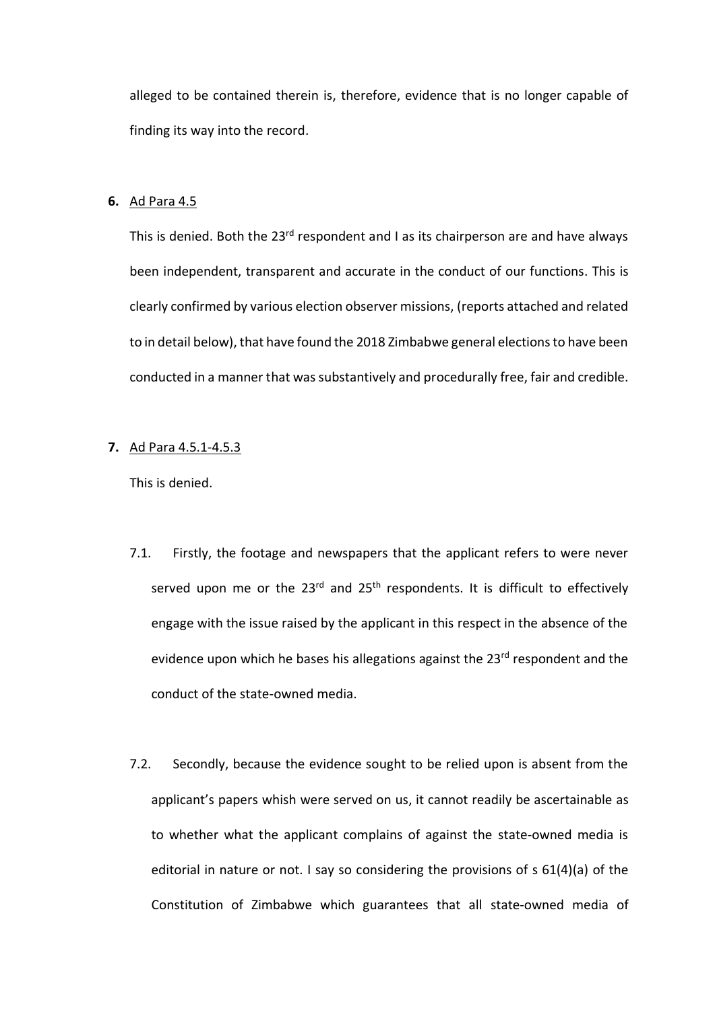alleged to be contained therein is, therefore, evidence that is no longer capable of finding its way into the record.

#### **6.** Ad Para 4.5

This is denied. Both the 23<sup>rd</sup> respondent and I as its chairperson are and have always been independent, transparent and accurate in the conduct of our functions. This is clearly confirmed by various election observer missions, (reports attached and related to in detail below), that have found the 2018 Zimbabwe general elections to have been conducted in a manner that was substantively and procedurally free, fair and credible.

# **7.** Ad Para 4.5.1-4.5.3

- 7.1. Firstly, the footage and newspapers that the applicant refers to were never served upon me or the 23<sup>rd</sup> and 25<sup>th</sup> respondents. It is difficult to effectively engage with the issue raised by the applicant in this respect in the absence of the evidence upon which he bases his allegations against the 23<sup>rd</sup> respondent and the conduct of the state-owned media.
- 7.2. Secondly, because the evidence sought to be relied upon is absent from the applicant's papers whish were served on us, it cannot readily be ascertainable as to whether what the applicant complains of against the state-owned media is editorial in nature or not. I say so considering the provisions of s 61(4)(a) of the Constitution of Zimbabwe which guarantees that all state-owned media of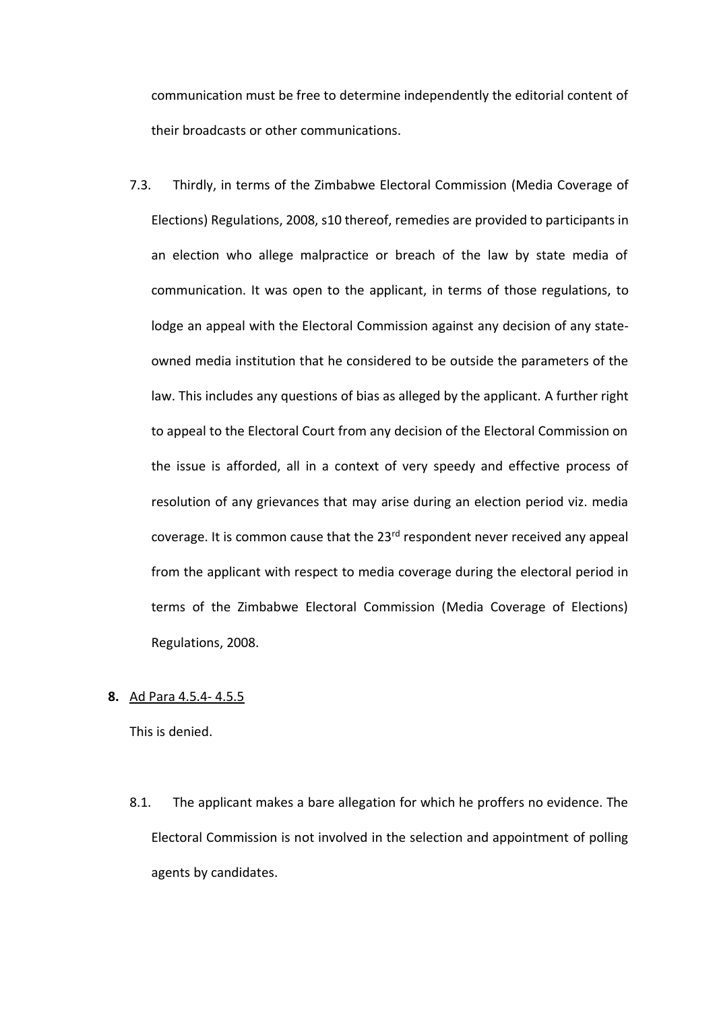communication must be free to determine independently the editorial content of their broadcasts or other communications.

7.3. Thirdly, in terms of the Zimbabwe Electoral Commission (Media Coverage of Elections) Regulations, 2008, s10 thereof, remedies are provided to participants in an election who allege malpractice or breach of the law by state media of communication. It was open to the applicant, in terms of those regulations, to lodge an appeal with the Electoral Commission against any decision of any stateowned media institution that he considered to be outside the parameters of the law. This includes any questions of bias as alleged by the applicant. A further right to appeal to the Electoral Court from any decision of the Electoral Commission on the issue is afforded, all in a context of very speedy and effective process of resolution of any grievances that may arise during an election period viz. media coverage. It is common cause that the 23rd respondent never received any appeal from the applicant with respect to media coverage during the electoral period in terms of the Zimbabwe Electoral Commission (Media Coverage of Elections) Regulations, 2008.

# **8.** Ad Para 4.5.4- 4.5.5

This is denied.

8.1. The applicant makes a bare allegation for which he proffers no evidence. The Electoral Commission is not involved in the selection and appointment of polling agents by candidates.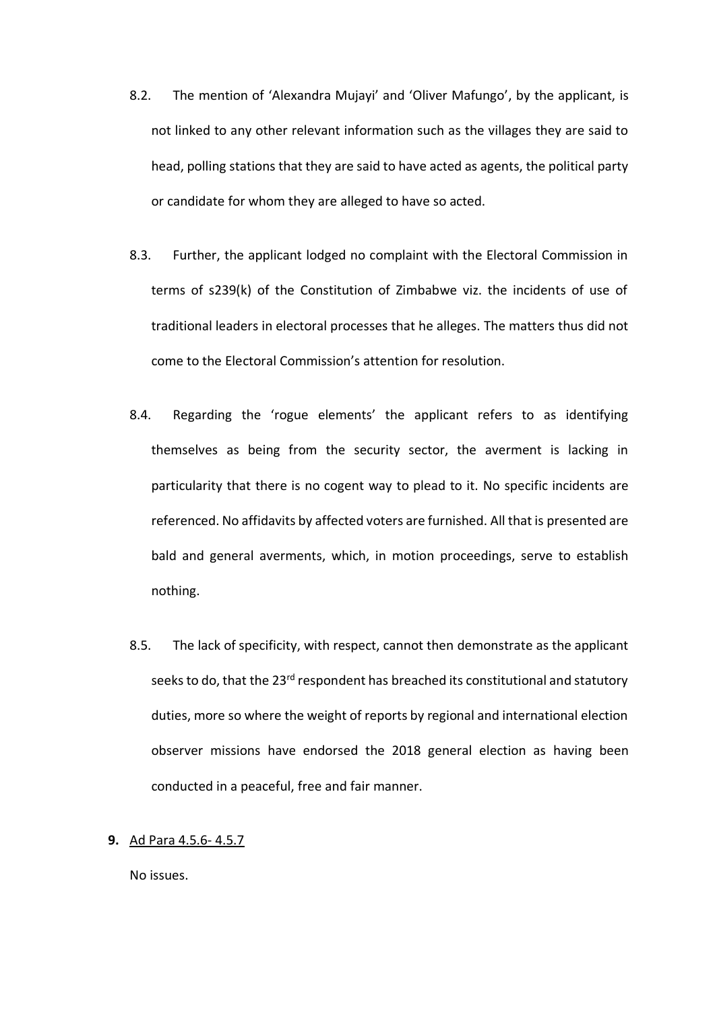- 8.2. The mention of 'Alexandra Mujayi' and 'Oliver Mafungo', by the applicant, is not linked to any other relevant information such as the villages they are said to head, polling stations that they are said to have acted as agents, the political party or candidate for whom they are alleged to have so acted.
- 8.3. Further, the applicant lodged no complaint with the Electoral Commission in terms of s239(k) of the Constitution of Zimbabwe viz. the incidents of use of traditional leaders in electoral processes that he alleges. The matters thus did not come to the Electoral Commission's attention for resolution.
- 8.4. Regarding the 'rogue elements' the applicant refers to as identifying themselves as being from the security sector, the averment is lacking in particularity that there is no cogent way to plead to it. No specific incidents are referenced. No affidavits by affected voters are furnished. All that is presented are bald and general averments, which, in motion proceedings, serve to establish nothing.
- 8.5. The lack of specificity, with respect, cannot then demonstrate as the applicant seeks to do, that the 23<sup>rd</sup> respondent has breached its constitutional and statutory duties, more so where the weight of reports by regional and international election observer missions have endorsed the 2018 general election as having been conducted in a peaceful, free and fair manner.
- **9.** Ad Para 4.5.6- 4.5.7

No issues.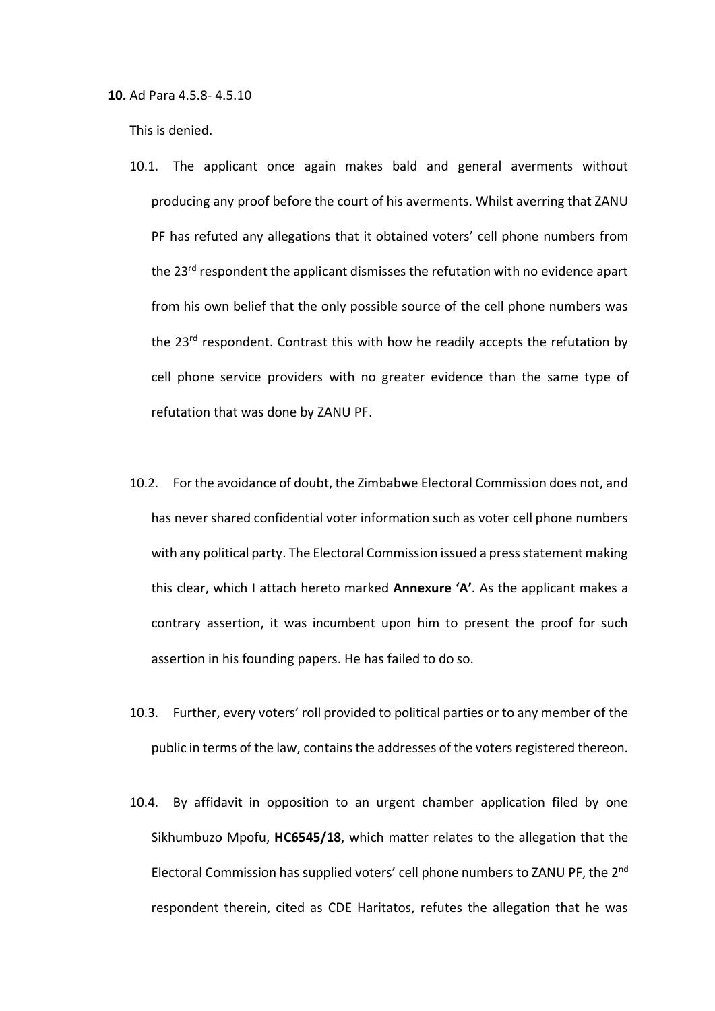#### **10.** Ad Para 4.5.8- 4.5.10

- 10.1. The applicant once again makes bald and general averments without producing any proof before the court of his averments. Whilst averring that ZANU PF has refuted any allegations that it obtained voters' cell phone numbers from the 23<sup>rd</sup> respondent the applicant dismisses the refutation with no evidence apart from his own belief that the only possible source of the cell phone numbers was the 23<sup>rd</sup> respondent. Contrast this with how he readily accepts the refutation by cell phone service providers with no greater evidence than the same type of refutation that was done by ZANU PF.
- 10.2. For the avoidance of doubt, the Zimbabwe Electoral Commission does not, and has never shared confidential voter information such as voter cell phone numbers with any political party. The Electoral Commission issued a press statement making this clear, which I attach hereto marked **Annexure 'A'**. As the applicant makes a contrary assertion, it was incumbent upon him to present the proof for such assertion in his founding papers. He has failed to do so.
- 10.3. Further, every voters' roll provided to political parties or to any member of the public in terms of the law, contains the addresses of the voters registered thereon.
- 10.4. By affidavit in opposition to an urgent chamber application filed by one Sikhumbuzo Mpofu, **HC6545/18**, which matter relates to the allegation that the Electoral Commission has supplied voters' cell phone numbers to ZANU PF, the 2nd respondent therein, cited as CDE Haritatos, refutes the allegation that he was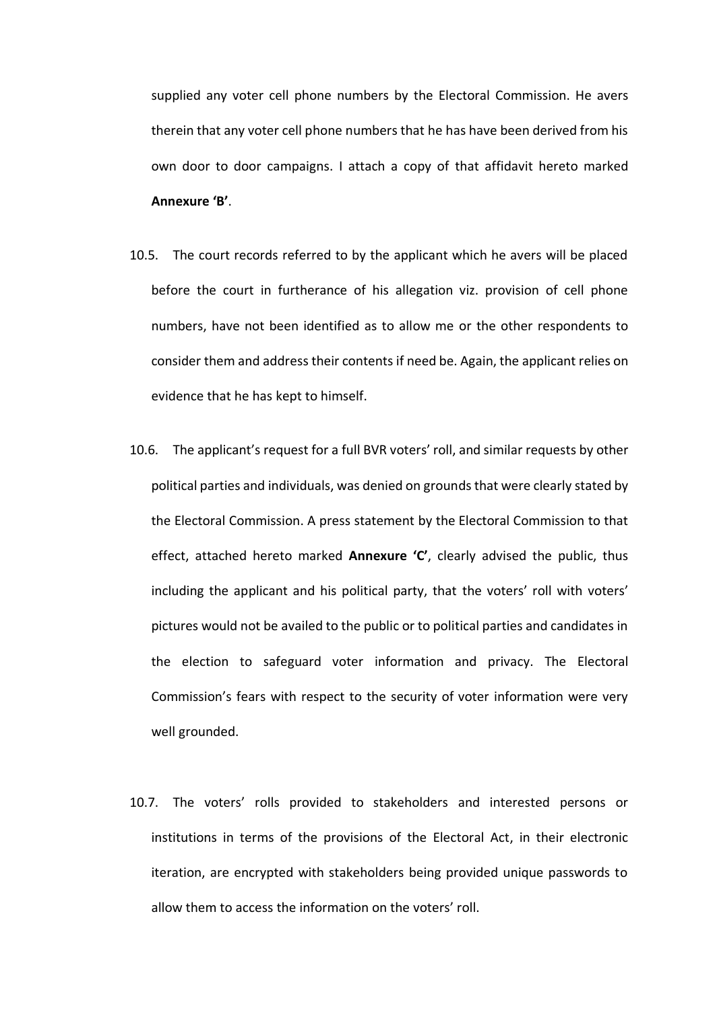supplied any voter cell phone numbers by the Electoral Commission. He avers therein that any voter cell phone numbers that he has have been derived from his own door to door campaigns. I attach a copy of that affidavit hereto marked **Annexure 'B'**.

- 10.5. The court records referred to by the applicant which he avers will be placed before the court in furtherance of his allegation viz. provision of cell phone numbers, have not been identified as to allow me or the other respondents to consider them and address their contents if need be. Again, the applicant relies on evidence that he has kept to himself.
- 10.6. The applicant's request for a full BVR voters' roll, and similar requests by other political parties and individuals, was denied on grounds that were clearly stated by the Electoral Commission. A press statement by the Electoral Commission to that effect, attached hereto marked **Annexure 'C'**, clearly advised the public, thus including the applicant and his political party, that the voters' roll with voters' pictures would not be availed to the public or to political parties and candidates in the election to safeguard voter information and privacy. The Electoral Commission's fears with respect to the security of voter information were very well grounded.
- 10.7. The voters' rolls provided to stakeholders and interested persons or institutions in terms of the provisions of the Electoral Act, in their electronic iteration, are encrypted with stakeholders being provided unique passwords to allow them to access the information on the voters' roll.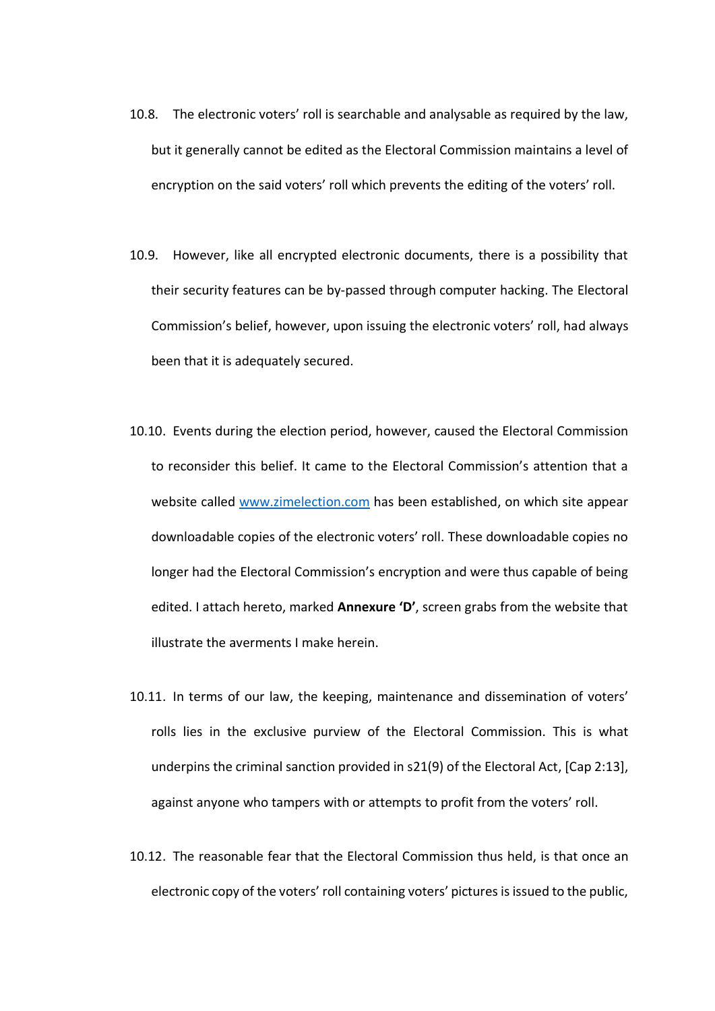- 10.8. The electronic voters' roll is searchable and analysable as required by the law, but it generally cannot be edited as the Electoral Commission maintains a level of encryption on the said voters' roll which prevents the editing of the voters' roll.
- 10.9. However, like all encrypted electronic documents, there is a possibility that their security features can be by-passed through computer hacking. The Electoral Commission's belief, however, upon issuing the electronic voters' roll, had always been that it is adequately secured.
- 10.10. Events during the election period, however, caused the Electoral Commission to reconsider this belief. It came to the Electoral Commission's attention that a website called [www.zimelection.com](http://www.zimelection.com/) has been established, on which site appear downloadable copies of the electronic voters' roll. These downloadable copies no longer had the Electoral Commission's encryption and were thus capable of being edited. I attach hereto, marked **Annexure 'D'**, screen grabs from the website that illustrate the averments I make herein.
- 10.11. In terms of our law, the keeping, maintenance and dissemination of voters' rolls lies in the exclusive purview of the Electoral Commission. This is what underpins the criminal sanction provided in s21(9) of the Electoral Act, [Cap 2:13], against anyone who tampers with or attempts to profit from the voters' roll.
- 10.12. The reasonable fear that the Electoral Commission thus held, is that once an electronic copy of the voters' roll containing voters' pictures is issued to the public,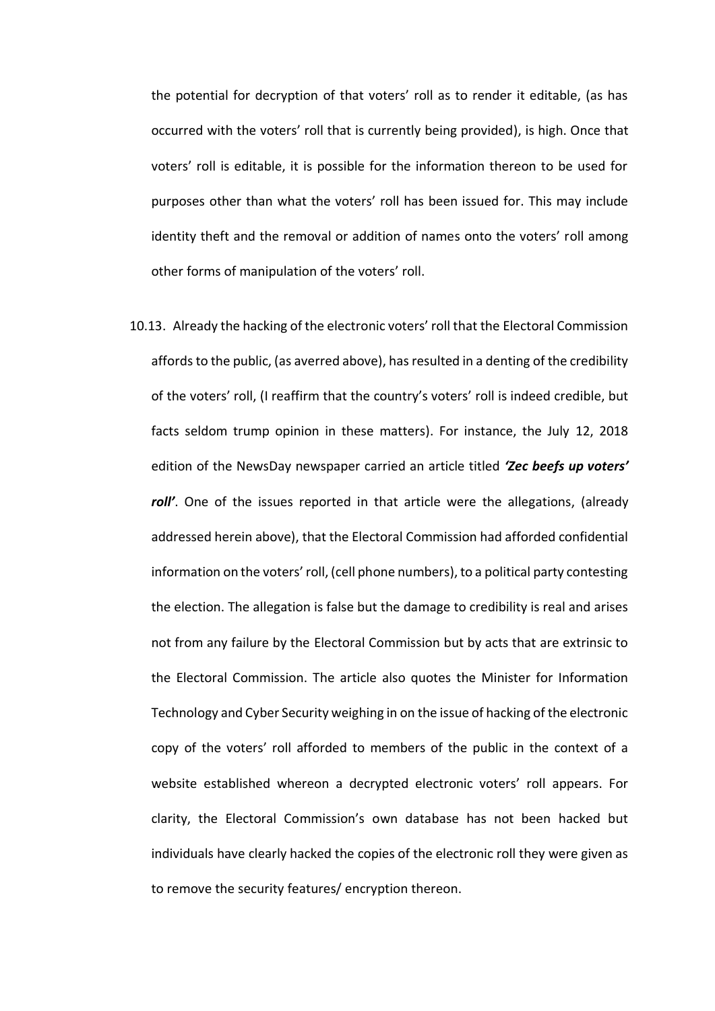the potential for decryption of that voters' roll as to render it editable, (as has occurred with the voters' roll that is currently being provided), is high. Once that voters' roll is editable, it is possible for the information thereon to be used for purposes other than what the voters' roll has been issued for. This may include identity theft and the removal or addition of names onto the voters' roll among other forms of manipulation of the voters' roll.

10.13. Already the hacking of the electronic voters' roll that the Electoral Commission affords to the public, (as averred above), has resulted in a denting of the credibility of the voters' roll, (I reaffirm that the country's voters' roll is indeed credible, but facts seldom trump opinion in these matters). For instance, the July 12, 2018 edition of the NewsDay newspaper carried an article titled *'Zec beefs up voters' roll'*. One of the issues reported in that article were the allegations, (already addressed herein above), that the Electoral Commission had afforded confidential information on the voters' roll, (cell phone numbers), to a political party contesting the election. The allegation is false but the damage to credibility is real and arises not from any failure by the Electoral Commission but by acts that are extrinsic to the Electoral Commission. The article also quotes the Minister for Information Technology and Cyber Security weighing in on the issue of hacking of the electronic copy of the voters' roll afforded to members of the public in the context of a website established whereon a decrypted electronic voters' roll appears. For clarity, the Electoral Commission's own database has not been hacked but individuals have clearly hacked the copies of the electronic roll they were given as to remove the security features/ encryption thereon.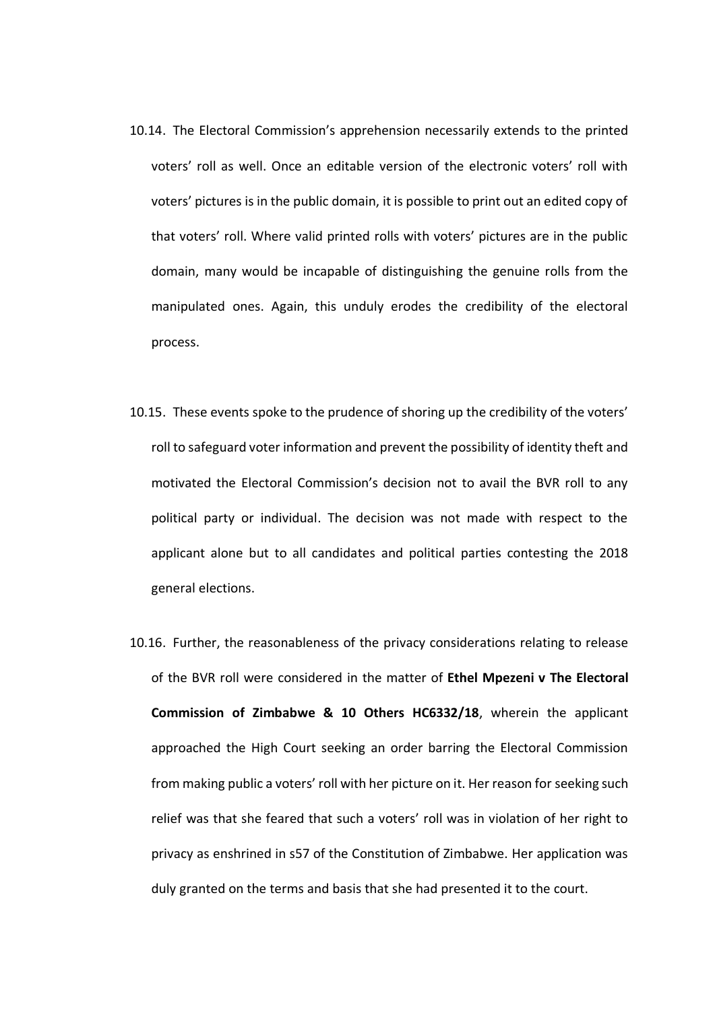- 10.14. The Electoral Commission's apprehension necessarily extends to the printed voters' roll as well. Once an editable version of the electronic voters' roll with voters' pictures is in the public domain, it is possible to print out an edited copy of that voters' roll. Where valid printed rolls with voters' pictures are in the public domain, many would be incapable of distinguishing the genuine rolls from the manipulated ones. Again, this unduly erodes the credibility of the electoral process.
- 10.15. These events spoke to the prudence of shoring up the credibility of the voters' roll to safeguard voter information and prevent the possibility of identity theft and motivated the Electoral Commission's decision not to avail the BVR roll to any political party or individual. The decision was not made with respect to the applicant alone but to all candidates and political parties contesting the 2018 general elections.
- 10.16. Further, the reasonableness of the privacy considerations relating to release of the BVR roll were considered in the matter of **Ethel Mpezeni v The Electoral Commission of Zimbabwe & 10 Others HC6332/18**, wherein the applicant approached the High Court seeking an order barring the Electoral Commission from making public a voters' roll with her picture on it. Her reason for seeking such relief was that she feared that such a voters' roll was in violation of her right to privacy as enshrined in s57 of the Constitution of Zimbabwe. Her application was duly granted on the terms and basis that she had presented it to the court.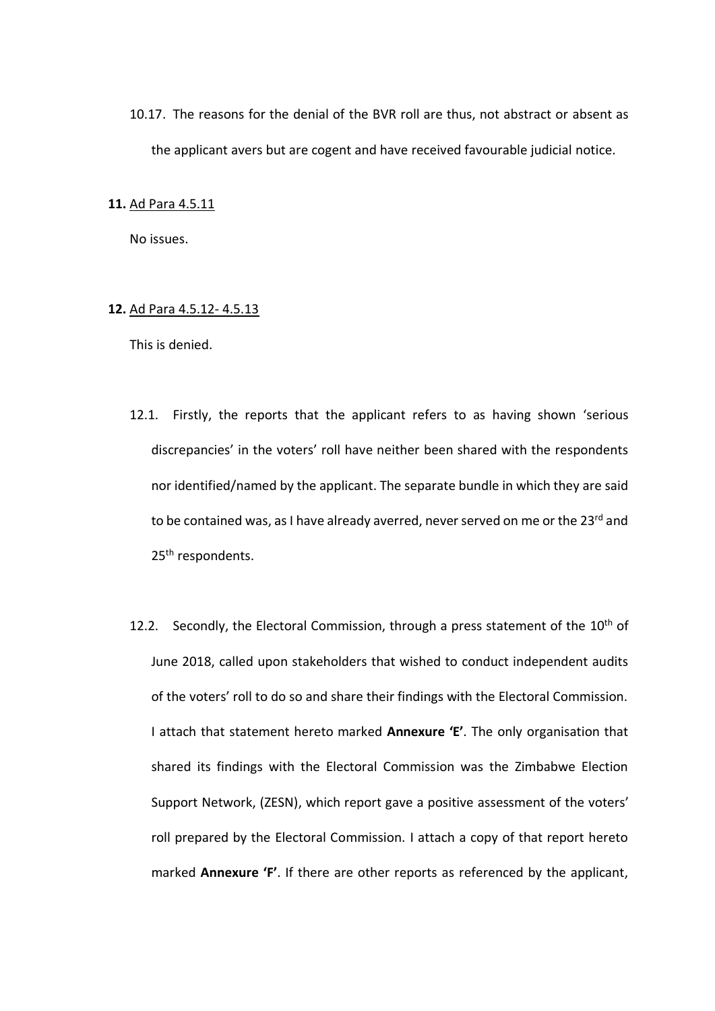10.17. The reasons for the denial of the BVR roll are thus, not abstract or absent as the applicant avers but are cogent and have received favourable judicial notice.

## **11.** Ad Para 4.5.11

No issues.

# **12.** Ad Para 4.5.12- 4.5.13

- 12.1. Firstly, the reports that the applicant refers to as having shown 'serious discrepancies' in the voters' roll have neither been shared with the respondents nor identified/named by the applicant. The separate bundle in which they are said to be contained was, as I have already averred, never served on me or the 23rd and 25<sup>th</sup> respondents.
- 12.2. Secondly, the Electoral Commission, through a press statement of the  $10<sup>th</sup>$  of June 2018, called upon stakeholders that wished to conduct independent audits of the voters' roll to do so and share their findings with the Electoral Commission. I attach that statement hereto marked **Annexure 'E'**. The only organisation that shared its findings with the Electoral Commission was the Zimbabwe Election Support Network, (ZESN), which report gave a positive assessment of the voters' roll prepared by the Electoral Commission. I attach a copy of that report hereto marked **Annexure 'F'**. If there are other reports as referenced by the applicant,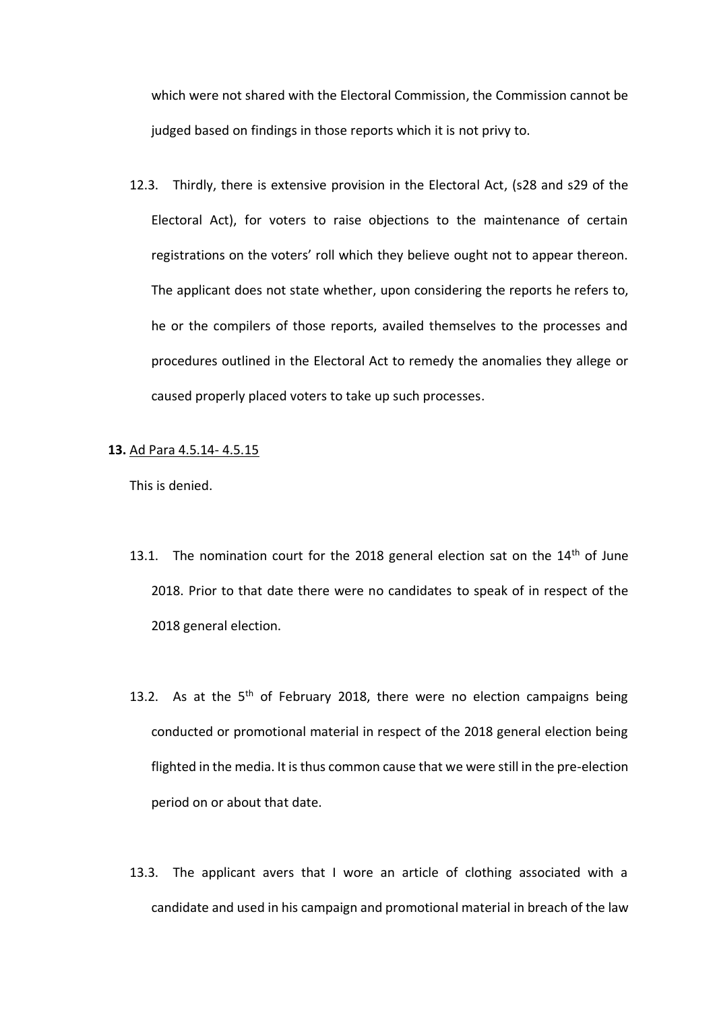which were not shared with the Electoral Commission, the Commission cannot be judged based on findings in those reports which it is not privy to.

12.3. Thirdly, there is extensive provision in the Electoral Act, (s28 and s29 of the Electoral Act), for voters to raise objections to the maintenance of certain registrations on the voters' roll which they believe ought not to appear thereon. The applicant does not state whether, upon considering the reports he refers to, he or the compilers of those reports, availed themselves to the processes and procedures outlined in the Electoral Act to remedy the anomalies they allege or caused properly placed voters to take up such processes.

## **13.** Ad Para 4.5.14- 4.5.15

- 13.1. The nomination court for the 2018 general election sat on the  $14<sup>th</sup>$  of June 2018. Prior to that date there were no candidates to speak of in respect of the 2018 general election.
- 13.2. As at the  $5<sup>th</sup>$  of February 2018, there were no election campaigns being conducted or promotional material in respect of the 2018 general election being flighted in the media. It is thus common cause that we were still in the pre-election period on or about that date.
- 13.3. The applicant avers that I wore an article of clothing associated with a candidate and used in his campaign and promotional material in breach of the law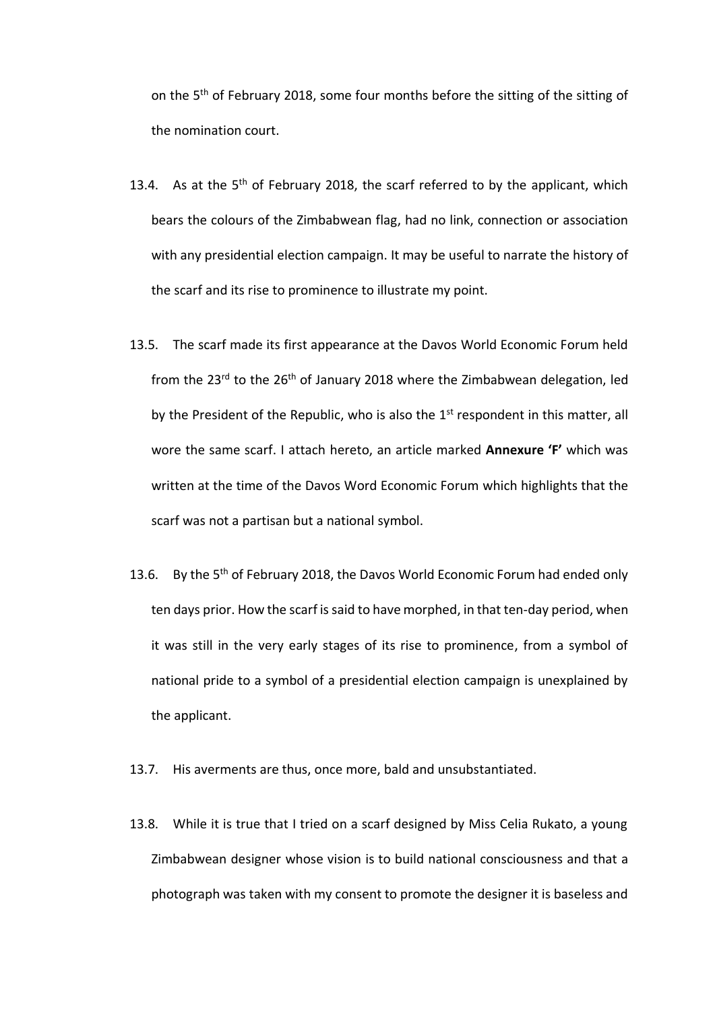on the 5<sup>th</sup> of February 2018, some four months before the sitting of the sitting of the nomination court.

- 13.4. As at the  $5<sup>th</sup>$  of February 2018, the scarf referred to by the applicant, which bears the colours of the Zimbabwean flag, had no link, connection or association with any presidential election campaign. It may be useful to narrate the history of the scarf and its rise to prominence to illustrate my point.
- 13.5. The scarf made its first appearance at the Davos World Economic Forum held from the  $23^{rd}$  to the  $26^{th}$  of January 2018 where the Zimbabwean delegation, led by the President of the Republic, who is also the  $1<sup>st</sup>$  respondent in this matter, all wore the same scarf. I attach hereto, an article marked **Annexure 'F'** which was written at the time of the Davos Word Economic Forum which highlights that the scarf was not a partisan but a national symbol.
- 13.6. By the 5<sup>th</sup> of February 2018, the Davos World Economic Forum had ended only ten days prior. How the scarf is said to have morphed, in that ten-day period, when it was still in the very early stages of its rise to prominence, from a symbol of national pride to a symbol of a presidential election campaign is unexplained by the applicant.
- 13.7. His averments are thus, once more, bald and unsubstantiated.
- 13.8. While it is true that I tried on a scarf designed by Miss Celia Rukato, a young Zimbabwean designer whose vision is to build national consciousness and that a photograph was taken with my consent to promote the designer it is baseless and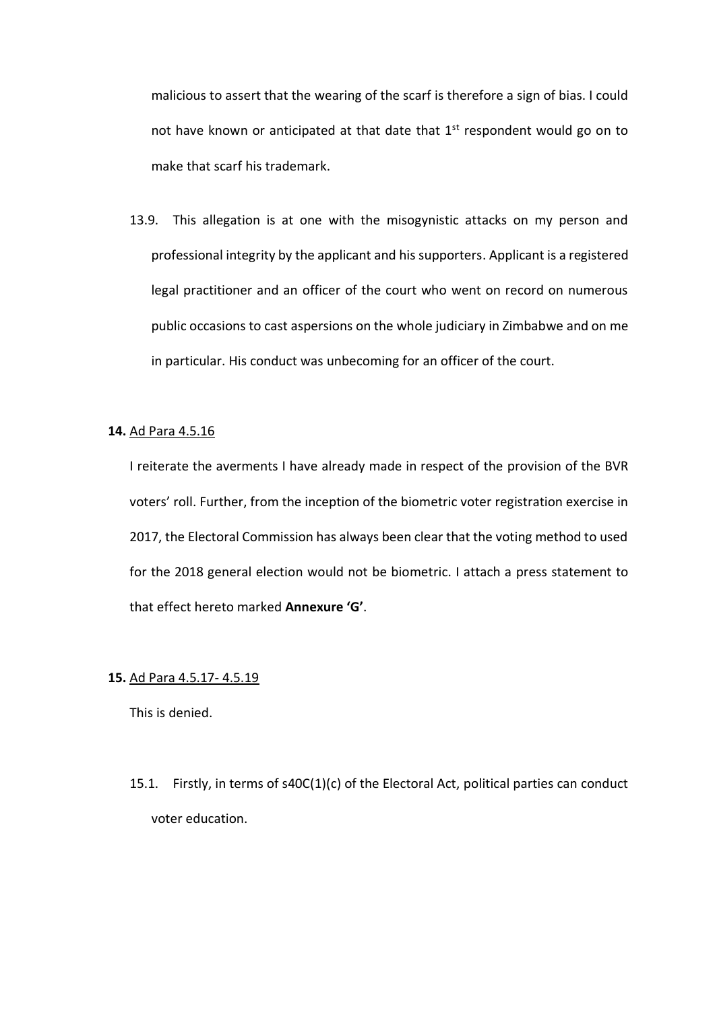malicious to assert that the wearing of the scarf is therefore a sign of bias. I could not have known or anticipated at that date that  $1<sup>st</sup>$  respondent would go on to make that scarf his trademark.

13.9. This allegation is at one with the misogynistic attacks on my person and professional integrity by the applicant and his supporters. Applicant is a registered legal practitioner and an officer of the court who went on record on numerous public occasions to cast aspersions on the whole judiciary in Zimbabwe and on me in particular. His conduct was unbecoming for an officer of the court.

### **14.** Ad Para 4.5.16

I reiterate the averments I have already made in respect of the provision of the BVR voters' roll. Further, from the inception of the biometric voter registration exercise in 2017, the Electoral Commission has always been clear that the voting method to used for the 2018 general election would not be biometric. I attach a press statement to that effect hereto marked **Annexure 'G'**.

## **15.** Ad Para 4.5.17- 4.5.19

This is denied.

15.1. Firstly, in terms of s40C(1)(c) of the Electoral Act, political parties can conduct voter education.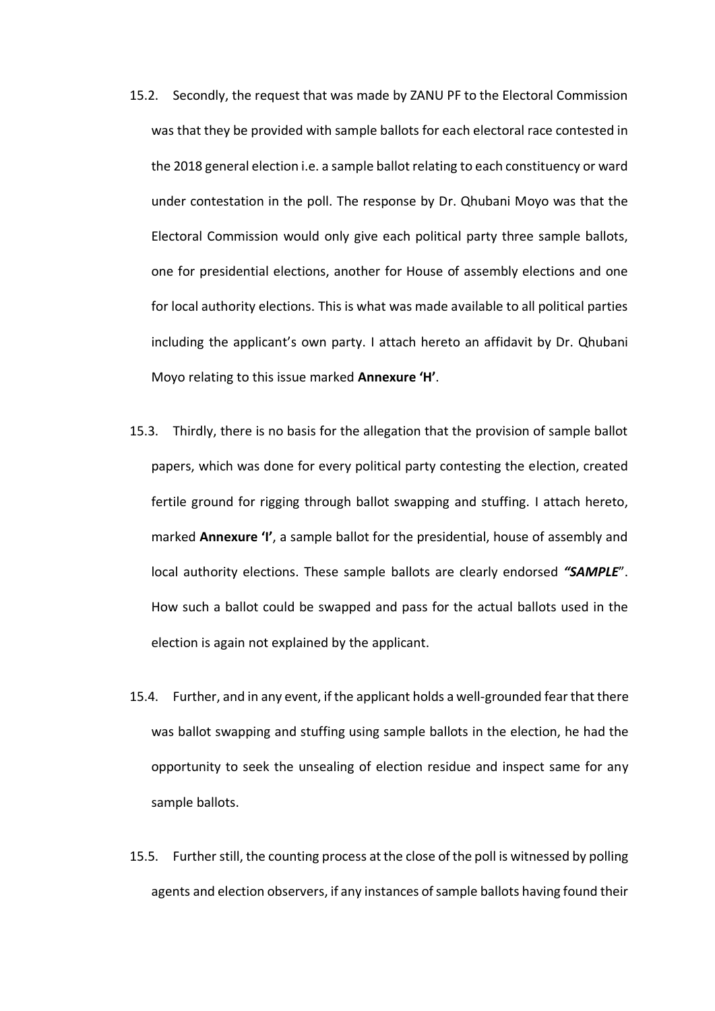- 15.2. Secondly, the request that was made by ZANU PF to the Electoral Commission was that they be provided with sample ballots for each electoral race contested in the 2018 general election i.e. a sample ballot relating to each constituency or ward under contestation in the poll. The response by Dr. Qhubani Moyo was that the Electoral Commission would only give each political party three sample ballots, one for presidential elections, another for House of assembly elections and one for local authority elections. This is what was made available to all political parties including the applicant's own party. I attach hereto an affidavit by Dr. Qhubani Moyo relating to this issue marked **Annexure 'H'**.
- 15.3. Thirdly, there is no basis for the allegation that the provision of sample ballot papers, which was done for every political party contesting the election, created fertile ground for rigging through ballot swapping and stuffing. I attach hereto, marked **Annexure 'I'**, a sample ballot for the presidential, house of assembly and local authority elections. These sample ballots are clearly endorsed *"SAMPLE*". How such a ballot could be swapped and pass for the actual ballots used in the election is again not explained by the applicant.
- 15.4. Further, and in any event, if the applicant holds a well-grounded fear that there was ballot swapping and stuffing using sample ballots in the election, he had the opportunity to seek the unsealing of election residue and inspect same for any sample ballots.
- 15.5. Further still, the counting process at the close of the poll is witnessed by polling agents and election observers, if any instances of sample ballots having found their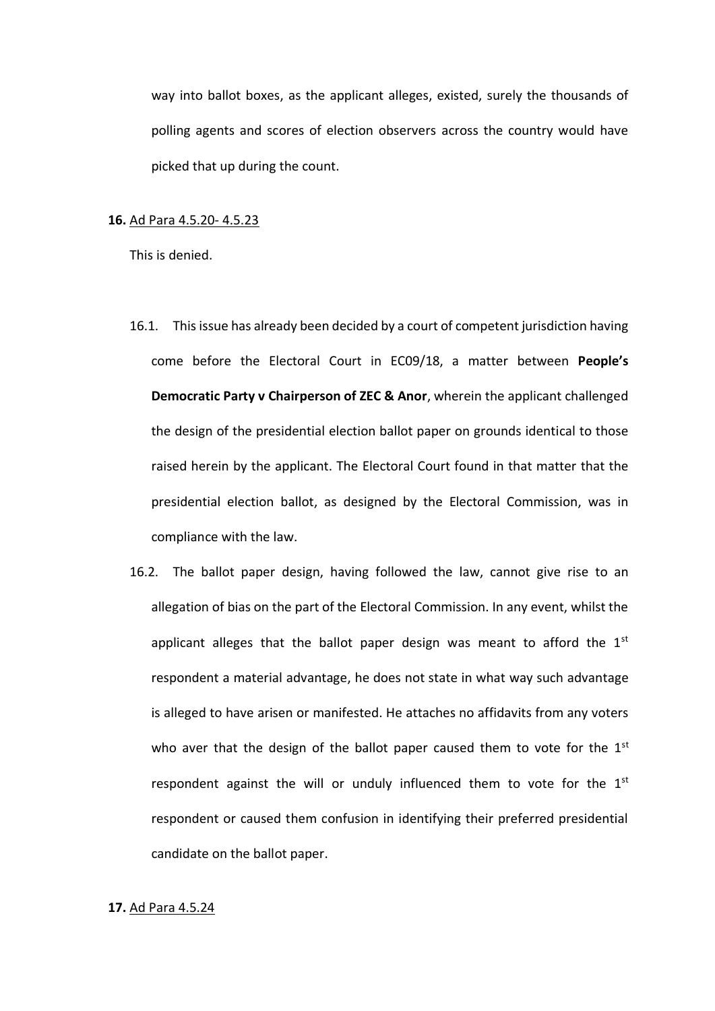way into ballot boxes, as the applicant alleges, existed, surely the thousands of polling agents and scores of election observers across the country would have picked that up during the count.

### **16.** Ad Para 4.5.20- 4.5.23

This is denied.

- 16.1. This issue has already been decided by a court of competent jurisdiction having come before the Electoral Court in EC09/18, a matter between **People's Democratic Party v Chairperson of ZEC & Anor**, wherein the applicant challenged the design of the presidential election ballot paper on grounds identical to those raised herein by the applicant. The Electoral Court found in that matter that the presidential election ballot, as designed by the Electoral Commission, was in compliance with the law.
- 16.2. The ballot paper design, having followed the law, cannot give rise to an allegation of bias on the part of the Electoral Commission. In any event, whilst the applicant alleges that the ballot paper design was meant to afford the  $1<sup>st</sup>$ respondent a material advantage, he does not state in what way such advantage is alleged to have arisen or manifested. He attaches no affidavits from any voters who aver that the design of the ballot paper caused them to vote for the 1st respondent against the will or unduly influenced them to vote for the 1<sup>st</sup> respondent or caused them confusion in identifying their preferred presidential candidate on the ballot paper.

### **17.** Ad Para 4.5.24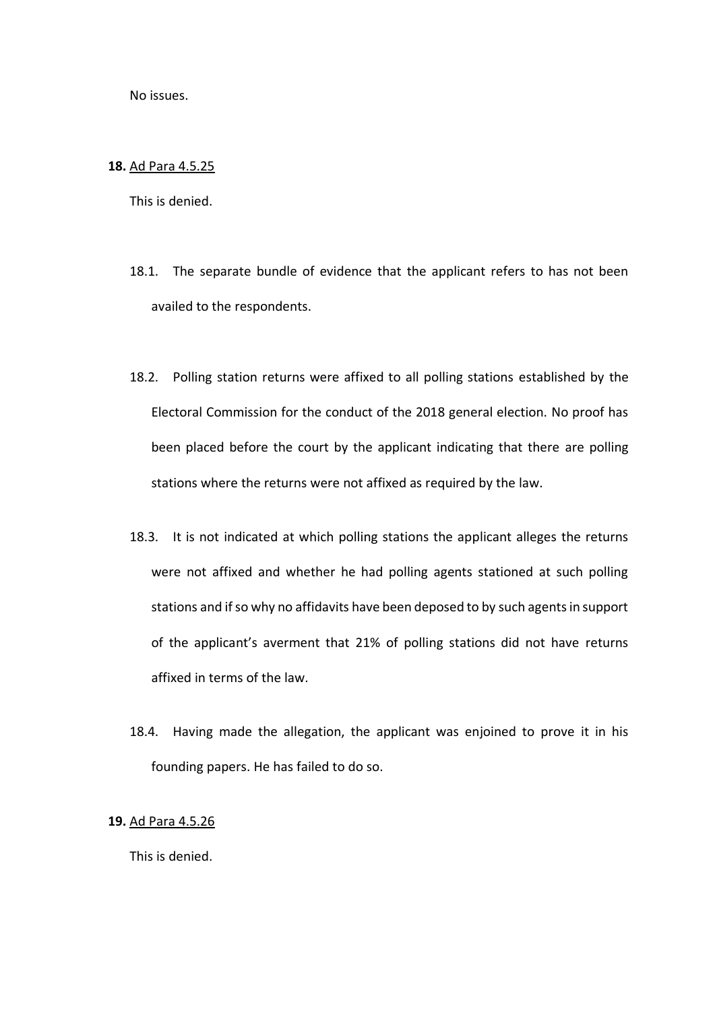No issues.

## **18.** Ad Para 4.5.25

This is denied.

- 18.1. The separate bundle of evidence that the applicant refers to has not been availed to the respondents.
- 18.2. Polling station returns were affixed to all polling stations established by the Electoral Commission for the conduct of the 2018 general election. No proof has been placed before the court by the applicant indicating that there are polling stations where the returns were not affixed as required by the law.
- 18.3. It is not indicated at which polling stations the applicant alleges the returns were not affixed and whether he had polling agents stationed at such polling stations and if so why no affidavits have been deposed to by such agents in support of the applicant's averment that 21% of polling stations did not have returns affixed in terms of the law.
- 18.4. Having made the allegation, the applicant was enjoined to prove it in his founding papers. He has failed to do so.

## **19.** Ad Para 4.5.26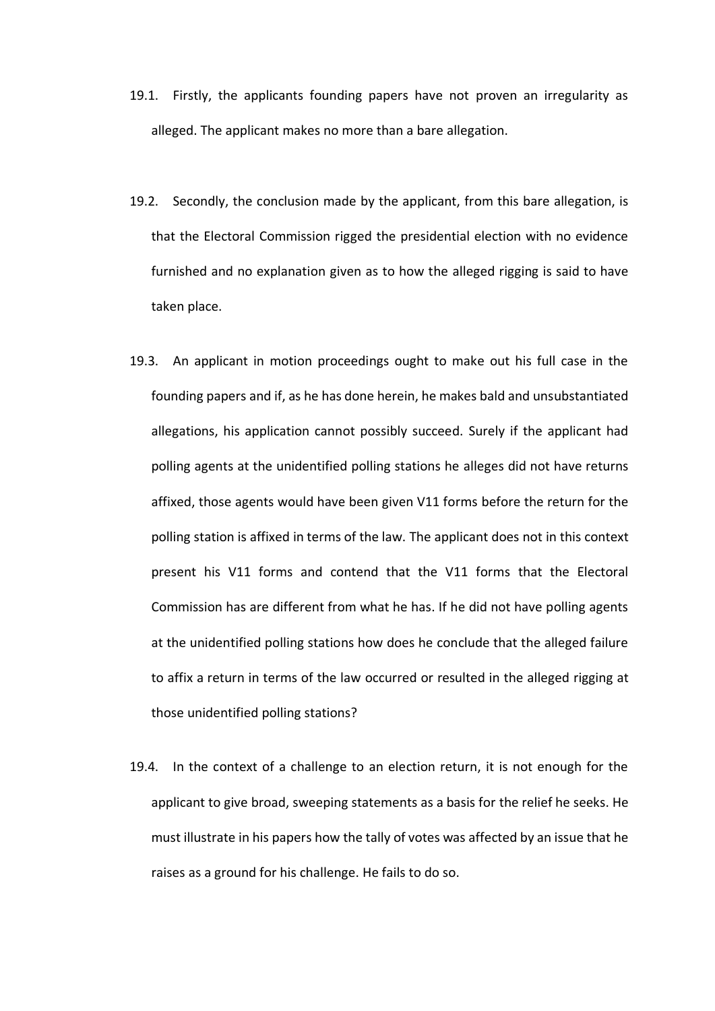- 19.1. Firstly, the applicants founding papers have not proven an irregularity as alleged. The applicant makes no more than a bare allegation.
- 19.2. Secondly, the conclusion made by the applicant, from this bare allegation, is that the Electoral Commission rigged the presidential election with no evidence furnished and no explanation given as to how the alleged rigging is said to have taken place.
- 19.3. An applicant in motion proceedings ought to make out his full case in the founding papers and if, as he has done herein, he makes bald and unsubstantiated allegations, his application cannot possibly succeed. Surely if the applicant had polling agents at the unidentified polling stations he alleges did not have returns affixed, those agents would have been given V11 forms before the return for the polling station is affixed in terms of the law. The applicant does not in this context present his V11 forms and contend that the V11 forms that the Electoral Commission has are different from what he has. If he did not have polling agents at the unidentified polling stations how does he conclude that the alleged failure to affix a return in terms of the law occurred or resulted in the alleged rigging at those unidentified polling stations?
- 19.4. In the context of a challenge to an election return, it is not enough for the applicant to give broad, sweeping statements as a basis for the relief he seeks. He must illustrate in his papers how the tally of votes was affected by an issue that he raises as a ground for his challenge. He fails to do so.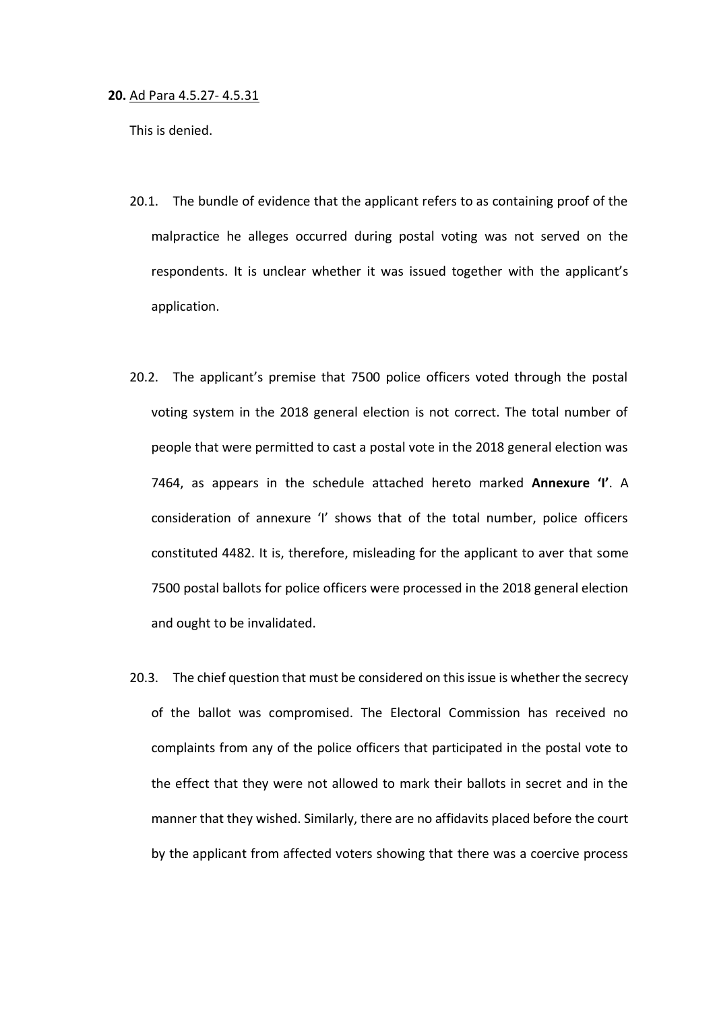#### **20.** Ad Para 4.5.27- 4.5.31

- 20.1. The bundle of evidence that the applicant refers to as containing proof of the malpractice he alleges occurred during postal voting was not served on the respondents. It is unclear whether it was issued together with the applicant's application.
- 20.2. The applicant's premise that 7500 police officers voted through the postal voting system in the 2018 general election is not correct. The total number of people that were permitted to cast a postal vote in the 2018 general election was 7464, as appears in the schedule attached hereto marked **Annexure 'I'**. A consideration of annexure 'I' shows that of the total number, police officers constituted 4482. It is, therefore, misleading for the applicant to aver that some 7500 postal ballots for police officers were processed in the 2018 general election and ought to be invalidated.
- 20.3. The chief question that must be considered on this issue is whether the secrecy of the ballot was compromised. The Electoral Commission has received no complaints from any of the police officers that participated in the postal vote to the effect that they were not allowed to mark their ballots in secret and in the manner that they wished. Similarly, there are no affidavits placed before the court by the applicant from affected voters showing that there was a coercive process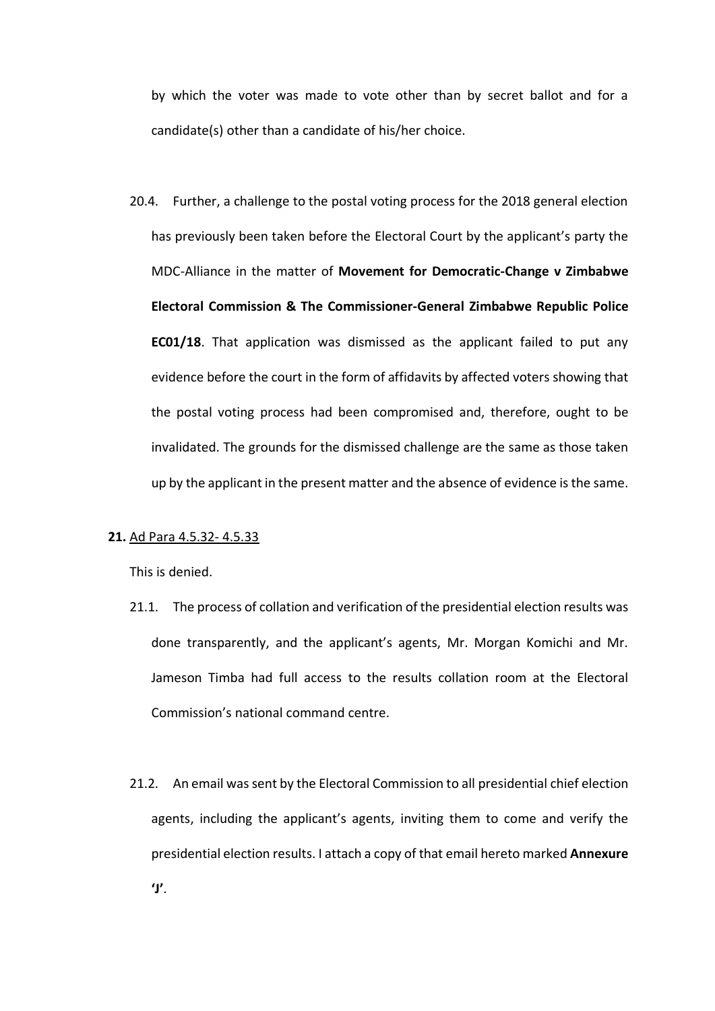by which the voter was made to vote other than by secret ballot and for a candidate(s) other than a candidate of his/her choice.

20.4. Further, a challenge to the postal voting process for the 2018 general election has previously been taken before the Electoral Court by the applicant's party the MDC-Alliance in the matter of **Movement for Democratic-Change v Zimbabwe Electoral Commission & The Commissioner-General Zimbabwe Republic Police EC01/18**. That application was dismissed as the applicant failed to put any evidence before the court in the form of affidavits by affected voters showing that the postal voting process had been compromised and, therefore, ought to be invalidated. The grounds for the dismissed challenge are the same as those taken up by the applicant in the present matter and the absence of evidence is the same.

# **21.** Ad Para 4.5.32- 4.5.33

- 21.1. The process of collation and verification of the presidential election results was done transparently, and the applicant's agents, Mr. Morgan Komichi and Mr. Jameson Timba had full access to the results collation room at the Electoral Commission's national command centre.
- 21.2. An email was sent by the Electoral Commission to all presidential chief election agents, including the applicant's agents, inviting them to come and verify the presidential election results. I attach a copy of that email hereto marked **Annexure 'J'**.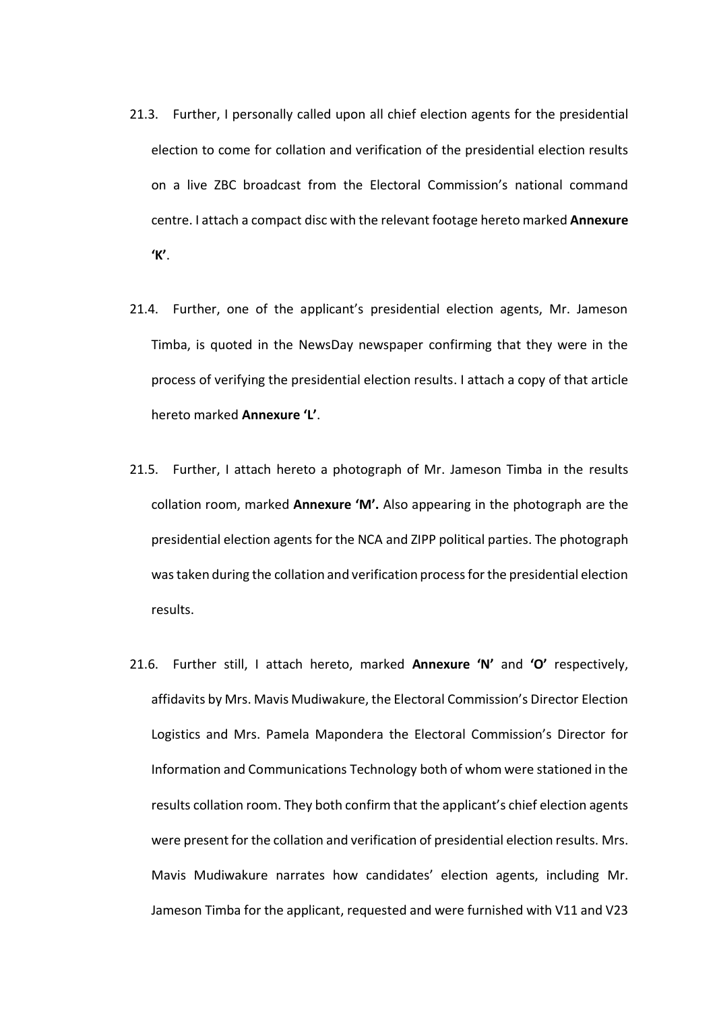- 21.3. Further, I personally called upon all chief election agents for the presidential election to come for collation and verification of the presidential election results on a live ZBC broadcast from the Electoral Commission's national command centre. I attach a compact disc with the relevant footage hereto marked **Annexure 'K'**.
- 21.4. Further, one of the applicant's presidential election agents, Mr. Jameson Timba, is quoted in the NewsDay newspaper confirming that they were in the process of verifying the presidential election results. I attach a copy of that article hereto marked **Annexure 'L'**.
- 21.5. Further, I attach hereto a photograph of Mr. Jameson Timba in the results collation room, marked **Annexure 'M'.** Also appearing in the photograph are the presidential election agents for the NCA and ZIPP political parties. The photograph was taken during the collation and verification process for the presidential election results.
- 21.6. Further still, I attach hereto, marked **Annexure 'N'** and **'O'** respectively, affidavits by Mrs. Mavis Mudiwakure, the Electoral Commission's Director Election Logistics and Mrs. Pamela Mapondera the Electoral Commission's Director for Information and Communications Technology both of whom were stationed in the results collation room. They both confirm that the applicant's chief election agents were present for the collation and verification of presidential election results. Mrs. Mavis Mudiwakure narrates how candidates' election agents, including Mr. Jameson Timba for the applicant, requested and were furnished with V11 and V23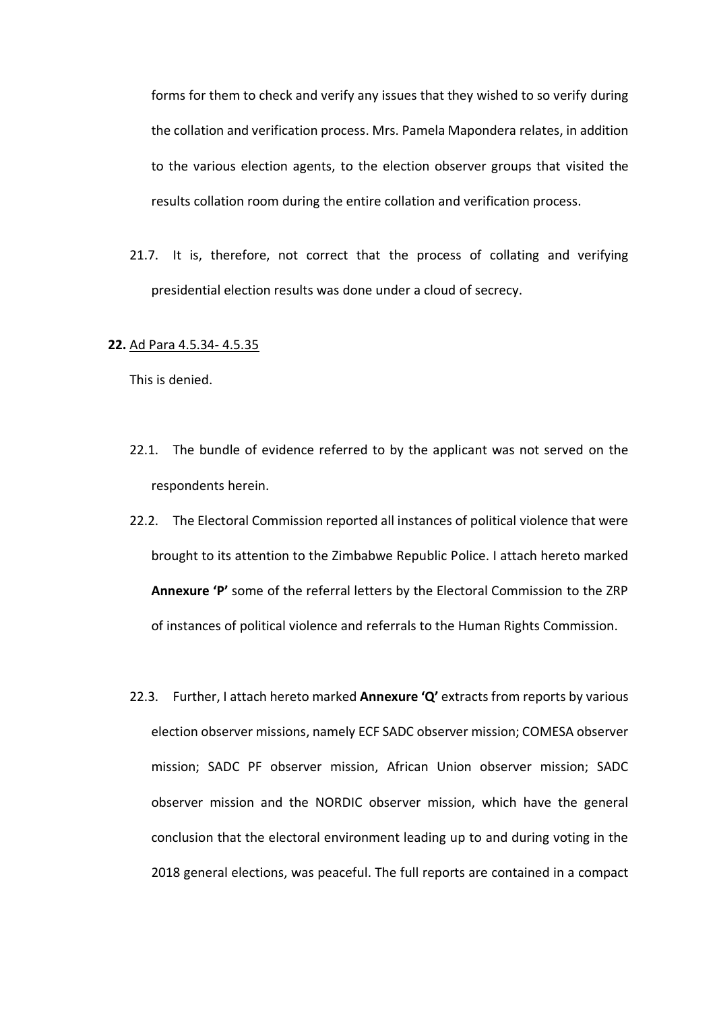forms for them to check and verify any issues that they wished to so verify during the collation and verification process. Mrs. Pamela Mapondera relates, in addition to the various election agents, to the election observer groups that visited the results collation room during the entire collation and verification process.

21.7. It is, therefore, not correct that the process of collating and verifying presidential election results was done under a cloud of secrecy.

#### **22.** Ad Para 4.5.34- 4.5.35

- 22.1. The bundle of evidence referred to by the applicant was not served on the respondents herein.
- 22.2. The Electoral Commission reported all instances of political violence that were brought to its attention to the Zimbabwe Republic Police. I attach hereto marked **Annexure 'P'** some of the referral letters by the Electoral Commission to the ZRP of instances of political violence and referrals to the Human Rights Commission.
- 22.3. Further, I attach hereto marked **Annexure 'Q'** extracts from reports by various election observer missions, namely ECF SADC observer mission; COMESA observer mission; SADC PF observer mission, African Union observer mission; SADC observer mission and the NORDIC observer mission, which have the general conclusion that the electoral environment leading up to and during voting in the 2018 general elections, was peaceful. The full reports are contained in a compact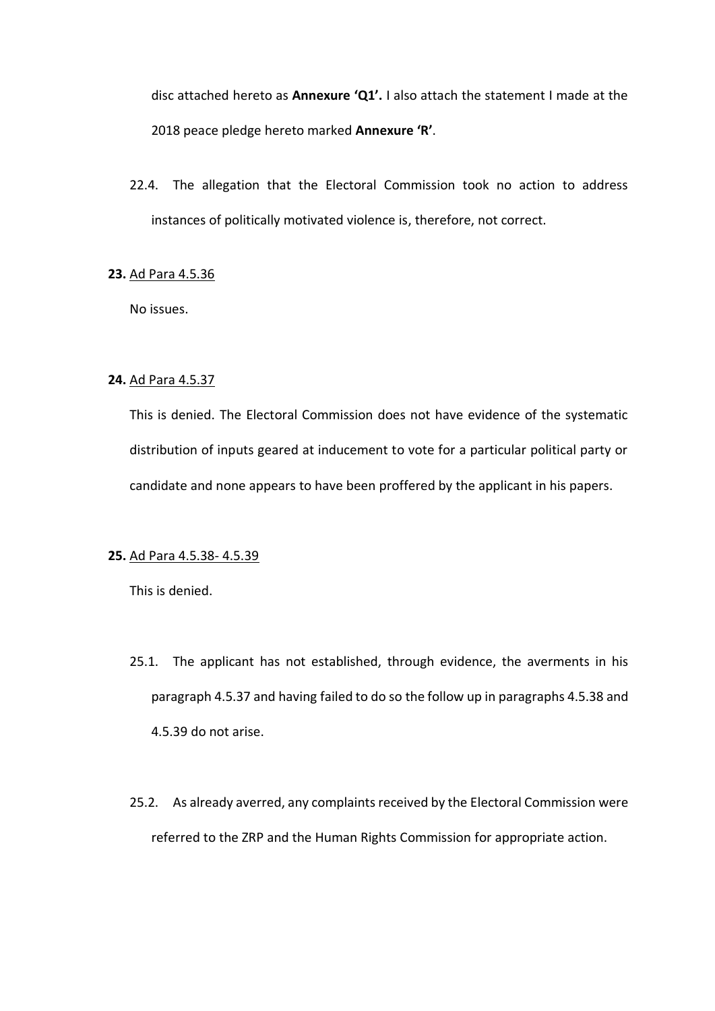disc attached hereto as **Annexure 'Q1'.** I also attach the statement I made at the 2018 peace pledge hereto marked **Annexure 'R'**.

22.4. The allegation that the Electoral Commission took no action to address instances of politically motivated violence is, therefore, not correct.

## **23.** Ad Para 4.5.36

No issues.

## **24.** Ad Para 4.5.37

This is denied. The Electoral Commission does not have evidence of the systematic distribution of inputs geared at inducement to vote for a particular political party or candidate and none appears to have been proffered by the applicant in his papers.

#### **25.** Ad Para 4.5.38- 4.5.39

- 25.1. The applicant has not established, through evidence, the averments in his paragraph 4.5.37 and having failed to do so the follow up in paragraphs 4.5.38 and 4.5.39 do not arise.
- 25.2. As already averred, any complaints received by the Electoral Commission were referred to the ZRP and the Human Rights Commission for appropriate action.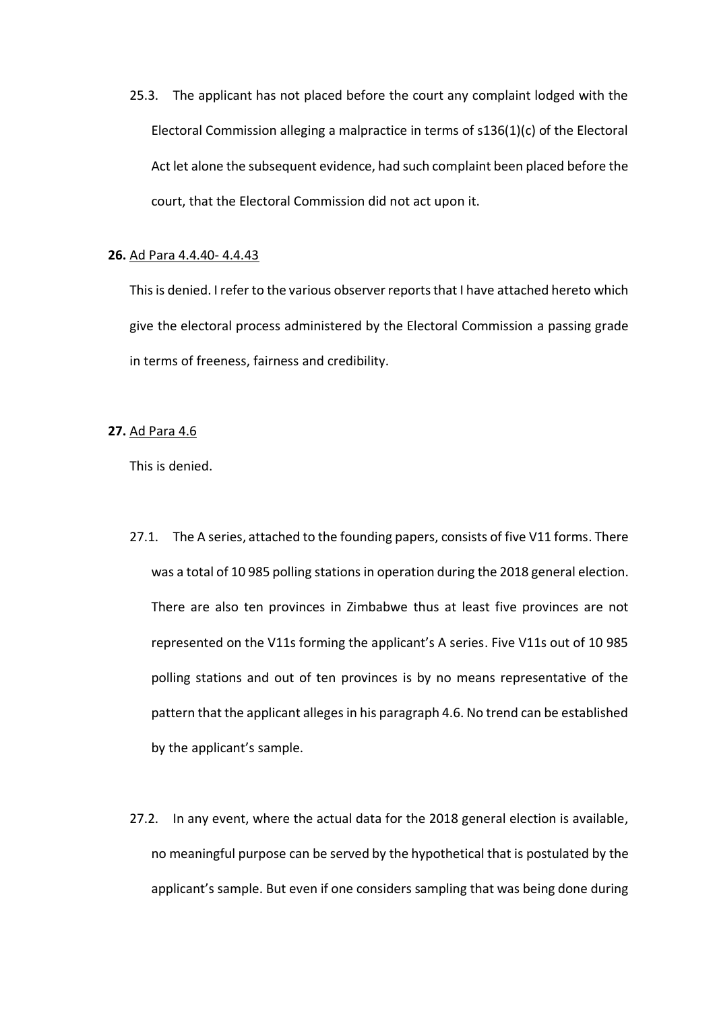25.3. The applicant has not placed before the court any complaint lodged with the Electoral Commission alleging a malpractice in terms of s136(1)(c) of the Electoral Act let alone the subsequent evidence, had such complaint been placed before the court, that the Electoral Commission did not act upon it.

### **26.** Ad Para 4.4.40- 4.4.43

This is denied. I refer to the various observer reports that I have attached hereto which give the electoral process administered by the Electoral Commission a passing grade in terms of freeness, fairness and credibility.

### **27.** Ad Para 4.6

- 27.1. The A series, attached to the founding papers, consists of five V11 forms. There was a total of 10 985 polling stations in operation during the 2018 general election. There are also ten provinces in Zimbabwe thus at least five provinces are not represented on the V11s forming the applicant's A series. Five V11s out of 10 985 polling stations and out of ten provinces is by no means representative of the pattern that the applicant alleges in his paragraph 4.6. No trend can be established by the applicant's sample.
- 27.2. In any event, where the actual data for the 2018 general election is available, no meaningful purpose can be served by the hypothetical that is postulated by the applicant's sample. But even if one considers sampling that was being done during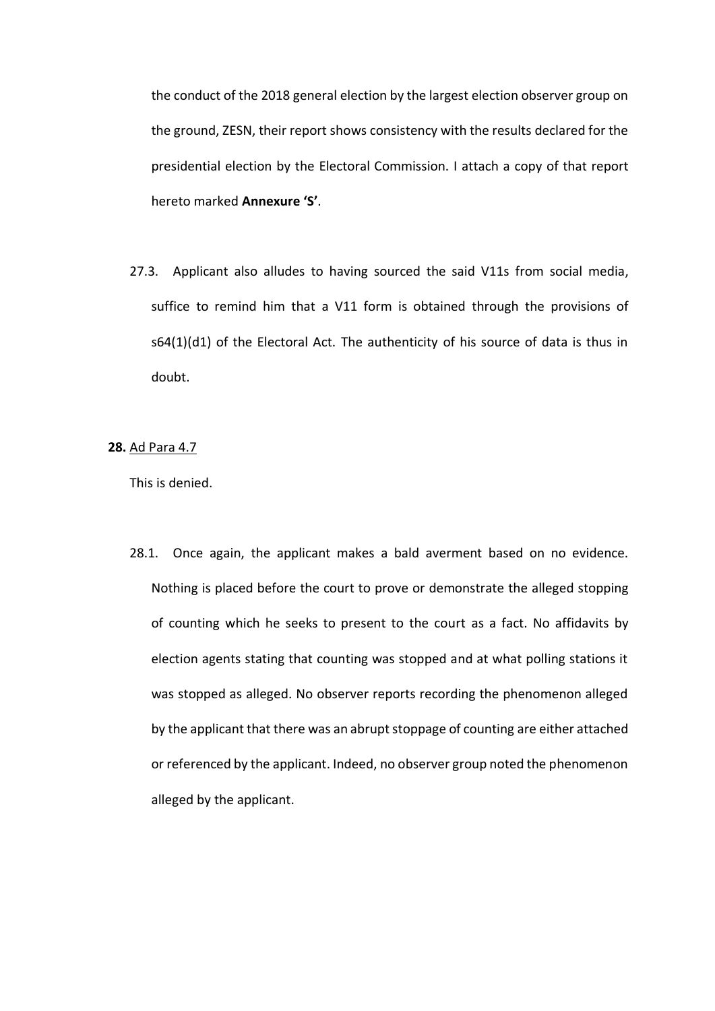the conduct of the 2018 general election by the largest election observer group on the ground, ZESN, their report shows consistency with the results declared for the presidential election by the Electoral Commission. I attach a copy of that report hereto marked **Annexure 'S'**.

27.3. Applicant also alludes to having sourced the said V11s from social media, suffice to remind him that a V11 form is obtained through the provisions of s64(1)(d1) of the Electoral Act. The authenticity of his source of data is thus in doubt.

**28.** Ad Para 4.7

This is denied.

28.1. Once again, the applicant makes a bald averment based on no evidence. Nothing is placed before the court to prove or demonstrate the alleged stopping of counting which he seeks to present to the court as a fact. No affidavits by election agents stating that counting was stopped and at what polling stations it was stopped as alleged. No observer reports recording the phenomenon alleged by the applicant that there was an abrupt stoppage of counting are either attached or referenced by the applicant. Indeed, no observer group noted the phenomenon alleged by the applicant.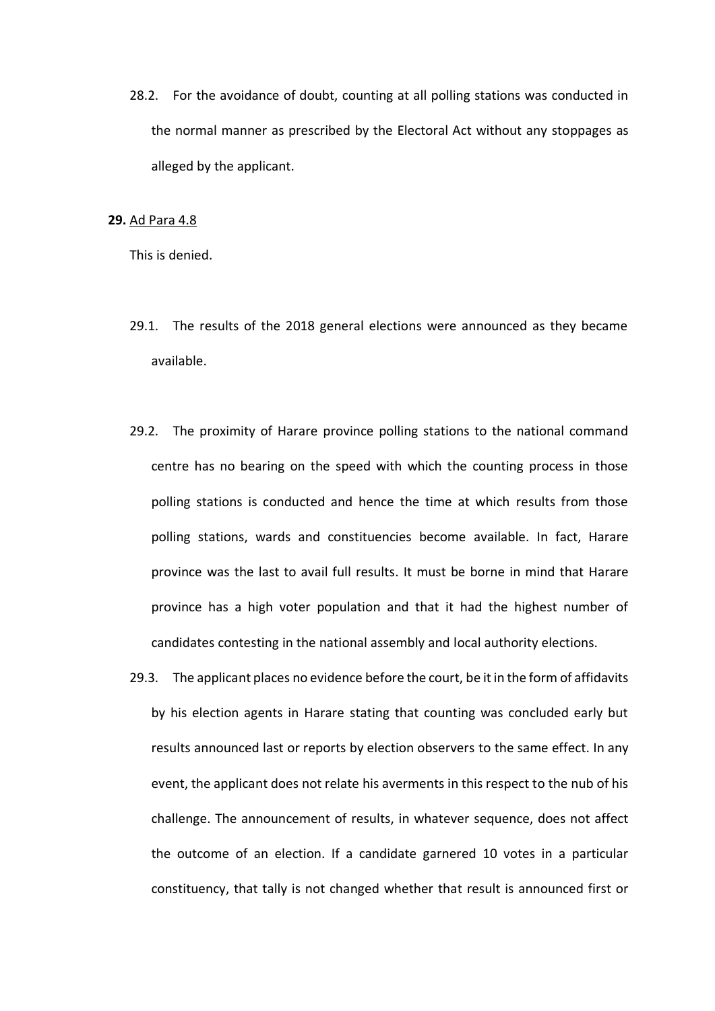28.2. For the avoidance of doubt, counting at all polling stations was conducted in the normal manner as prescribed by the Electoral Act without any stoppages as alleged by the applicant.

### **29.** Ad Para 4.8

- 29.1. The results of the 2018 general elections were announced as they became available.
- 29.2. The proximity of Harare province polling stations to the national command centre has no bearing on the speed with which the counting process in those polling stations is conducted and hence the time at which results from those polling stations, wards and constituencies become available. In fact, Harare province was the last to avail full results. It must be borne in mind that Harare province has a high voter population and that it had the highest number of candidates contesting in the national assembly and local authority elections.
- 29.3. The applicant places no evidence before the court, be it in the form of affidavits by his election agents in Harare stating that counting was concluded early but results announced last or reports by election observers to the same effect. In any event, the applicant does not relate his averments in this respect to the nub of his challenge. The announcement of results, in whatever sequence, does not affect the outcome of an election. If a candidate garnered 10 votes in a particular constituency, that tally is not changed whether that result is announced first or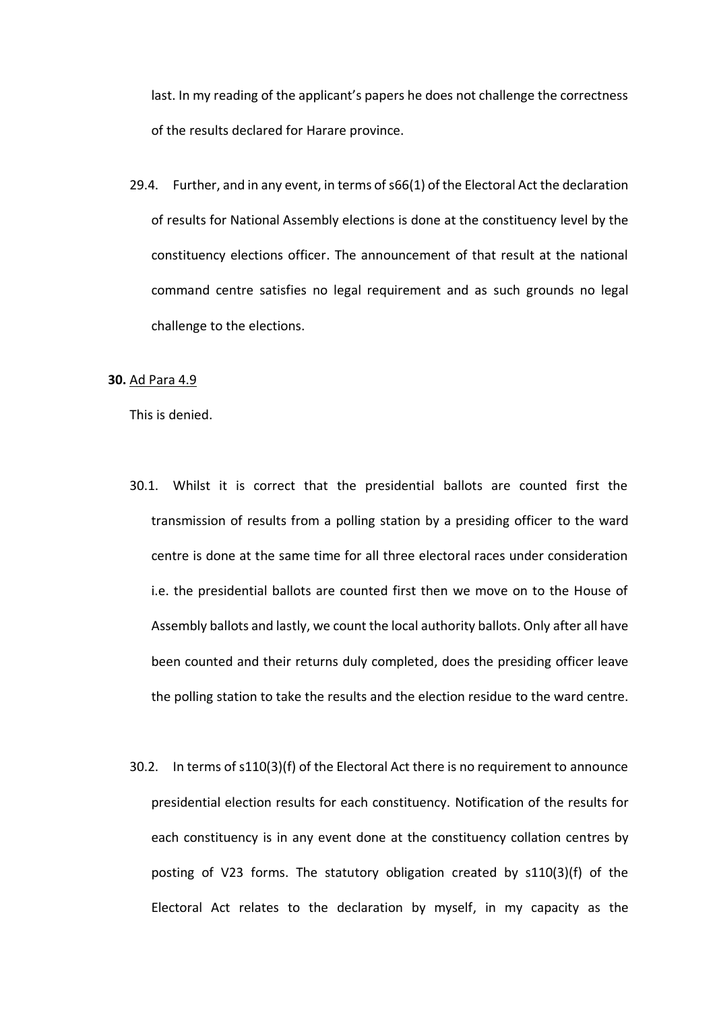last. In my reading of the applicant's papers he does not challenge the correctness of the results declared for Harare province.

29.4. Further, and in any event, in terms of s66(1) of the Electoral Act the declaration of results for National Assembly elections is done at the constituency level by the constituency elections officer. The announcement of that result at the national command centre satisfies no legal requirement and as such grounds no legal challenge to the elections.

#### **30.** Ad Para 4.9

- 30.1. Whilst it is correct that the presidential ballots are counted first the transmission of results from a polling station by a presiding officer to the ward centre is done at the same time for all three electoral races under consideration i.e. the presidential ballots are counted first then we move on to the House of Assembly ballots and lastly, we count the local authority ballots. Only after all have been counted and their returns duly completed, does the presiding officer leave the polling station to take the results and the election residue to the ward centre.
- 30.2. In terms of s110(3)(f) of the Electoral Act there is no requirement to announce presidential election results for each constituency. Notification of the results for each constituency is in any event done at the constituency collation centres by posting of V23 forms. The statutory obligation created by s110(3)(f) of the Electoral Act relates to the declaration by myself, in my capacity as the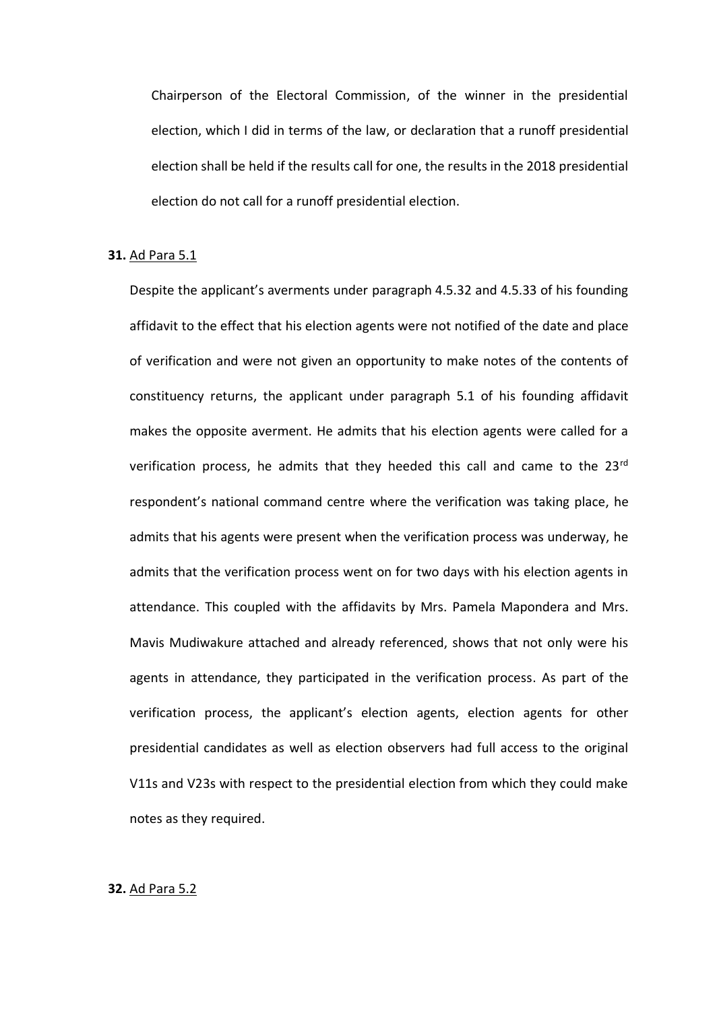Chairperson of the Electoral Commission, of the winner in the presidential election, which I did in terms of the law, or declaration that a runoff presidential election shall be held if the results call for one, the results in the 2018 presidential election do not call for a runoff presidential election.

#### **31.** Ad Para 5.1

Despite the applicant's averments under paragraph 4.5.32 and 4.5.33 of his founding affidavit to the effect that his election agents were not notified of the date and place of verification and were not given an opportunity to make notes of the contents of constituency returns, the applicant under paragraph 5.1 of his founding affidavit makes the opposite averment. He admits that his election agents were called for a verification process, he admits that they heeded this call and came to the 23rd respondent's national command centre where the verification was taking place, he admits that his agents were present when the verification process was underway, he admits that the verification process went on for two days with his election agents in attendance. This coupled with the affidavits by Mrs. Pamela Mapondera and Mrs. Mavis Mudiwakure attached and already referenced, shows that not only were his agents in attendance, they participated in the verification process. As part of the verification process, the applicant's election agents, election agents for other presidential candidates as well as election observers had full access to the original V11s and V23s with respect to the presidential election from which they could make notes as they required.

#### **32.** Ad Para 5.2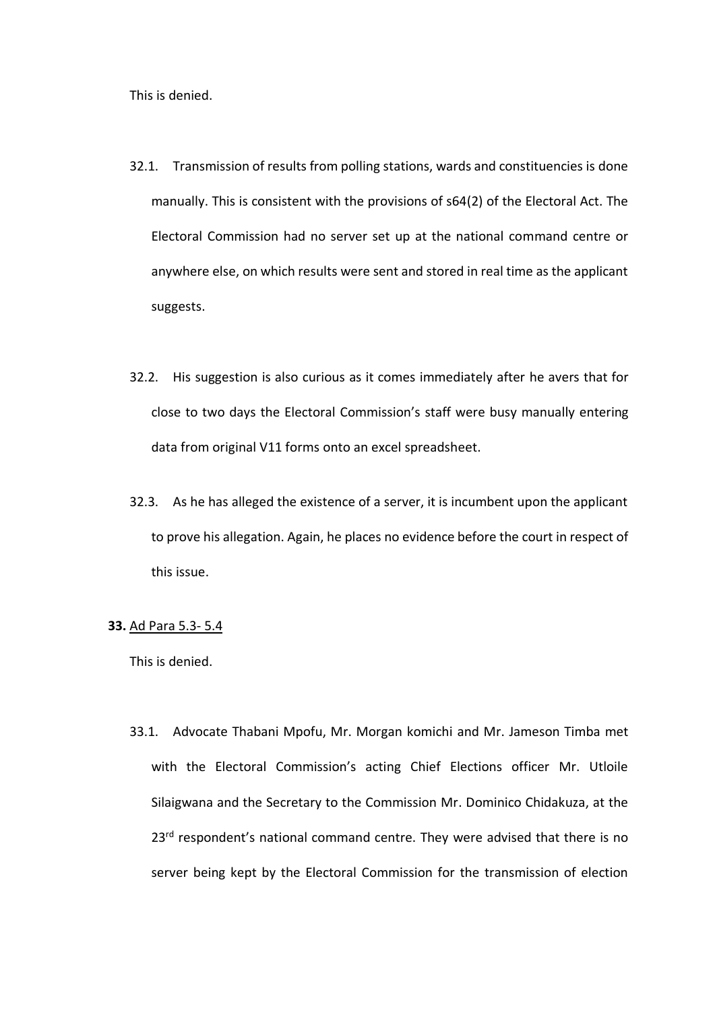This is denied.

- 32.1. Transmission of results from polling stations, wards and constituencies is done manually. This is consistent with the provisions of s64(2) of the Electoral Act. The Electoral Commission had no server set up at the national command centre or anywhere else, on which results were sent and stored in real time as the applicant suggests.
- 32.2. His suggestion is also curious as it comes immediately after he avers that for close to two days the Electoral Commission's staff were busy manually entering data from original V11 forms onto an excel spreadsheet.
- 32.3. As he has alleged the existence of a server, it is incumbent upon the applicant to prove his allegation. Again, he places no evidence before the court in respect of this issue.

## **33.** Ad Para 5.3- 5.4

This is denied.

33.1. Advocate Thabani Mpofu, Mr. Morgan komichi and Mr. Jameson Timba met with the Electoral Commission's acting Chief Elections officer Mr. Utloile Silaigwana and the Secretary to the Commission Mr. Dominico Chidakuza, at the 23<sup>rd</sup> respondent's national command centre. They were advised that there is no server being kept by the Electoral Commission for the transmission of election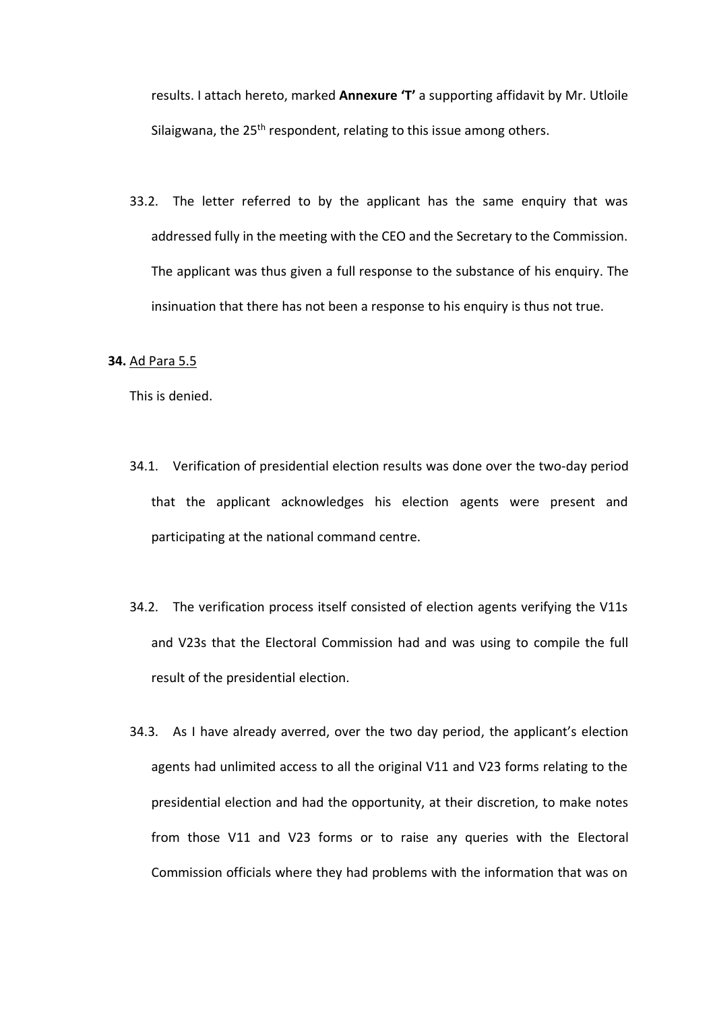results. I attach hereto, marked **Annexure 'T'** a supporting affidavit by Mr. Utloile Silaigwana, the 25<sup>th</sup> respondent, relating to this issue among others.

33.2. The letter referred to by the applicant has the same enquiry that was addressed fully in the meeting with the CEO and the Secretary to the Commission. The applicant was thus given a full response to the substance of his enquiry. The insinuation that there has not been a response to his enquiry is thus not true.

### **34.** Ad Para 5.5

- 34.1. Verification of presidential election results was done over the two-day period that the applicant acknowledges his election agents were present and participating at the national command centre.
- 34.2. The verification process itself consisted of election agents verifying the V11s and V23s that the Electoral Commission had and was using to compile the full result of the presidential election.
- 34.3. As I have already averred, over the two day period, the applicant's election agents had unlimited access to all the original V11 and V23 forms relating to the presidential election and had the opportunity, at their discretion, to make notes from those V11 and V23 forms or to raise any queries with the Electoral Commission officials where they had problems with the information that was on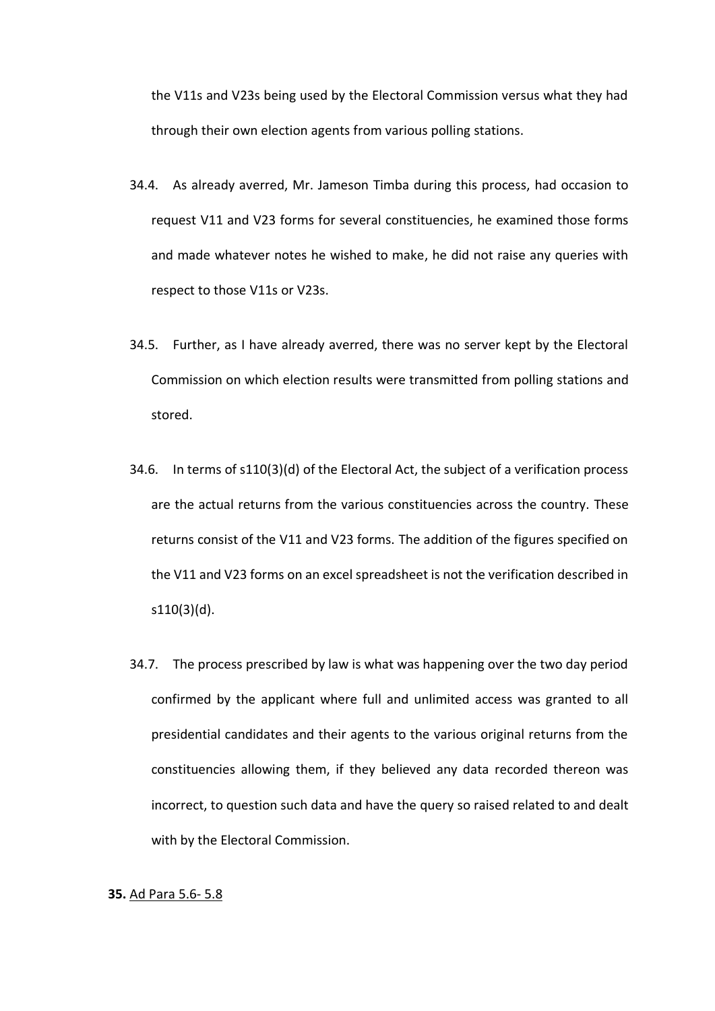the V11s and V23s being used by the Electoral Commission versus what they had through their own election agents from various polling stations.

- 34.4. As already averred, Mr. Jameson Timba during this process, had occasion to request V11 and V23 forms for several constituencies, he examined those forms and made whatever notes he wished to make, he did not raise any queries with respect to those V11s or V23s.
- 34.5. Further, as I have already averred, there was no server kept by the Electoral Commission on which election results were transmitted from polling stations and stored.
- 34.6. In terms of s110(3)(d) of the Electoral Act, the subject of a verification process are the actual returns from the various constituencies across the country. These returns consist of the V11 and V23 forms. The addition of the figures specified on the V11 and V23 forms on an excel spreadsheet is not the verification described in s110(3)(d).
- 34.7. The process prescribed by law is what was happening over the two day period confirmed by the applicant where full and unlimited access was granted to all presidential candidates and their agents to the various original returns from the constituencies allowing them, if they believed any data recorded thereon was incorrect, to question such data and have the query so raised related to and dealt with by the Electoral Commission.

### **35.** Ad Para 5.6- 5.8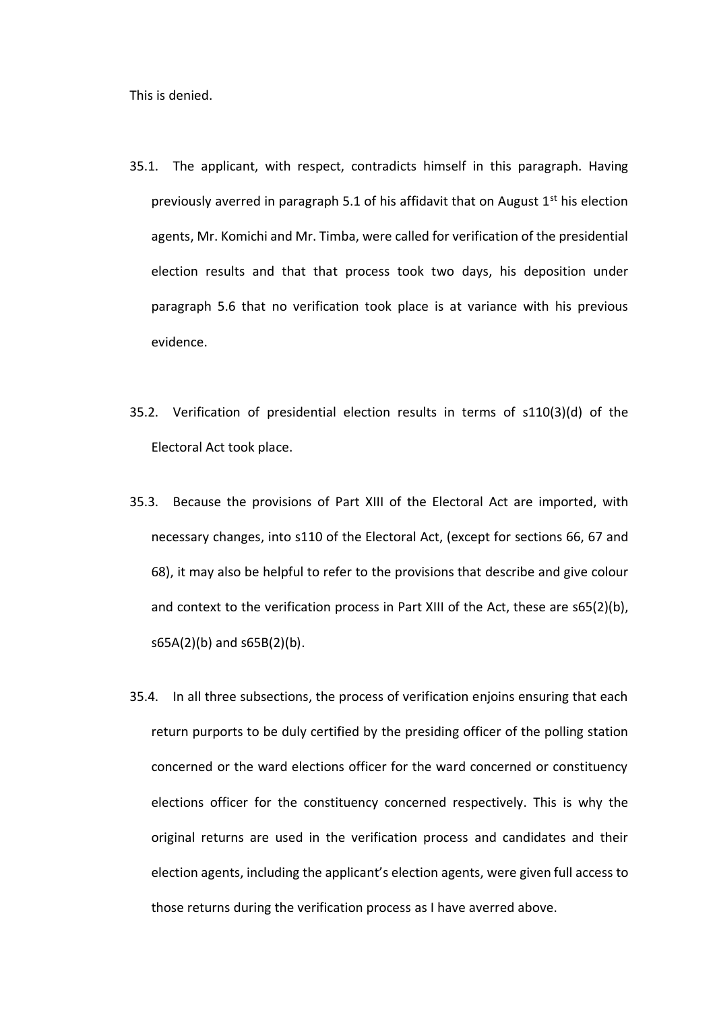- 35.1. The applicant, with respect, contradicts himself in this paragraph. Having previously averred in paragraph 5.1 of his affidavit that on August  $1<sup>st</sup>$  his election agents, Mr. Komichi and Mr. Timba, were called for verification of the presidential election results and that that process took two days, his deposition under paragraph 5.6 that no verification took place is at variance with his previous evidence.
- 35.2. Verification of presidential election results in terms of s110(3)(d) of the Electoral Act took place.
- 35.3. Because the provisions of Part XIII of the Electoral Act are imported, with necessary changes, into s110 of the Electoral Act, (except for sections 66, 67 and 68), it may also be helpful to refer to the provisions that describe and give colour and context to the verification process in Part XIII of the Act, these are s65(2)(b), s65A(2)(b) and s65B(2)(b).
- 35.4. In all three subsections, the process of verification enjoins ensuring that each return purports to be duly certified by the presiding officer of the polling station concerned or the ward elections officer for the ward concerned or constituency elections officer for the constituency concerned respectively. This is why the original returns are used in the verification process and candidates and their election agents, including the applicant's election agents, were given full access to those returns during the verification process as I have averred above.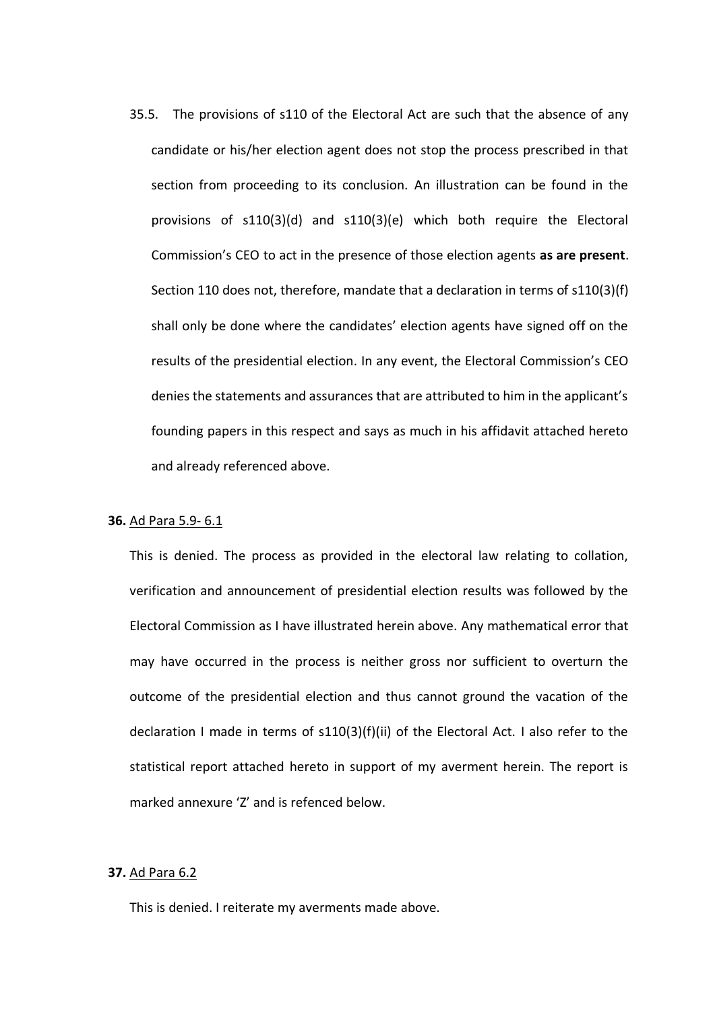35.5. The provisions of s110 of the Electoral Act are such that the absence of any candidate or his/her election agent does not stop the process prescribed in that section from proceeding to its conclusion. An illustration can be found in the provisions of s110(3)(d) and s110(3)(e) which both require the Electoral Commission's CEO to act in the presence of those election agents **as are present**. Section 110 does not, therefore, mandate that a declaration in terms of s110(3)(f) shall only be done where the candidates' election agents have signed off on the results of the presidential election. In any event, the Electoral Commission's CEO denies the statements and assurances that are attributed to him in the applicant's founding papers in this respect and says as much in his affidavit attached hereto and already referenced above.

#### **36.** Ad Para 5.9- 6.1

This is denied. The process as provided in the electoral law relating to collation, verification and announcement of presidential election results was followed by the Electoral Commission as I have illustrated herein above. Any mathematical error that may have occurred in the process is neither gross nor sufficient to overturn the outcome of the presidential election and thus cannot ground the vacation of the declaration I made in terms of s110(3)(f)(ii) of the Electoral Act. I also refer to the statistical report attached hereto in support of my averment herein. The report is marked annexure 'Z' and is refenced below.

#### **37.** Ad Para 6.2

This is denied. I reiterate my averments made above.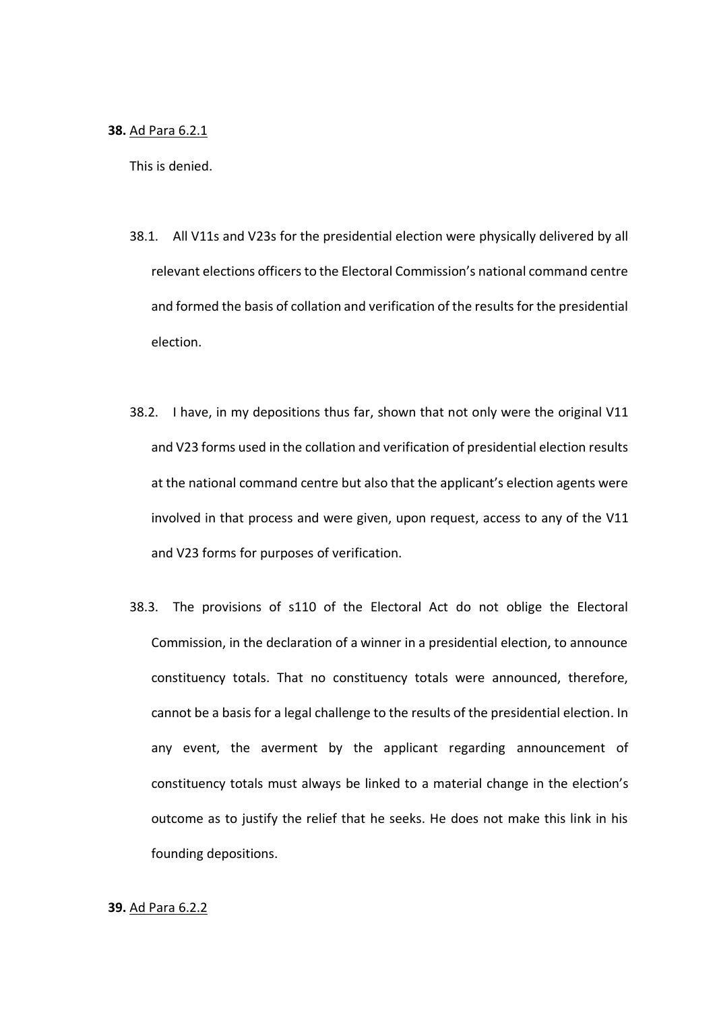#### **38.** Ad Para 6.2.1

This is denied.

- 38.1. All V11s and V23s for the presidential election were physically delivered by all relevant elections officers to the Electoral Commission's national command centre and formed the basis of collation and verification of the results for the presidential election.
- 38.2. I have, in my depositions thus far, shown that not only were the original V11 and V23 forms used in the collation and verification of presidential election results at the national command centre but also that the applicant's election agents were involved in that process and were given, upon request, access to any of the V11 and V23 forms for purposes of verification.
- 38.3. The provisions of s110 of the Electoral Act do not oblige the Electoral Commission, in the declaration of a winner in a presidential election, to announce constituency totals. That no constituency totals were announced, therefore, cannot be a basis for a legal challenge to the results of the presidential election. In any event, the averment by the applicant regarding announcement of constituency totals must always be linked to a material change in the election's outcome as to justify the relief that he seeks. He does not make this link in his founding depositions.

#### **39.** Ad Para 6.2.2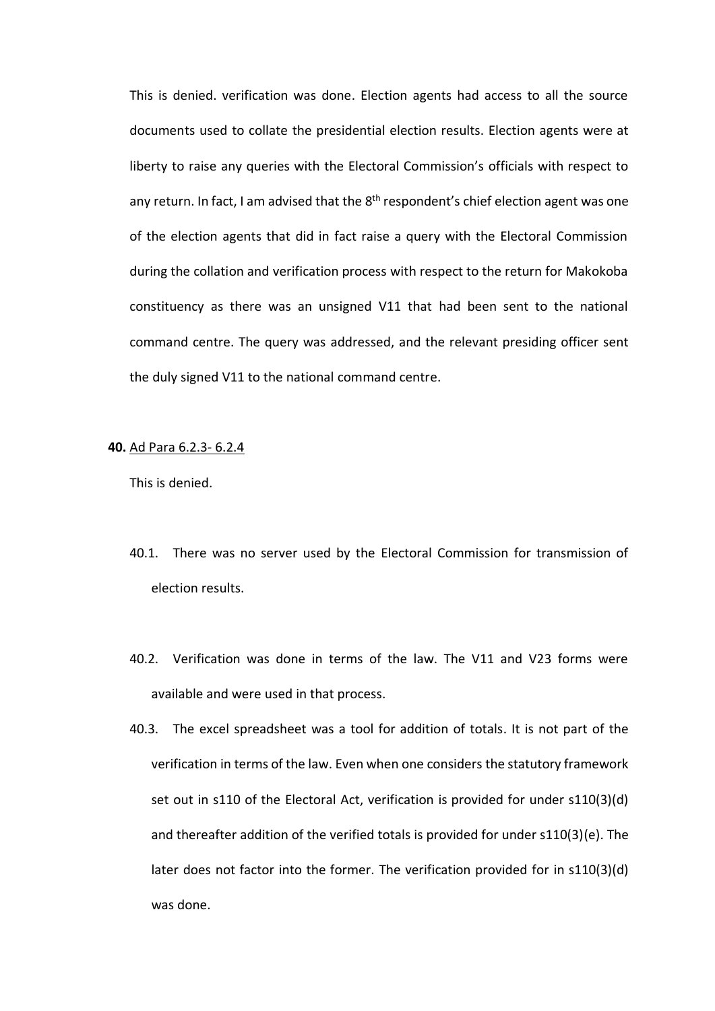This is denied. verification was done. Election agents had access to all the source documents used to collate the presidential election results. Election agents were at liberty to raise any queries with the Electoral Commission's officials with respect to any return. In fact, I am advised that the  $8<sup>th</sup>$  respondent's chief election agent was one of the election agents that did in fact raise a query with the Electoral Commission during the collation and verification process with respect to the return for Makokoba constituency as there was an unsigned V11 that had been sent to the national command centre. The query was addressed, and the relevant presiding officer sent the duly signed V11 to the national command centre.

#### **40.** Ad Para 6.2.3- 6.2.4

- 40.1. There was no server used by the Electoral Commission for transmission of election results.
- 40.2. Verification was done in terms of the law. The V11 and V23 forms were available and were used in that process.
- 40.3. The excel spreadsheet was a tool for addition of totals. It is not part of the verification in terms of the law. Even when one considers the statutory framework set out in s110 of the Electoral Act, verification is provided for under s110(3)(d) and thereafter addition of the verified totals is provided for under s110(3)(e). The later does not factor into the former. The verification provided for in s110(3)(d) was done.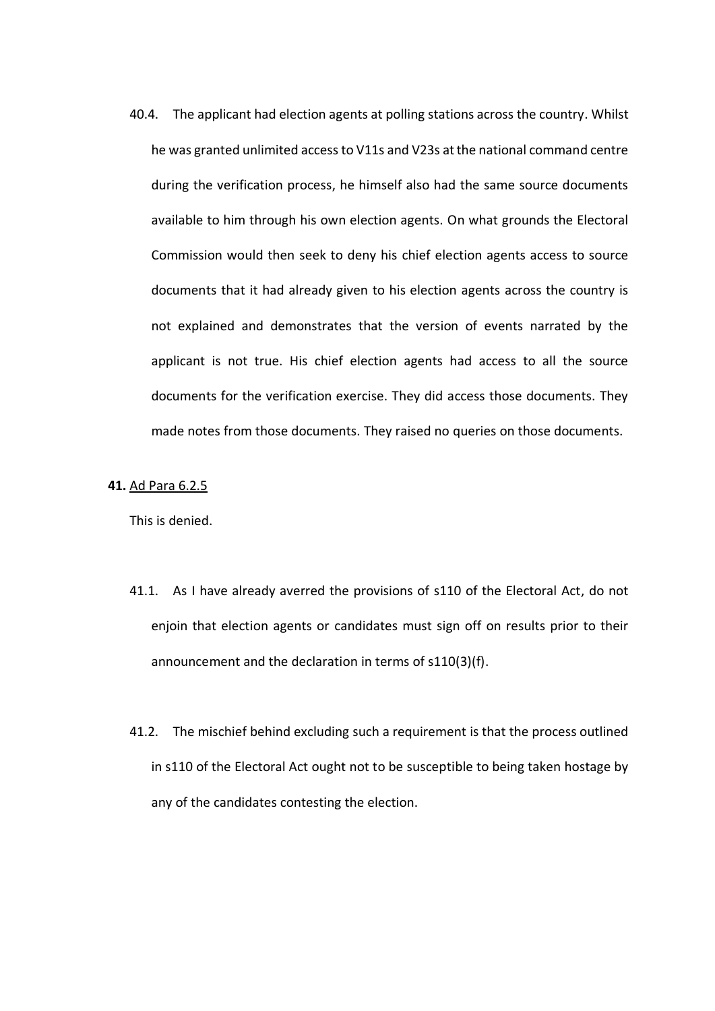40.4. The applicant had election agents at polling stations across the country. Whilst he was granted unlimited access to V11s and V23s at the national command centre during the verification process, he himself also had the same source documents available to him through his own election agents. On what grounds the Electoral Commission would then seek to deny his chief election agents access to source documents that it had already given to his election agents across the country is not explained and demonstrates that the version of events narrated by the applicant is not true. His chief election agents had access to all the source documents for the verification exercise. They did access those documents. They made notes from those documents. They raised no queries on those documents.

### **41.** Ad Para 6.2.5

- 41.1. As I have already averred the provisions of s110 of the Electoral Act, do not enjoin that election agents or candidates must sign off on results prior to their announcement and the declaration in terms of s110(3)(f).
- 41.2. The mischief behind excluding such a requirement is that the process outlined in s110 of the Electoral Act ought not to be susceptible to being taken hostage by any of the candidates contesting the election.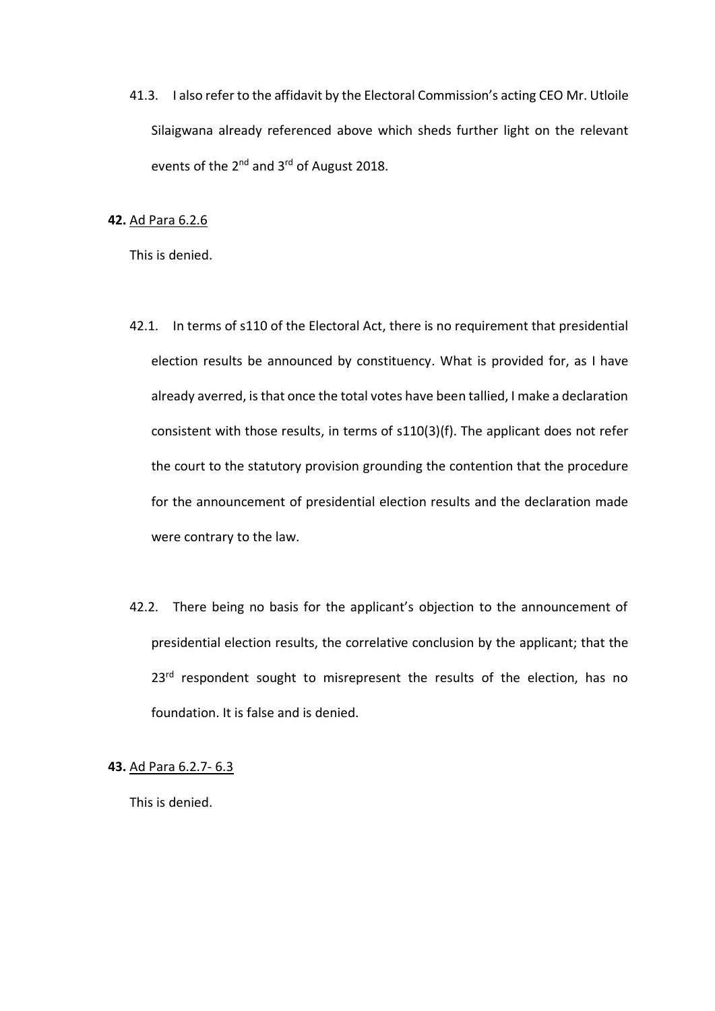41.3. I also refer to the affidavit by the Electoral Commission's acting CEO Mr. Utloile Silaigwana already referenced above which sheds further light on the relevant events of the 2<sup>nd</sup> and 3<sup>rd</sup> of August 2018.

### **42.** Ad Para 6.2.6

This is denied.

- 42.1. In terms of s110 of the Electoral Act, there is no requirement that presidential election results be announced by constituency. What is provided for, as I have already averred, is that once the total votes have been tallied, I make a declaration consistent with those results, in terms of s110(3)(f). The applicant does not refer the court to the statutory provision grounding the contention that the procedure for the announcement of presidential election results and the declaration made were contrary to the law.
- 42.2. There being no basis for the applicant's objection to the announcement of presidential election results, the correlative conclusion by the applicant; that the 23<sup>rd</sup> respondent sought to misrepresent the results of the election, has no foundation. It is false and is denied.

**43.** Ad Para 6.2.7- 6.3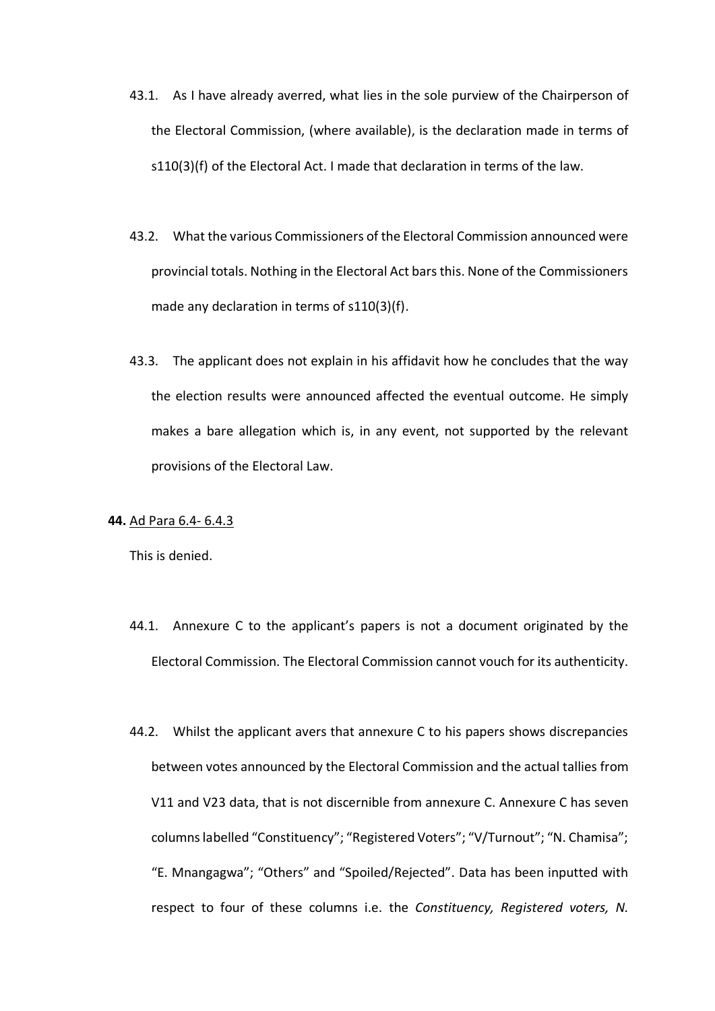- 43.1. As I have already averred, what lies in the sole purview of the Chairperson of the Electoral Commission, (where available), is the declaration made in terms of s110(3)(f) of the Electoral Act. I made that declaration in terms of the law.
- 43.2. What the various Commissioners of the Electoral Commission announced were provincial totals. Nothing in the Electoral Act bars this. None of the Commissioners made any declaration in terms of s110(3)(f).
- 43.3. The applicant does not explain in his affidavit how he concludes that the way the election results were announced affected the eventual outcome. He simply makes a bare allegation which is, in any event, not supported by the relevant provisions of the Electoral Law.

### **44.** Ad Para 6.4- 6.4.3

- 44.1. Annexure C to the applicant's papers is not a document originated by the Electoral Commission. The Electoral Commission cannot vouch for its authenticity.
- 44.2. Whilst the applicant avers that annexure C to his papers shows discrepancies between votes announced by the Electoral Commission and the actual tallies from V11 and V23 data, that is not discernible from annexure C. Annexure C has seven columns labelled "Constituency"; "Registered Voters"; "V/Turnout"; "N. Chamisa"; "E. Mnangagwa"; "Others" and "Spoiled/Rejected". Data has been inputted with respect to four of these columns i.e. the *Constituency, Registered voters, N.*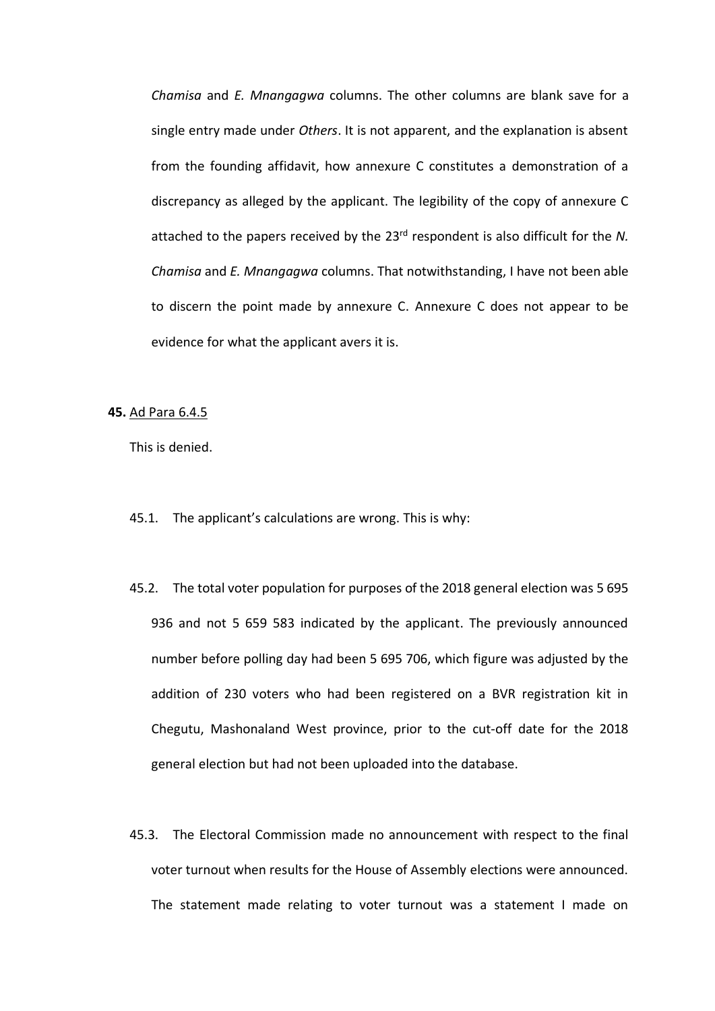*Chamisa* and *E. Mnangagwa* columns. The other columns are blank save for a single entry made under *Others*. It is not apparent, and the explanation is absent from the founding affidavit, how annexure C constitutes a demonstration of a discrepancy as alleged by the applicant. The legibility of the copy of annexure C attached to the papers received by the 23<sup>rd</sup> respondent is also difficult for the N. *Chamisa* and *E. Mnangagwa* columns. That notwithstanding, I have not been able to discern the point made by annexure C. Annexure C does not appear to be evidence for what the applicant avers it is.

#### **45.** Ad Para 6.4.5

- 45.1. The applicant's calculations are wrong. This is why:
- 45.2. The total voter population for purposes of the 2018 general election was 5 695 936 and not 5 659 583 indicated by the applicant. The previously announced number before polling day had been 5 695 706, which figure was adjusted by the addition of 230 voters who had been registered on a BVR registration kit in Chegutu, Mashonaland West province, prior to the cut-off date for the 2018 general election but had not been uploaded into the database.
- 45.3. The Electoral Commission made no announcement with respect to the final voter turnout when results for the House of Assembly elections were announced. The statement made relating to voter turnout was a statement I made on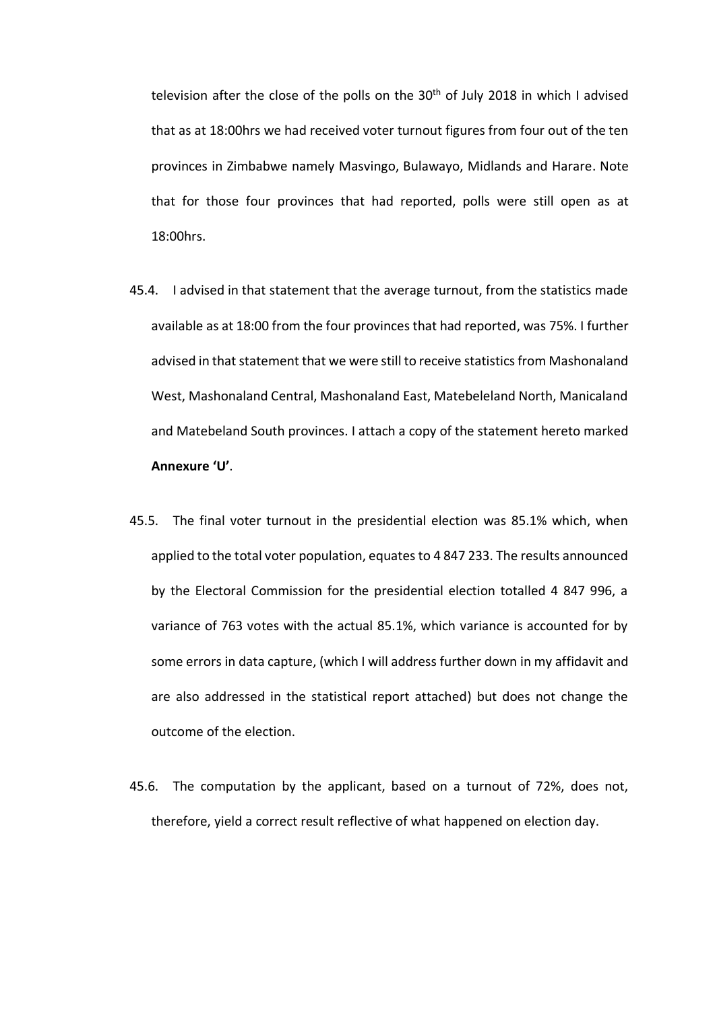television after the close of the polls on the  $30<sup>th</sup>$  of July 2018 in which I advised that as at 18:00hrs we had received voter turnout figures from four out of the ten provinces in Zimbabwe namely Masvingo, Bulawayo, Midlands and Harare. Note that for those four provinces that had reported, polls were still open as at 18:00hrs.

- 45.4. I advised in that statement that the average turnout, from the statistics made available as at 18:00 from the four provinces that had reported, was 75%. I further advised in that statement that we were still to receive statistics from Mashonaland West, Mashonaland Central, Mashonaland East, Matebeleland North, Manicaland and Matebeland South provinces. I attach a copy of the statement hereto marked **Annexure 'U'**.
- 45.5. The final voter turnout in the presidential election was 85.1% which, when applied to the total voter population, equates to 4 847 233. The results announced by the Electoral Commission for the presidential election totalled 4 847 996, a variance of 763 votes with the actual 85.1%, which variance is accounted for by some errors in data capture, (which I will address further down in my affidavit and are also addressed in the statistical report attached) but does not change the outcome of the election.
- 45.6. The computation by the applicant, based on a turnout of 72%, does not, therefore, yield a correct result reflective of what happened on election day.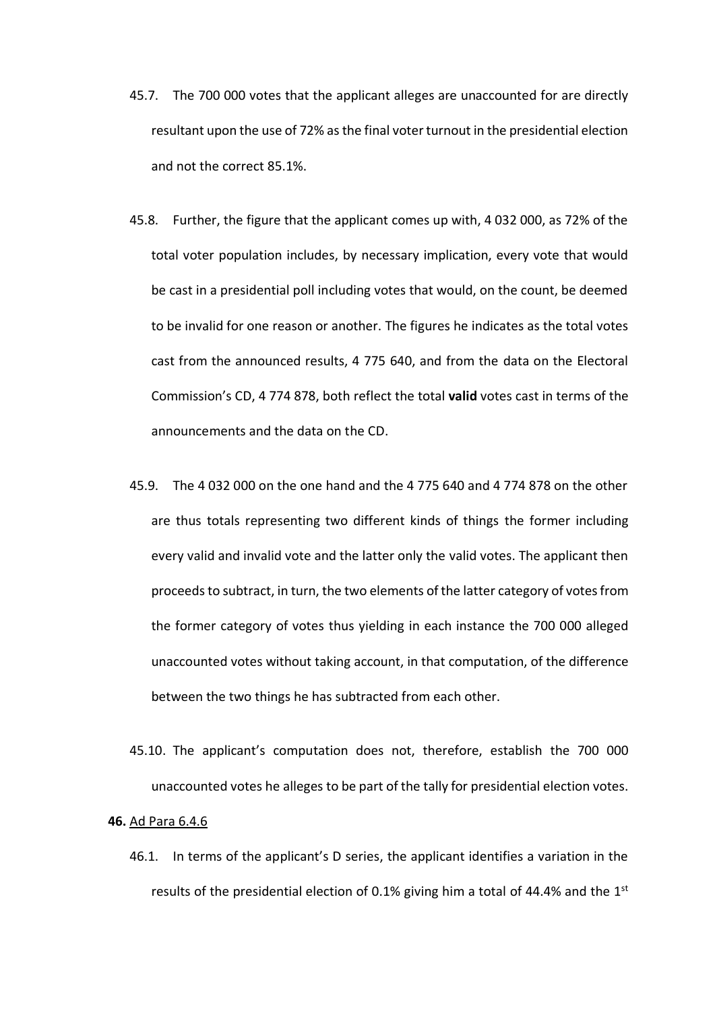- 45.7. The 700 000 votes that the applicant alleges are unaccounted for are directly resultant upon the use of 72% as the final voter turnout in the presidential election and not the correct 85.1%.
- 45.8. Further, the figure that the applicant comes up with, 4 032 000, as 72% of the total voter population includes, by necessary implication, every vote that would be cast in a presidential poll including votes that would, on the count, be deemed to be invalid for one reason or another. The figures he indicates as the total votes cast from the announced results, 4 775 640, and from the data on the Electoral Commission's CD, 4 774 878, both reflect the total **valid** votes cast in terms of the announcements and the data on the CD.
- 45.9. The 4 032 000 on the one hand and the 4 775 640 and 4 774 878 on the other are thus totals representing two different kinds of things the former including every valid and invalid vote and the latter only the valid votes. The applicant then proceeds to subtract, in turn, the two elements of the latter category of votes from the former category of votes thus yielding in each instance the 700 000 alleged unaccounted votes without taking account, in that computation, of the difference between the two things he has subtracted from each other.
- 45.10. The applicant's computation does not, therefore, establish the 700 000 unaccounted votes he alleges to be part of the tally for presidential election votes.

## **46.** Ad Para 6.4.6

46.1. In terms of the applicant's D series, the applicant identifies a variation in the results of the presidential election of 0.1% giving him a total of 44.4% and the  $1<sup>st</sup>$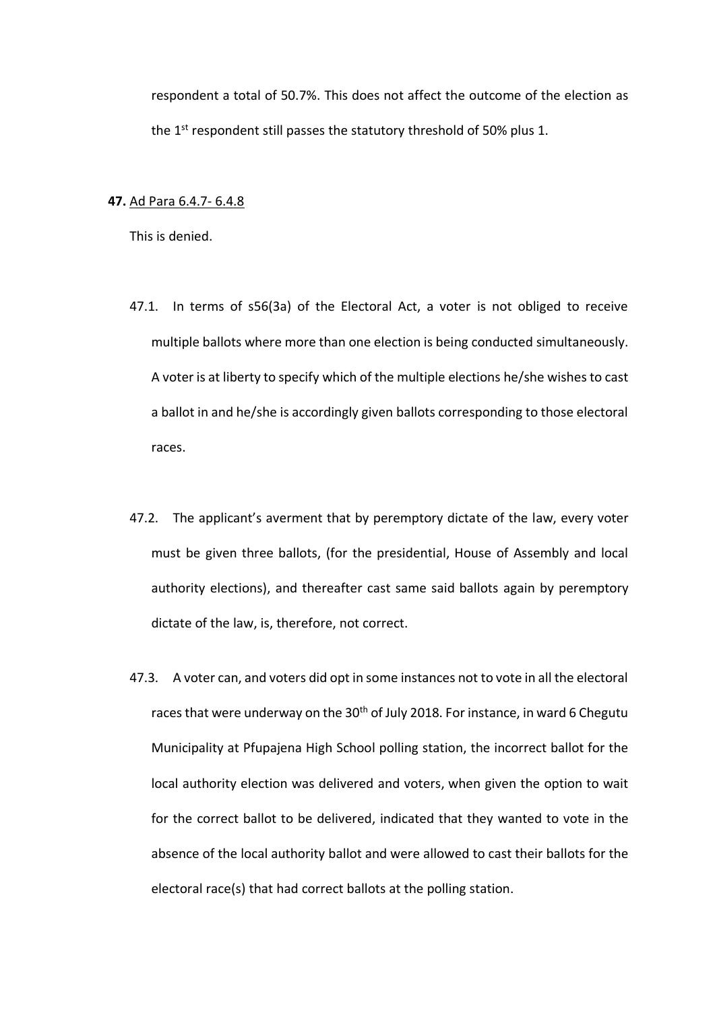respondent a total of 50.7%. This does not affect the outcome of the election as the 1<sup>st</sup> respondent still passes the statutory threshold of 50% plus 1.

### **47.** Ad Para 6.4.7- 6.4.8

- 47.1. In terms of s56(3a) of the Electoral Act, a voter is not obliged to receive multiple ballots where more than one election is being conducted simultaneously. A voter is at liberty to specify which of the multiple elections he/she wishes to cast a ballot in and he/she is accordingly given ballots corresponding to those electoral races.
- 47.2. The applicant's averment that by peremptory dictate of the law, every voter must be given three ballots, (for the presidential, House of Assembly and local authority elections), and thereafter cast same said ballots again by peremptory dictate of the law, is, therefore, not correct.
- 47.3. A voter can, and voters did opt in some instances not to vote in all the electoral races that were underway on the 30<sup>th</sup> of July 2018. For instance, in ward 6 Chegutu Municipality at Pfupajena High School polling station, the incorrect ballot for the local authority election was delivered and voters, when given the option to wait for the correct ballot to be delivered, indicated that they wanted to vote in the absence of the local authority ballot and were allowed to cast their ballots for the electoral race(s) that had correct ballots at the polling station.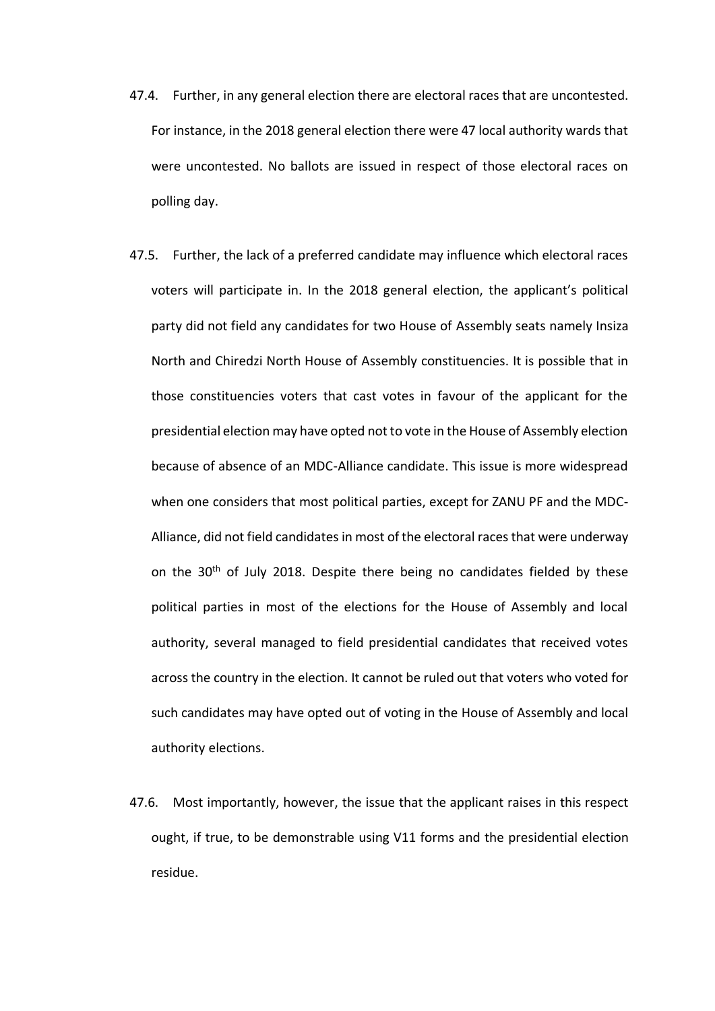- 47.4. Further, in any general election there are electoral races that are uncontested. For instance, in the 2018 general election there were 47 local authority wards that were uncontested. No ballots are issued in respect of those electoral races on polling day.
- 47.5. Further, the lack of a preferred candidate may influence which electoral races voters will participate in. In the 2018 general election, the applicant's political party did not field any candidates for two House of Assembly seats namely Insiza North and Chiredzi North House of Assembly constituencies. It is possible that in those constituencies voters that cast votes in favour of the applicant for the presidential election may have opted not to vote in the House of Assembly election because of absence of an MDC-Alliance candidate. This issue is more widespread when one considers that most political parties, except for ZANU PF and the MDC-Alliance, did not field candidates in most of the electoral races that were underway on the 30<sup>th</sup> of July 2018. Despite there being no candidates fielded by these political parties in most of the elections for the House of Assembly and local authority, several managed to field presidential candidates that received votes across the country in the election. It cannot be ruled out that voters who voted for such candidates may have opted out of voting in the House of Assembly and local authority elections.
- 47.6. Most importantly, however, the issue that the applicant raises in this respect ought, if true, to be demonstrable using V11 forms and the presidential election residue.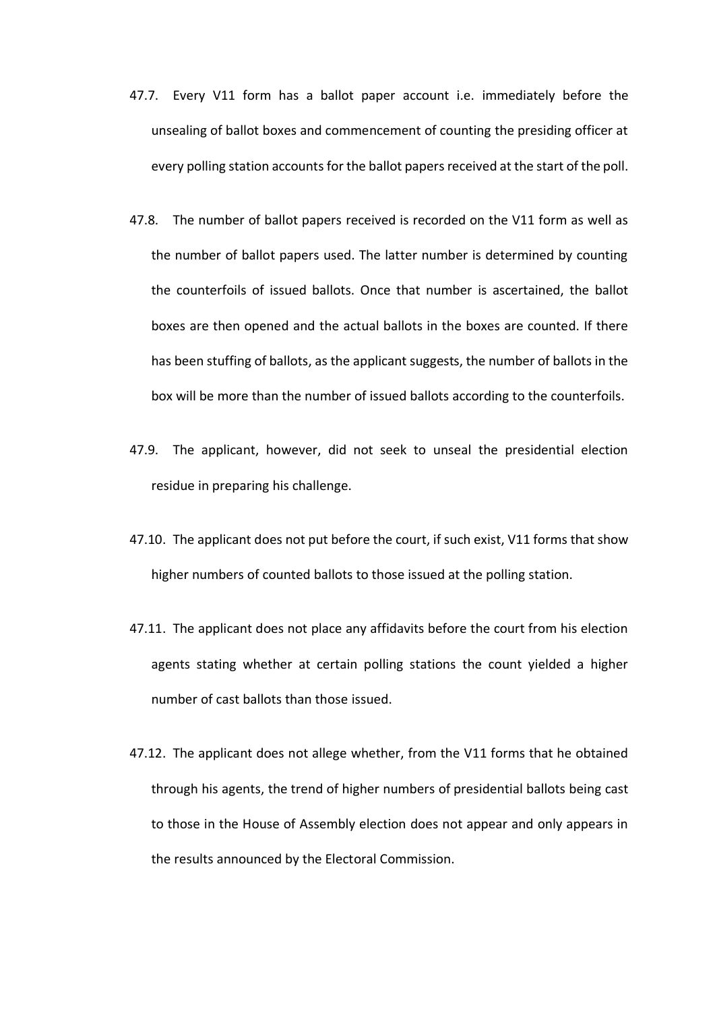- 47.7. Every V11 form has a ballot paper account i.e. immediately before the unsealing of ballot boxes and commencement of counting the presiding officer at every polling station accountsfor the ballot papers received at the start of the poll.
- 47.8. The number of ballot papers received is recorded on the V11 form as well as the number of ballot papers used. The latter number is determined by counting the counterfoils of issued ballots. Once that number is ascertained, the ballot boxes are then opened and the actual ballots in the boxes are counted. If there has been stuffing of ballots, as the applicant suggests, the number of ballots in the box will be more than the number of issued ballots according to the counterfoils.
- 47.9. The applicant, however, did not seek to unseal the presidential election residue in preparing his challenge.
- 47.10. The applicant does not put before the court, if such exist, V11 forms that show higher numbers of counted ballots to those issued at the polling station.
- 47.11. The applicant does not place any affidavits before the court from his election agents stating whether at certain polling stations the count yielded a higher number of cast ballots than those issued.
- 47.12. The applicant does not allege whether, from the V11 forms that he obtained through his agents, the trend of higher numbers of presidential ballots being cast to those in the House of Assembly election does not appear and only appears in the results announced by the Electoral Commission.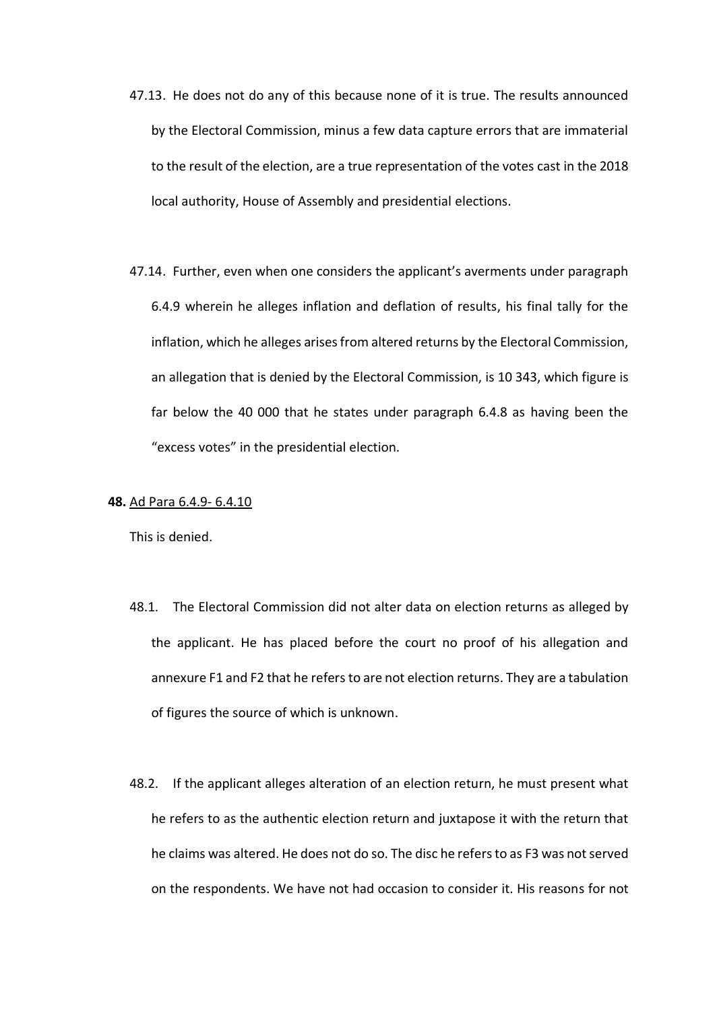- 47.13. He does not do any of this because none of it is true. The results announced by the Electoral Commission, minus a few data capture errors that are immaterial to the result of the election, are a true representation of the votes cast in the 2018 local authority, House of Assembly and presidential elections.
- 47.14. Further, even when one considers the applicant's averments under paragraph 6.4.9 wherein he alleges inflation and deflation of results, his final tally for the inflation, which he alleges arises from altered returns by the Electoral Commission, an allegation that is denied by the Electoral Commission, is 10 343, which figure is far below the 40 000 that he states under paragraph 6.4.8 as having been the "excess votes" in the presidential election.

### **48.** Ad Para 6.4.9- 6.4.10

- 48.1. The Electoral Commission did not alter data on election returns as alleged by the applicant. He has placed before the court no proof of his allegation and annexure F1 and F2 that he refers to are not election returns. They are a tabulation of figures the source of which is unknown.
- 48.2. If the applicant alleges alteration of an election return, he must present what he refers to as the authentic election return and juxtapose it with the return that he claims was altered. He does not do so. The disc he refers to as F3 was not served on the respondents. We have not had occasion to consider it. His reasons for not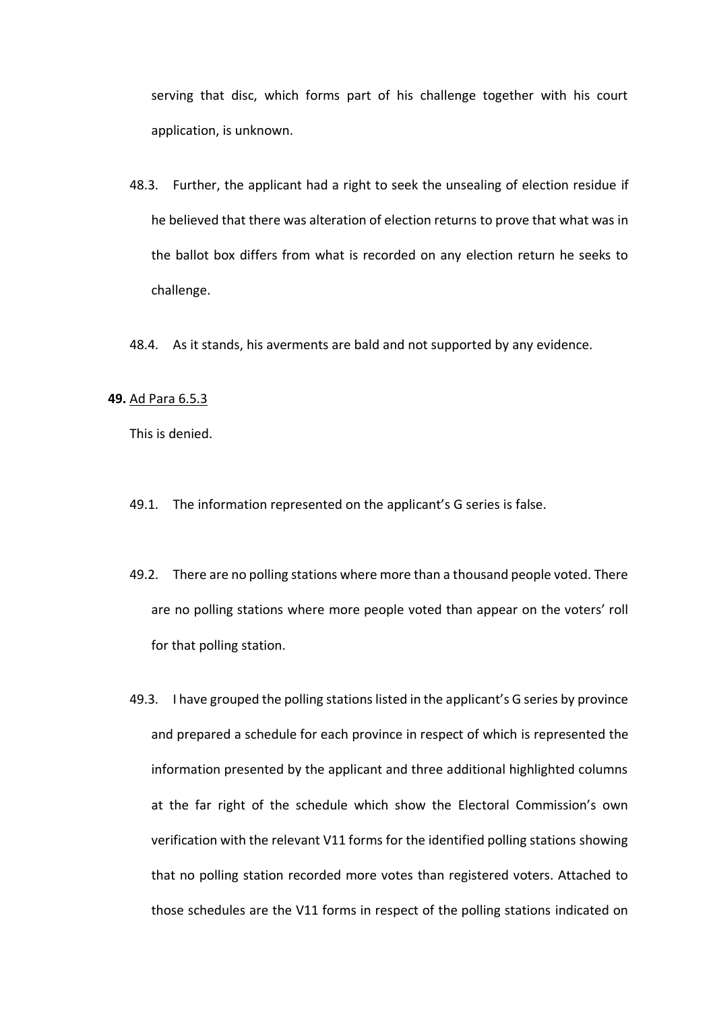serving that disc, which forms part of his challenge together with his court application, is unknown.

- 48.3. Further, the applicant had a right to seek the unsealing of election residue if he believed that there was alteration of election returns to prove that what was in the ballot box differs from what is recorded on any election return he seeks to challenge.
- 48.4. As it stands, his averments are bald and not supported by any evidence.

#### **49.** Ad Para 6.5.3

- 49.1. The information represented on the applicant's G series is false.
- 49.2. There are no polling stations where more than a thousand people voted. There are no polling stations where more people voted than appear on the voters' roll for that polling station.
- 49.3. I have grouped the polling stations listed in the applicant's G series by province and prepared a schedule for each province in respect of which is represented the information presented by the applicant and three additional highlighted columns at the far right of the schedule which show the Electoral Commission's own verification with the relevant V11 forms for the identified polling stations showing that no polling station recorded more votes than registered voters. Attached to those schedules are the V11 forms in respect of the polling stations indicated on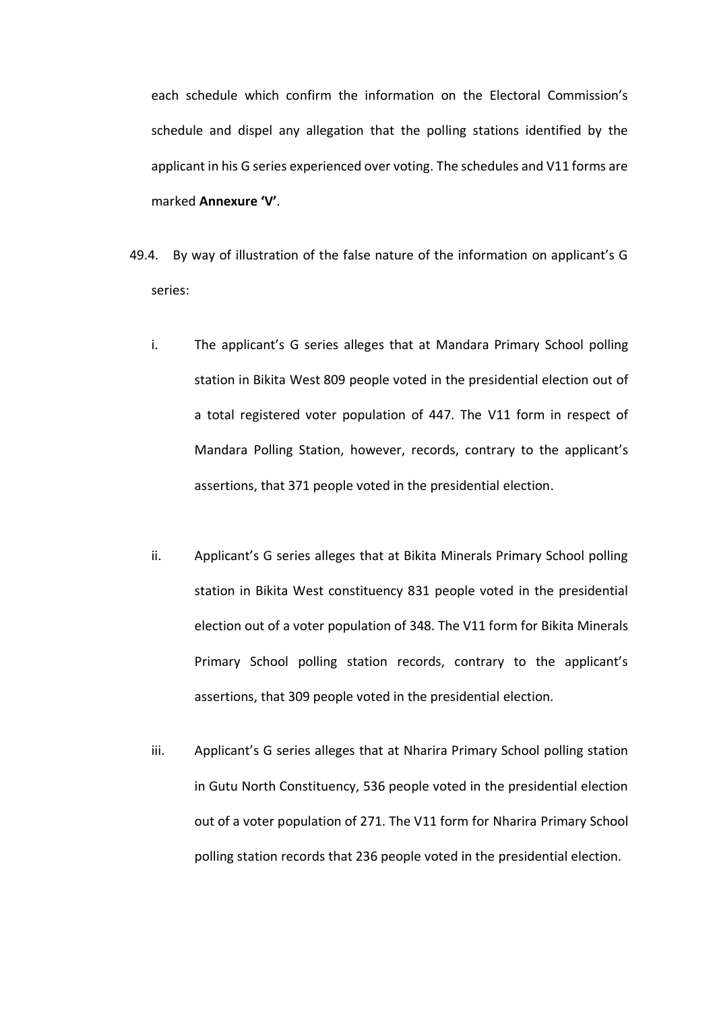each schedule which confirm the information on the Electoral Commission's schedule and dispel any allegation that the polling stations identified by the applicant in his G series experienced over voting. The schedules and V11 forms are marked **Annexure 'V'**.

- 49.4. By way of illustration of the false nature of the information on applicant's G series:
	- i. The applicant's G series alleges that at Mandara Primary School polling station in Bikita West 809 people voted in the presidential election out of a total registered voter population of 447. The V11 form in respect of Mandara Polling Station, however, records, contrary to the applicant's assertions, that 371 people voted in the presidential election.
	- ii. Applicant's G series alleges that at Bikita Minerals Primary School polling station in Bikita West constituency 831 people voted in the presidential election out of a voter population of 348. The V11 form for Bikita Minerals Primary School polling station records, contrary to the applicant's assertions, that 309 people voted in the presidential election.
	- iii. Applicant's G series alleges that at Nharira Primary School polling station in Gutu North Constituency, 536 people voted in the presidential election out of a voter population of 271. The V11 form for Nharira Primary School polling station records that 236 people voted in the presidential election.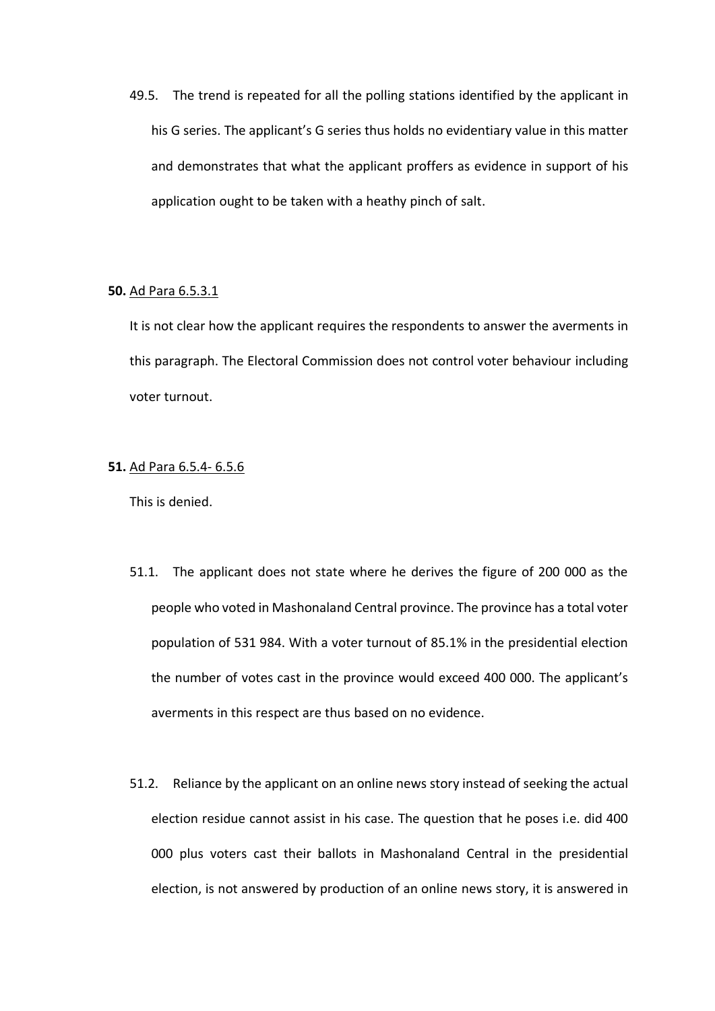49.5. The trend is repeated for all the polling stations identified by the applicant in his G series. The applicant's G series thus holds no evidentiary value in this matter and demonstrates that what the applicant proffers as evidence in support of his application ought to be taken with a heathy pinch of salt.

### **50.** Ad Para 6.5.3.1

It is not clear how the applicant requires the respondents to answer the averments in this paragraph. The Electoral Commission does not control voter behaviour including voter turnout.

## **51.** Ad Para 6.5.4- 6.5.6

- 51.1. The applicant does not state where he derives the figure of 200 000 as the people who voted in Mashonaland Central province. The province has a total voter population of 531 984. With a voter turnout of 85.1% in the presidential election the number of votes cast in the province would exceed 400 000. The applicant's averments in this respect are thus based on no evidence.
- 51.2. Reliance by the applicant on an online news story instead of seeking the actual election residue cannot assist in his case. The question that he poses i.e. did 400 000 plus voters cast their ballots in Mashonaland Central in the presidential election, is not answered by production of an online news story, it is answered in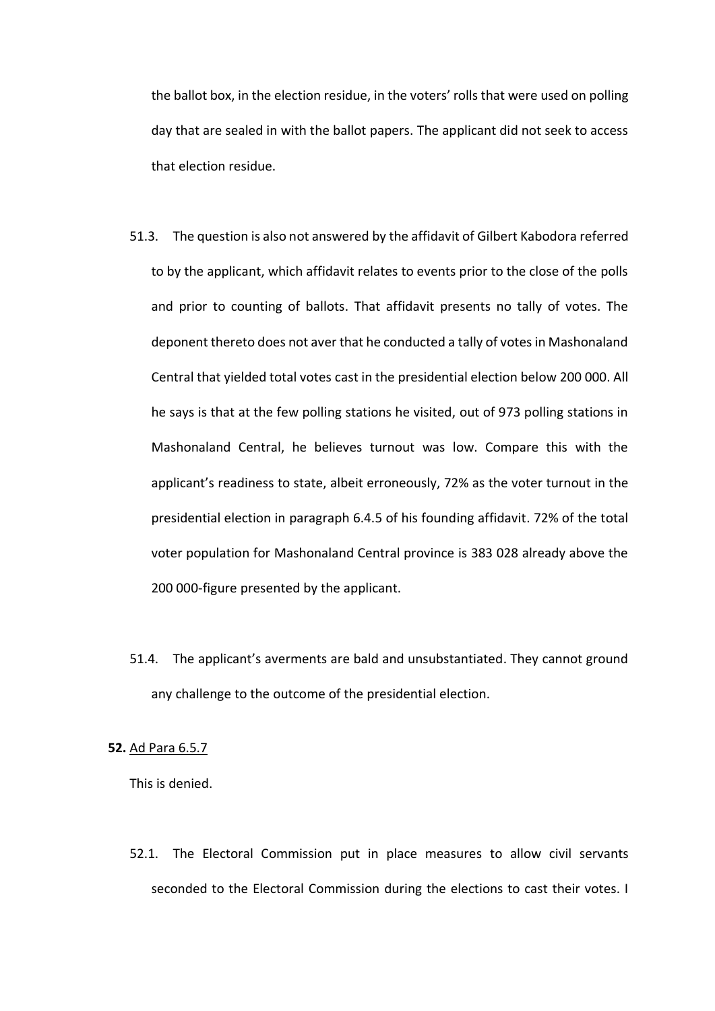the ballot box, in the election residue, in the voters' rolls that were used on polling day that are sealed in with the ballot papers. The applicant did not seek to access that election residue.

- 51.3. The question is also not answered by the affidavit of Gilbert Kabodora referred to by the applicant, which affidavit relates to events prior to the close of the polls and prior to counting of ballots. That affidavit presents no tally of votes. The deponent thereto does not aver that he conducted a tally of votes in Mashonaland Central that yielded total votes cast in the presidential election below 200 000. All he says is that at the few polling stations he visited, out of 973 polling stations in Mashonaland Central, he believes turnout was low. Compare this with the applicant's readiness to state, albeit erroneously, 72% as the voter turnout in the presidential election in paragraph 6.4.5 of his founding affidavit. 72% of the total voter population for Mashonaland Central province is 383 028 already above the 200 000-figure presented by the applicant.
- 51.4. The applicant's averments are bald and unsubstantiated. They cannot ground any challenge to the outcome of the presidential election.

#### **52.** Ad Para 6.5.7

This is denied.

52.1. The Electoral Commission put in place measures to allow civil servants seconded to the Electoral Commission during the elections to cast their votes. I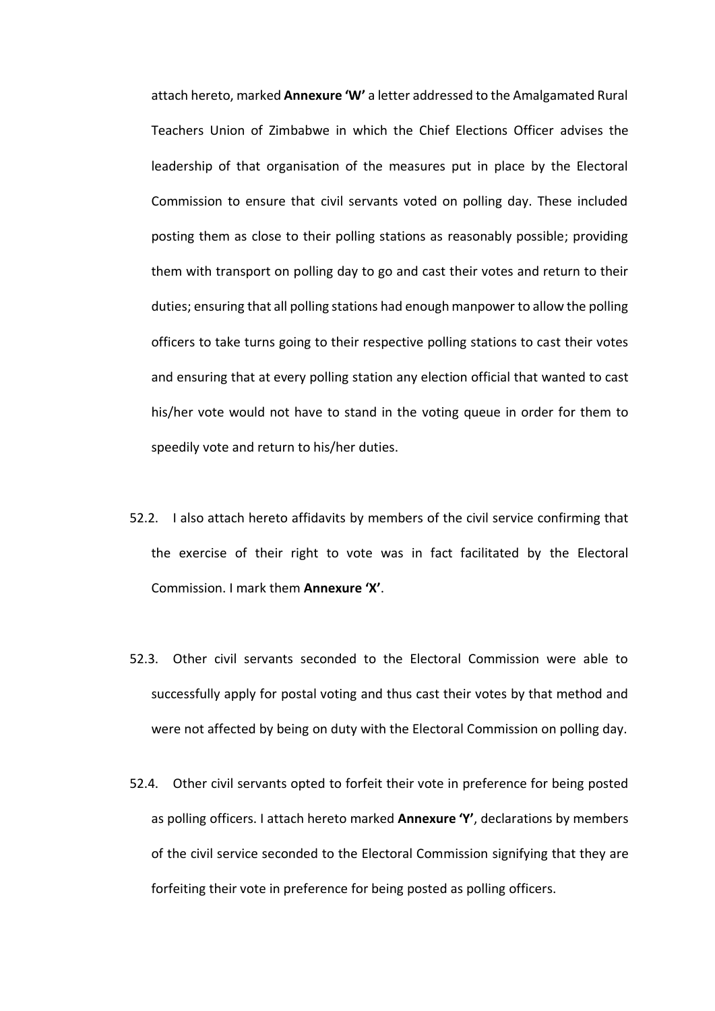attach hereto, marked **Annexure 'W'** a letter addressed to the Amalgamated Rural Teachers Union of Zimbabwe in which the Chief Elections Officer advises the leadership of that organisation of the measures put in place by the Electoral Commission to ensure that civil servants voted on polling day. These included posting them as close to their polling stations as reasonably possible; providing them with transport on polling day to go and cast their votes and return to their duties; ensuring that all polling stations had enough manpower to allow the polling officers to take turns going to their respective polling stations to cast their votes and ensuring that at every polling station any election official that wanted to cast his/her vote would not have to stand in the voting queue in order for them to speedily vote and return to his/her duties.

- 52.2. I also attach hereto affidavits by members of the civil service confirming that the exercise of their right to vote was in fact facilitated by the Electoral Commission. I mark them **Annexure 'X'**.
- 52.3. Other civil servants seconded to the Electoral Commission were able to successfully apply for postal voting and thus cast their votes by that method and were not affected by being on duty with the Electoral Commission on polling day.
- 52.4. Other civil servants opted to forfeit their vote in preference for being posted as polling officers. I attach hereto marked **Annexure 'Y'**, declarations by members of the civil service seconded to the Electoral Commission signifying that they are forfeiting their vote in preference for being posted as polling officers.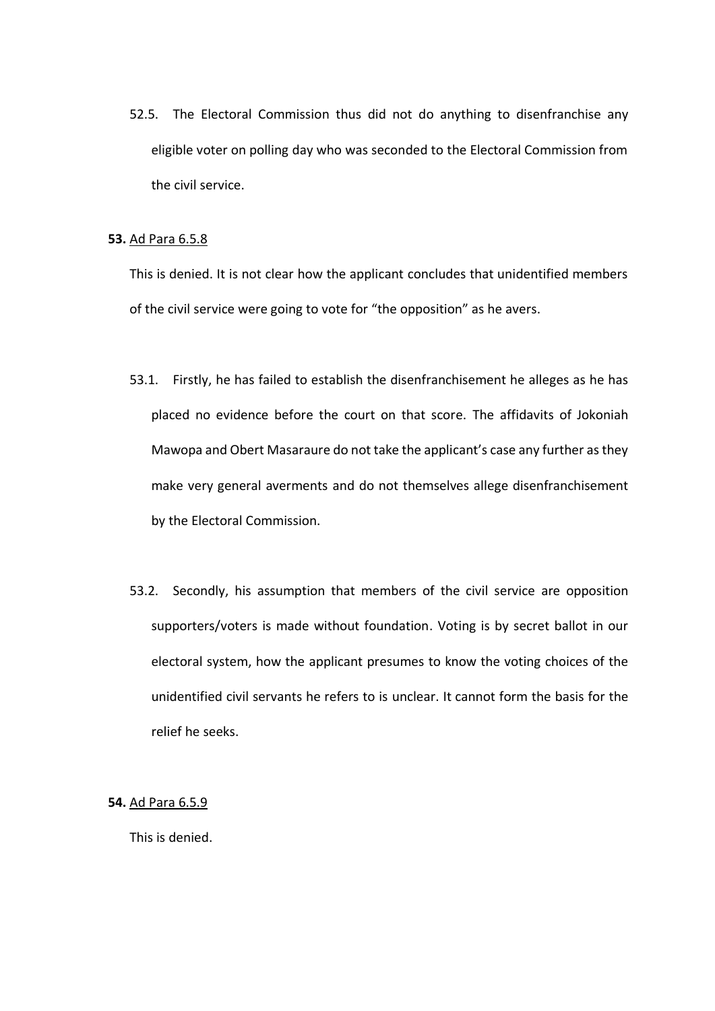52.5. The Electoral Commission thus did not do anything to disenfranchise any eligible voter on polling day who was seconded to the Electoral Commission from the civil service.

#### **53.** Ad Para 6.5.8

This is denied. It is not clear how the applicant concludes that unidentified members of the civil service were going to vote for "the opposition" as he avers.

- 53.1. Firstly, he has failed to establish the disenfranchisement he alleges as he has placed no evidence before the court on that score. The affidavits of Jokoniah Mawopa and Obert Masaraure do not take the applicant's case any further as they make very general averments and do not themselves allege disenfranchisement by the Electoral Commission.
- 53.2. Secondly, his assumption that members of the civil service are opposition supporters/voters is made without foundation. Voting is by secret ballot in our electoral system, how the applicant presumes to know the voting choices of the unidentified civil servants he refers to is unclear. It cannot form the basis for the relief he seeks.

### **54.** Ad Para 6.5.9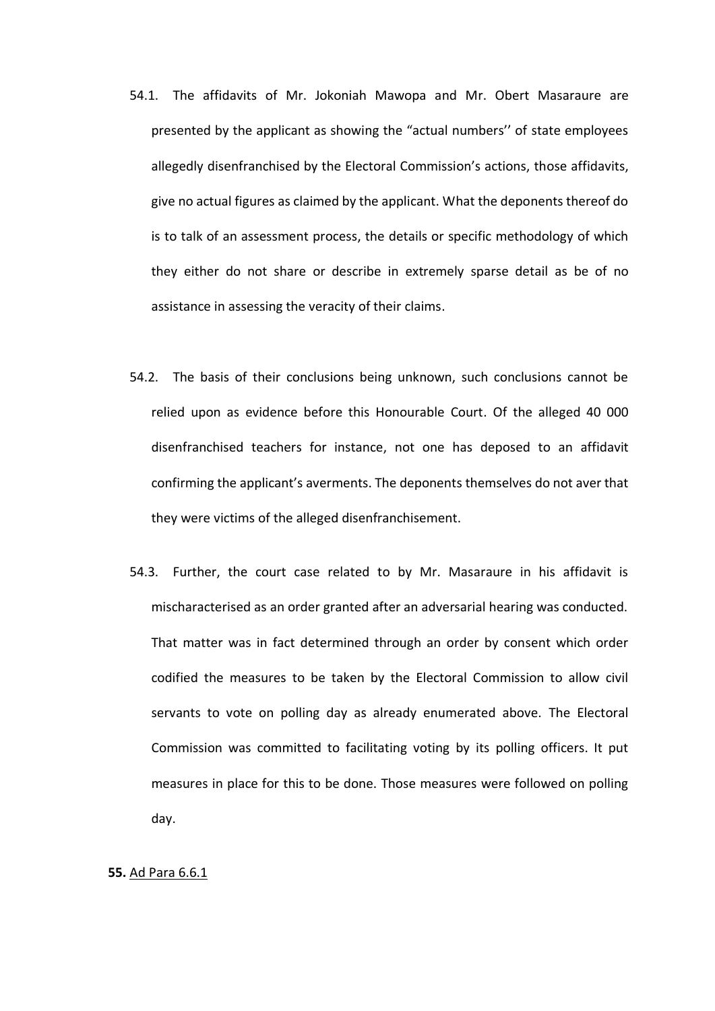- 54.1. The affidavits of Mr. Jokoniah Mawopa and Mr. Obert Masaraure are presented by the applicant as showing the "actual numbers'' of state employees allegedly disenfranchised by the Electoral Commission's actions, those affidavits, give no actual figures as claimed by the applicant. What the deponents thereof do is to talk of an assessment process, the details or specific methodology of which they either do not share or describe in extremely sparse detail as be of no assistance in assessing the veracity of their claims.
- 54.2. The basis of their conclusions being unknown, such conclusions cannot be relied upon as evidence before this Honourable Court. Of the alleged 40 000 disenfranchised teachers for instance, not one has deposed to an affidavit confirming the applicant's averments. The deponents themselves do not aver that they were victims of the alleged disenfranchisement.
- 54.3. Further, the court case related to by Mr. Masaraure in his affidavit is mischaracterised as an order granted after an adversarial hearing was conducted. That matter was in fact determined through an order by consent which order codified the measures to be taken by the Electoral Commission to allow civil servants to vote on polling day as already enumerated above. The Electoral Commission was committed to facilitating voting by its polling officers. It put measures in place for this to be done. Those measures were followed on polling day.

### **55.** Ad Para 6.6.1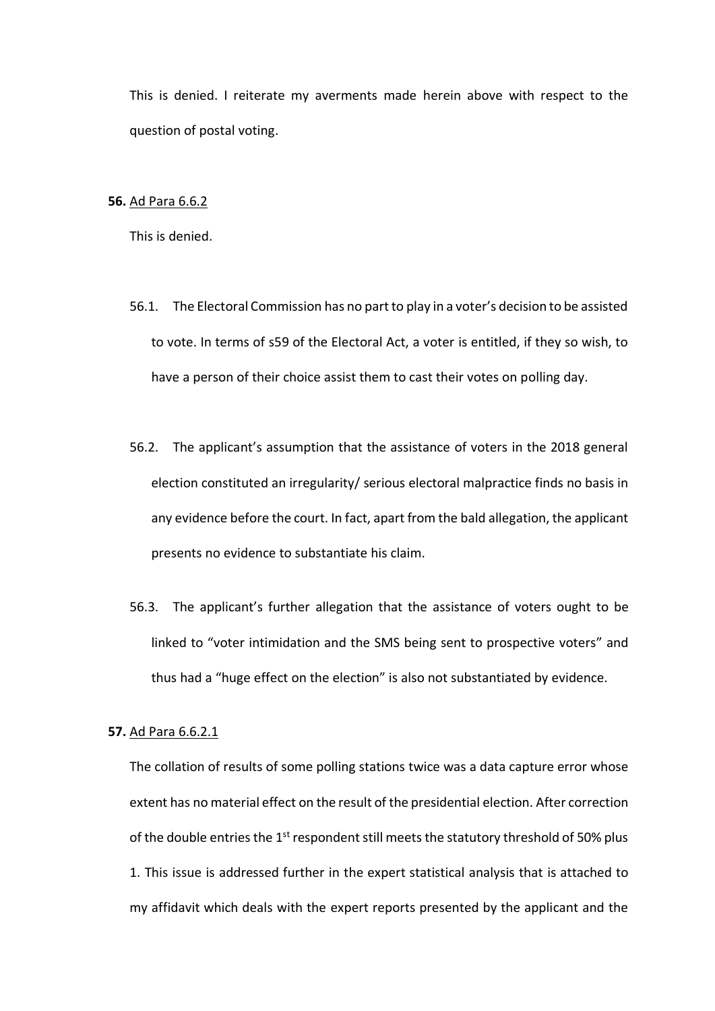This is denied. I reiterate my averments made herein above with respect to the question of postal voting.

#### **56.** Ad Para 6.6.2

This is denied.

- 56.1. The Electoral Commission has no part to play in a voter's decision to be assisted to vote. In terms of s59 of the Electoral Act, a voter is entitled, if they so wish, to have a person of their choice assist them to cast their votes on polling day.
- 56.2. The applicant's assumption that the assistance of voters in the 2018 general election constituted an irregularity/ serious electoral malpractice finds no basis in any evidence before the court. In fact, apart from the bald allegation, the applicant presents no evidence to substantiate his claim.
- 56.3. The applicant's further allegation that the assistance of voters ought to be linked to "voter intimidation and the SMS being sent to prospective voters" and thus had a "huge effect on the election" is also not substantiated by evidence.

## **57.** Ad Para 6.6.2.1

The collation of results of some polling stations twice was a data capture error whose extent has no material effect on the result of the presidential election. After correction of the double entries the 1<sup>st</sup> respondent still meets the statutory threshold of 50% plus 1. This issue is addressed further in the expert statistical analysis that is attached to my affidavit which deals with the expert reports presented by the applicant and the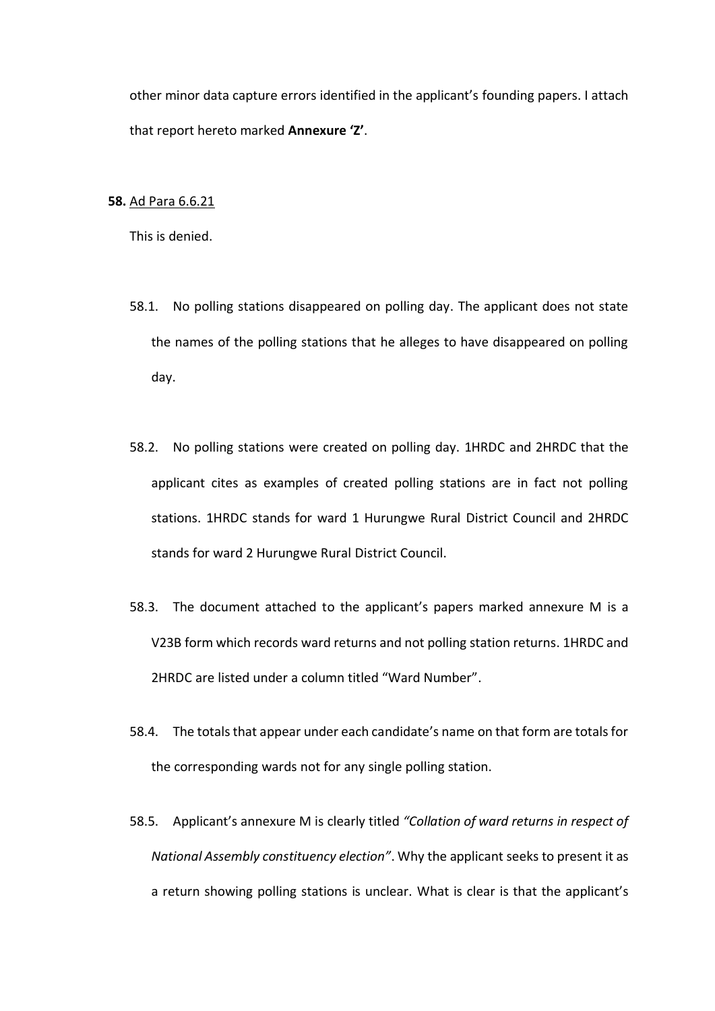other minor data capture errors identified in the applicant's founding papers. I attach that report hereto marked **Annexure 'Z'**.

### **58.** Ad Para 6.6.21

- 58.1. No polling stations disappeared on polling day. The applicant does not state the names of the polling stations that he alleges to have disappeared on polling day.
- 58.2. No polling stations were created on polling day. 1HRDC and 2HRDC that the applicant cites as examples of created polling stations are in fact not polling stations. 1HRDC stands for ward 1 Hurungwe Rural District Council and 2HRDC stands for ward 2 Hurungwe Rural District Council.
- 58.3. The document attached to the applicant's papers marked annexure M is a V23B form which records ward returns and not polling station returns. 1HRDC and 2HRDC are listed under a column titled "Ward Number".
- 58.4. The totals that appear under each candidate's name on that form are totals for the corresponding wards not for any single polling station.
- 58.5. Applicant's annexure M is clearly titled *"Collation of ward returns in respect of National Assembly constituency election"*. Why the applicant seeks to present it as a return showing polling stations is unclear. What is clear is that the applicant's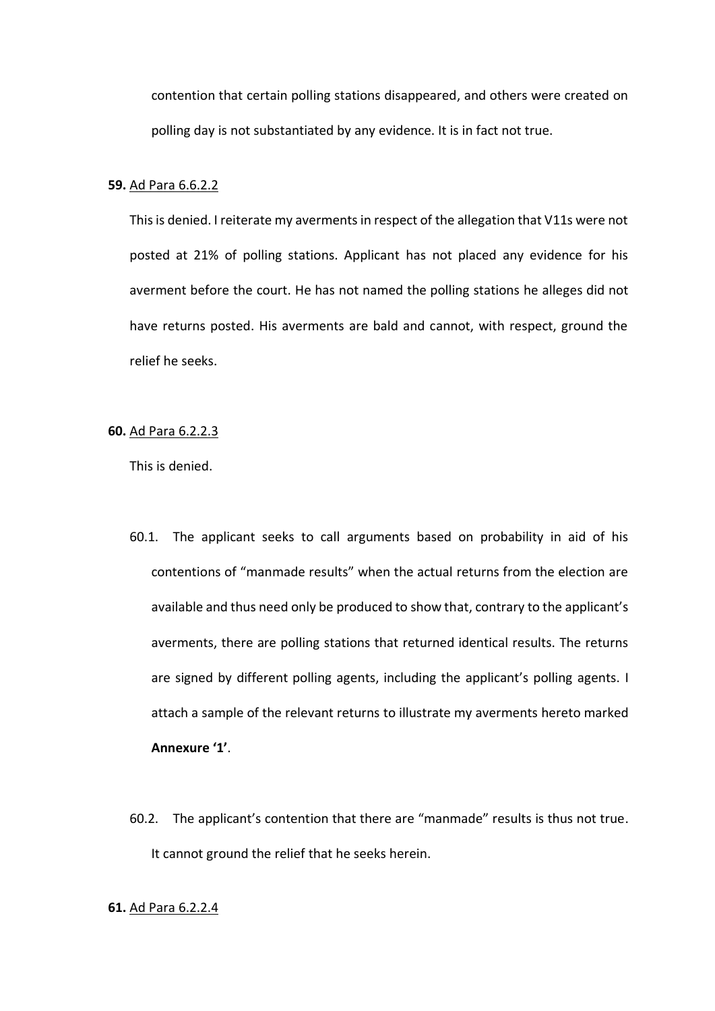contention that certain polling stations disappeared, and others were created on polling day is not substantiated by any evidence. It is in fact not true.

### **59.** Ad Para 6.6.2.2

This is denied. I reiterate my averments in respect of the allegation that V11s were not posted at 21% of polling stations. Applicant has not placed any evidence for his averment before the court. He has not named the polling stations he alleges did not have returns posted. His averments are bald and cannot, with respect, ground the relief he seeks.

### **60.** Ad Para 6.2.2.3

This is denied.

- 60.1. The applicant seeks to call arguments based on probability in aid of his contentions of "manmade results" when the actual returns from the election are available and thus need only be produced to show that, contrary to the applicant's averments, there are polling stations that returned identical results. The returns are signed by different polling agents, including the applicant's polling agents. I attach a sample of the relevant returns to illustrate my averments hereto marked **Annexure '1'**.
- 60.2. The applicant's contention that there are "manmade" results is thus not true. It cannot ground the relief that he seeks herein.

### **61.** Ad Para 6.2.2.4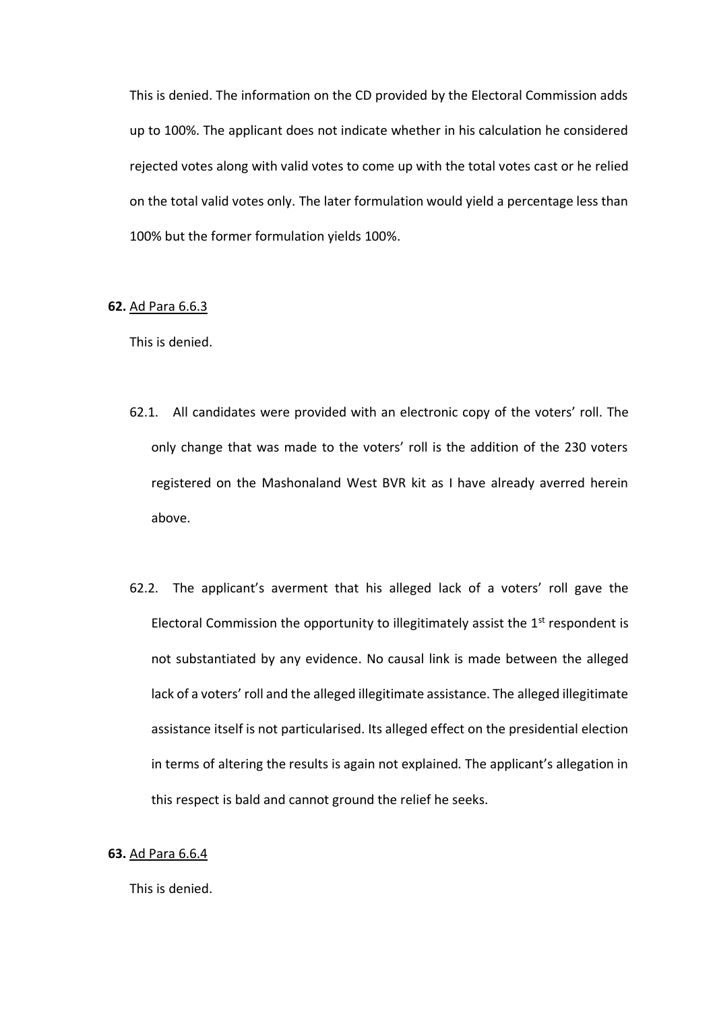This is denied. The information on the CD provided by the Electoral Commission adds up to 100%. The applicant does not indicate whether in his calculation he considered rejected votes along with valid votes to come up with the total votes cast or he relied on the total valid votes only. The later formulation would yield a percentage less than 100% but the former formulation yields 100%.

### **62.** Ad Para 6.6.3

This is denied.

- 62.1. All candidates were provided with an electronic copy of the voters' roll. The only change that was made to the voters' roll is the addition of the 230 voters registered on the Mashonaland West BVR kit as I have already averred herein above.
- 62.2. The applicant's averment that his alleged lack of a voters' roll gave the Electoral Commission the opportunity to illegitimately assist the  $1<sup>st</sup>$  respondent is not substantiated by any evidence. No causal link is made between the alleged lack of a voters' roll and the alleged illegitimate assistance. The alleged illegitimate assistance itself is not particularised. Its alleged effect on the presidential election in terms of altering the results is again not explained. The applicant's allegation in this respect is bald and cannot ground the relief he seeks.

## **63.** Ad Para 6.6.4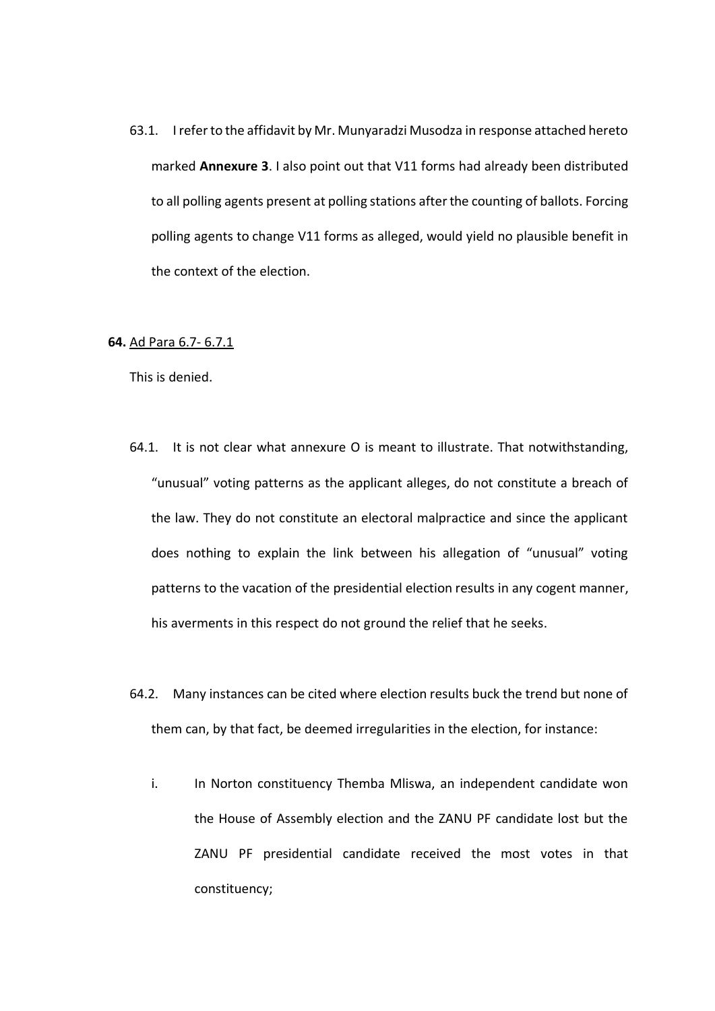63.1. I refer to the affidavit by Mr. Munyaradzi Musodza in response attached hereto marked **Annexure 3**. I also point out that V11 forms had already been distributed to all polling agents present at polling stations after the counting of ballots. Forcing polling agents to change V11 forms as alleged, would yield no plausible benefit in the context of the election.

### **64.** Ad Para 6.7- 6.7.1

- 64.1. It is not clear what annexure O is meant to illustrate. That notwithstanding, "unusual" voting patterns as the applicant alleges, do not constitute a breach of the law. They do not constitute an electoral malpractice and since the applicant does nothing to explain the link between his allegation of "unusual" voting patterns to the vacation of the presidential election results in any cogent manner, his averments in this respect do not ground the relief that he seeks.
- 64.2. Many instances can be cited where election results buck the trend but none of them can, by that fact, be deemed irregularities in the election, for instance:
	- i. In Norton constituency Themba Mliswa, an independent candidate won the House of Assembly election and the ZANU PF candidate lost but the ZANU PF presidential candidate received the most votes in that constituency;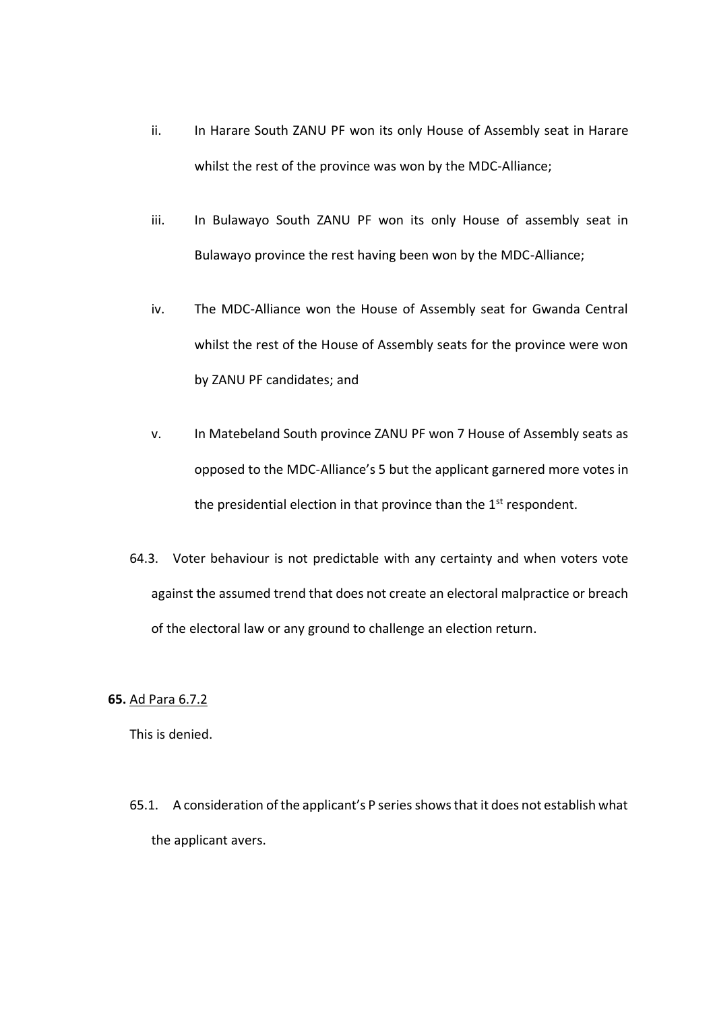- ii. In Harare South ZANU PF won its only House of Assembly seat in Harare whilst the rest of the province was won by the MDC-Alliance;
- iii. In Bulawayo South ZANU PF won its only House of assembly seat in Bulawayo province the rest having been won by the MDC-Alliance;
- iv. The MDC-Alliance won the House of Assembly seat for Gwanda Central whilst the rest of the House of Assembly seats for the province were won by ZANU PF candidates; and
- v. In Matebeland South province ZANU PF won 7 House of Assembly seats as opposed to the MDC-Alliance's 5 but the applicant garnered more votes in the presidential election in that province than the 1<sup>st</sup> respondent.
- 64.3. Voter behaviour is not predictable with any certainty and when voters vote against the assumed trend that does not create an electoral malpractice or breach of the electoral law or any ground to challenge an election return.

## **65.** Ad Para 6.7.2

This is denied.

65.1. A consideration of the applicant's P series shows that it does not establish what the applicant avers.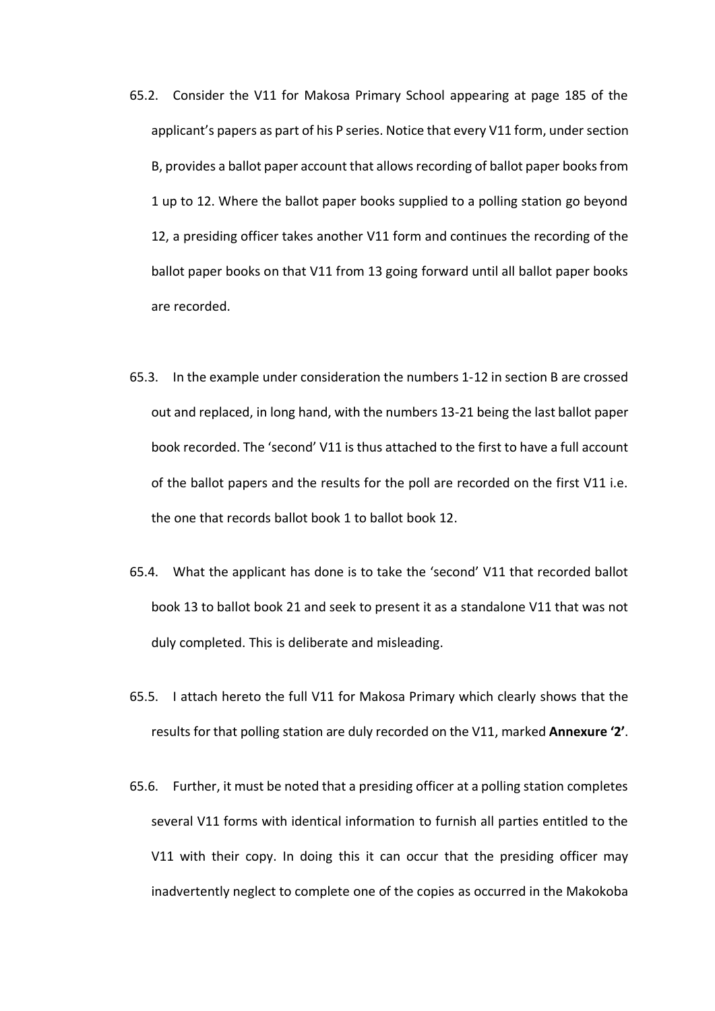- 65.2. Consider the V11 for Makosa Primary School appearing at page 185 of the applicant's papers as part of his P series. Notice that every V11 form, under section B, provides a ballot paper account that allows recording of ballot paper books from 1 up to 12. Where the ballot paper books supplied to a polling station go beyond 12, a presiding officer takes another V11 form and continues the recording of the ballot paper books on that V11 from 13 going forward until all ballot paper books are recorded.
- 65.3. In the example under consideration the numbers 1-12 in section B are crossed out and replaced, in long hand, with the numbers 13-21 being the last ballot paper book recorded. The 'second' V11 is thus attached to the first to have a full account of the ballot papers and the results for the poll are recorded on the first V11 i.e. the one that records ballot book 1 to ballot book 12.
- 65.4. What the applicant has done is to take the 'second' V11 that recorded ballot book 13 to ballot book 21 and seek to present it as a standalone V11 that was not duly completed. This is deliberate and misleading.
- 65.5. I attach hereto the full V11 for Makosa Primary which clearly shows that the results for that polling station are duly recorded on the V11, marked **Annexure '2'**.
- 65.6. Further, it must be noted that a presiding officer at a polling station completes several V11 forms with identical information to furnish all parties entitled to the V11 with their copy. In doing this it can occur that the presiding officer may inadvertently neglect to complete one of the copies as occurred in the Makokoba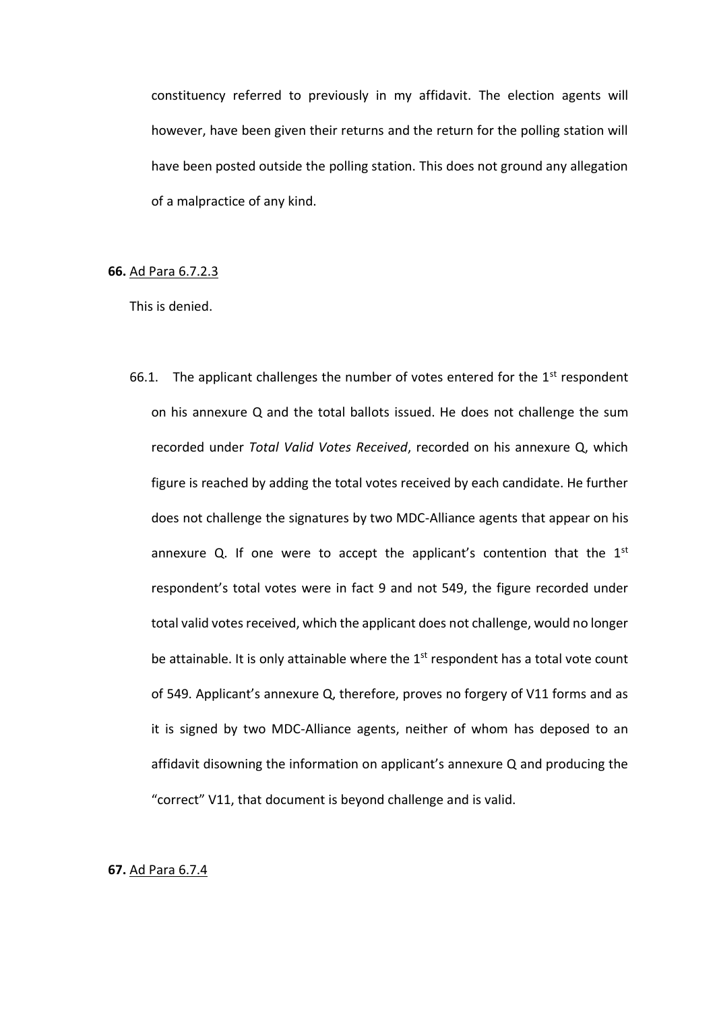constituency referred to previously in my affidavit. The election agents will however, have been given their returns and the return for the polling station will have been posted outside the polling station. This does not ground any allegation of a malpractice of any kind.

## **66.** Ad Para 6.7.2.3

This is denied.

66.1. The applicant challenges the number of votes entered for the  $1<sup>st</sup>$  respondent on his annexure Q and the total ballots issued. He does not challenge the sum recorded under *Total Valid Votes Received*, recorded on his annexure Q, which figure is reached by adding the total votes received by each candidate. He further does not challenge the signatures by two MDC-Alliance agents that appear on his annexure Q. If one were to accept the applicant's contention that the  $1<sup>st</sup>$ respondent's total votes were in fact 9 and not 549, the figure recorded under total valid votes received, which the applicant does not challenge, would no longer be attainable. It is only attainable where the  $1<sup>st</sup>$  respondent has a total vote count of 549. Applicant's annexure Q, therefore, proves no forgery of V11 forms and as it is signed by two MDC-Alliance agents, neither of whom has deposed to an affidavit disowning the information on applicant's annexure Q and producing the "correct" V11, that document is beyond challenge and is valid.

### **67.** Ad Para 6.7.4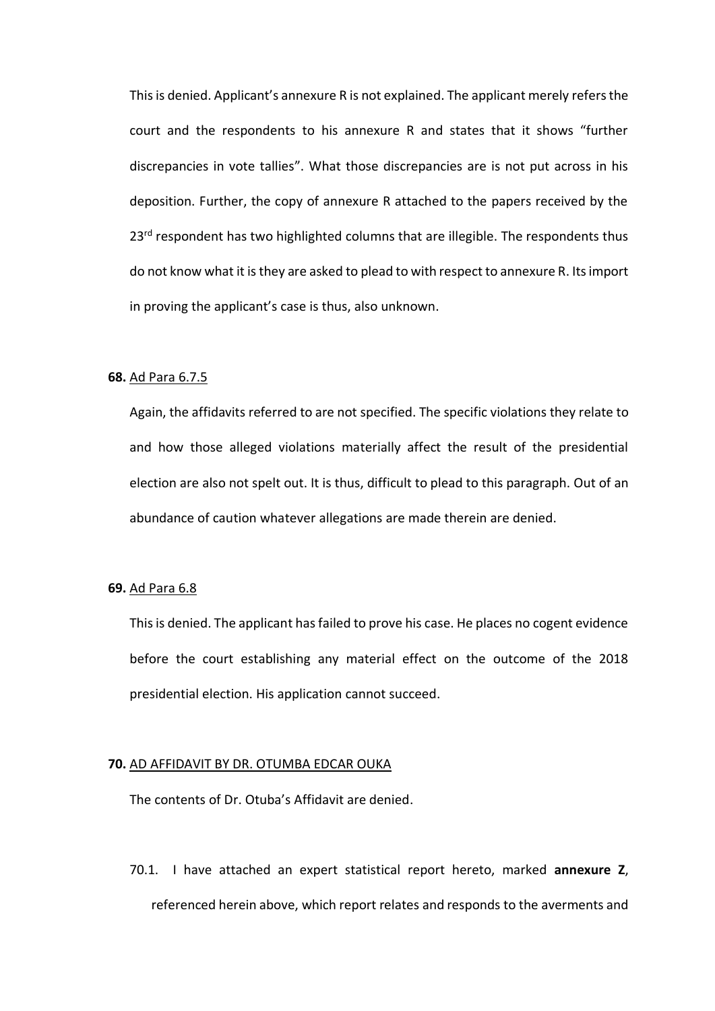This is denied. Applicant's annexure R is not explained. The applicant merely refers the court and the respondents to his annexure R and states that it shows "further discrepancies in vote tallies". What those discrepancies are is not put across in his deposition. Further, the copy of annexure R attached to the papers received by the 23<sup>rd</sup> respondent has two highlighted columns that are illegible. The respondents thus do not know what it is they are asked to plead to with respect to annexure R. Its import in proving the applicant's case is thus, also unknown.

## **68.** Ad Para 6.7.5

Again, the affidavits referred to are not specified. The specific violations they relate to and how those alleged violations materially affect the result of the presidential election are also not spelt out. It is thus, difficult to plead to this paragraph. Out of an abundance of caution whatever allegations are made therein are denied.

## **69.** Ad Para 6.8

This is denied. The applicant has failed to prove his case. He places no cogent evidence before the court establishing any material effect on the outcome of the 2018 presidential election. His application cannot succeed.

#### **70.** AD AFFIDAVIT BY DR. OTUMBA EDCAR OUKA

The contents of Dr. Otuba's Affidavit are denied.

70.1. I have attached an expert statistical report hereto, marked **annexure Z**, referenced herein above, which report relates and responds to the averments and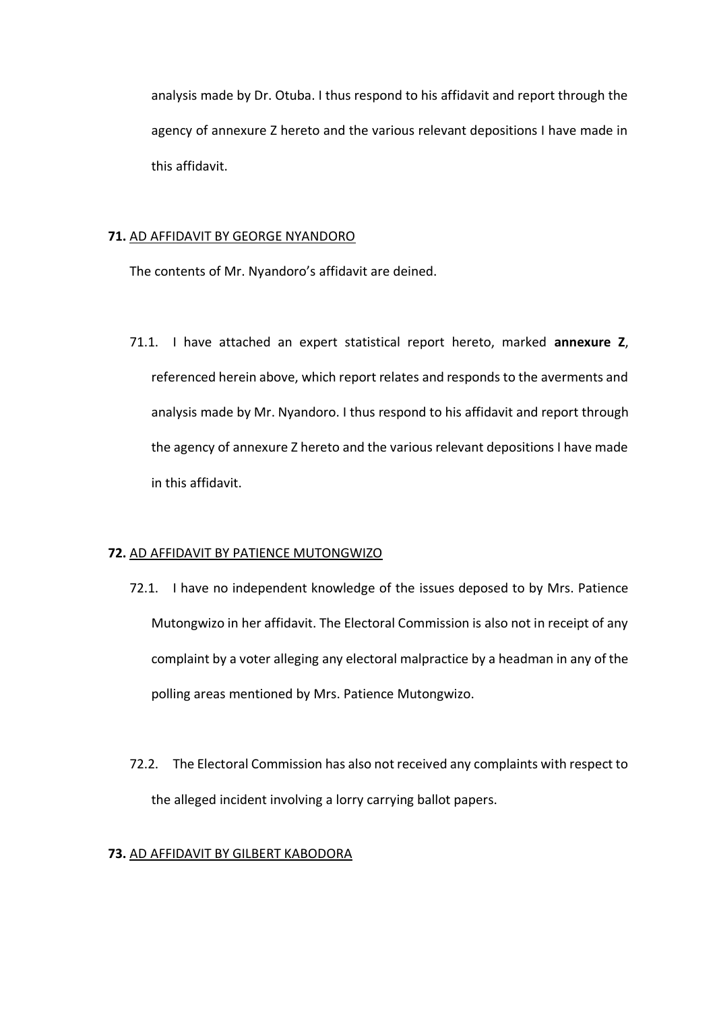analysis made by Dr. Otuba. I thus respond to his affidavit and report through the agency of annexure Z hereto and the various relevant depositions I have made in this affidavit.

## **71.** AD AFFIDAVIT BY GEORGE NYANDORO

The contents of Mr. Nyandoro's affidavit are deined.

71.1. I have attached an expert statistical report hereto, marked **annexure Z**, referenced herein above, which report relates and responds to the averments and analysis made by Mr. Nyandoro. I thus respond to his affidavit and report through the agency of annexure Z hereto and the various relevant depositions I have made in this affidavit.

## **72.** AD AFFIDAVIT BY PATIENCE MUTONGWIZO

- 72.1. I have no independent knowledge of the issues deposed to by Mrs. Patience Mutongwizo in her affidavit. The Electoral Commission is also not in receipt of any complaint by a voter alleging any electoral malpractice by a headman in any of the polling areas mentioned by Mrs. Patience Mutongwizo.
- 72.2. The Electoral Commission has also not received any complaints with respect to the alleged incident involving a lorry carrying ballot papers.

## **73.** AD AFFIDAVIT BY GILBERT KABODORA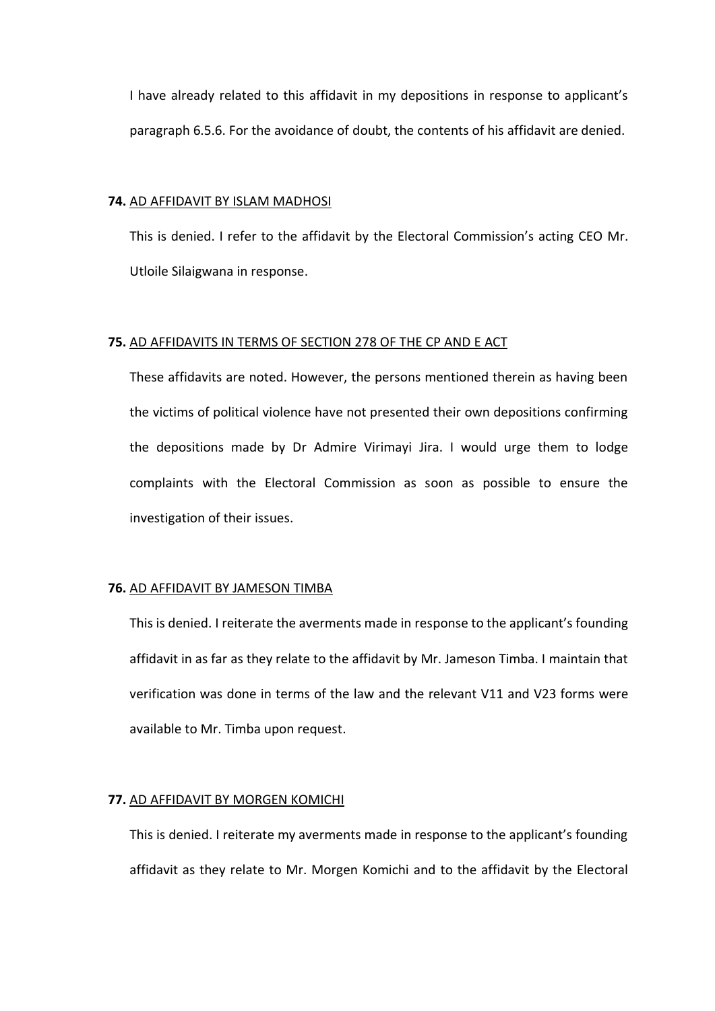I have already related to this affidavit in my depositions in response to applicant's paragraph 6.5.6. For the avoidance of doubt, the contents of his affidavit are denied.

### **74.** AD AFFIDAVIT BY ISLAM MADHOSI

This is denied. I refer to the affidavit by the Electoral Commission's acting CEO Mr. Utloile Silaigwana in response.

### **75.** AD AFFIDAVITS IN TERMS OF SECTION 278 OF THE CP AND E ACT

These affidavits are noted. However, the persons mentioned therein as having been the victims of political violence have not presented their own depositions confirming the depositions made by Dr Admire Virimayi Jira. I would urge them to lodge complaints with the Electoral Commission as soon as possible to ensure the investigation of their issues.

## **76.** AD AFFIDAVIT BY JAMESON TIMBA

This is denied. I reiterate the averments made in response to the applicant's founding affidavit in as far as they relate to the affidavit by Mr. Jameson Timba. I maintain that verification was done in terms of the law and the relevant V11 and V23 forms were available to Mr. Timba upon request.

## **77.** AD AFFIDAVIT BY MORGEN KOMICHI

This is denied. I reiterate my averments made in response to the applicant's founding affidavit as they relate to Mr. Morgen Komichi and to the affidavit by the Electoral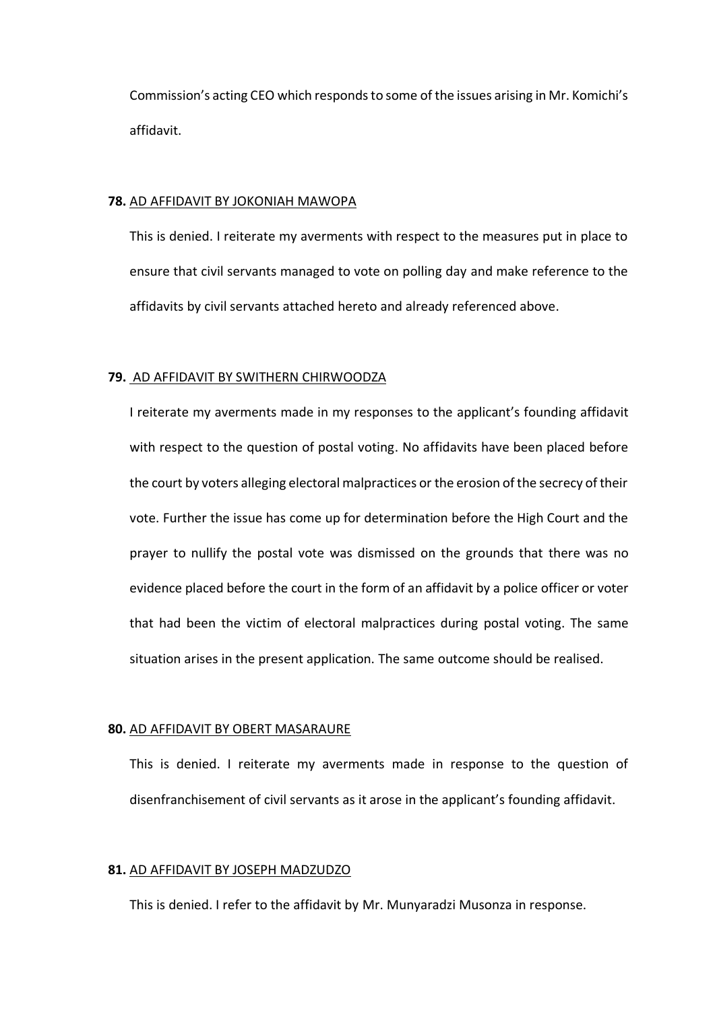Commission's acting CEO which responds to some of the issues arising in Mr. Komichi's affidavit.

#### **78.** AD AFFIDAVIT BY JOKONIAH MAWOPA

This is denied. I reiterate my averments with respect to the measures put in place to ensure that civil servants managed to vote on polling day and make reference to the affidavits by civil servants attached hereto and already referenced above.

### **79.** AD AFFIDAVIT BY SWITHERN CHIRWOODZA

I reiterate my averments made in my responses to the applicant's founding affidavit with respect to the question of postal voting. No affidavits have been placed before the court by voters alleging electoral malpractices or the erosion of the secrecy of their vote. Further the issue has come up for determination before the High Court and the prayer to nullify the postal vote was dismissed on the grounds that there was no evidence placed before the court in the form of an affidavit by a police officer or voter that had been the victim of electoral malpractices during postal voting. The same situation arises in the present application. The same outcome should be realised.

### **80.** AD AFFIDAVIT BY OBERT MASARAURE

This is denied. I reiterate my averments made in response to the question of disenfranchisement of civil servants as it arose in the applicant's founding affidavit.

#### **81.** AD AFFIDAVIT BY JOSEPH MADZUDZO

This is denied. I refer to the affidavit by Mr. Munyaradzi Musonza in response.